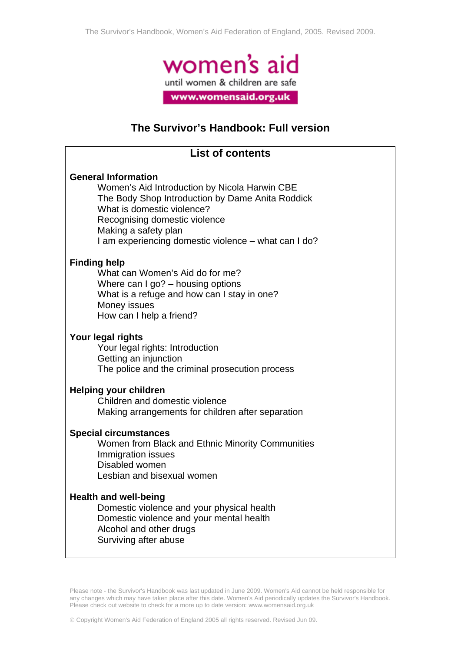

# **The Survivor's Handbook: Full version**

## **List of contents**

## **General Information**

Women's Aid Introduction by Nicola Harwin CBE The Body Shop Introduction by Dame Anita Roddick What is domestic violence? Recognising domestic violence Making a safety plan I am experiencing domestic violence – what can I do?

## **Finding help**

What can Women's Aid do for me? Where can I go? – housing options What is a refuge and how can I stay in one? Money issues How can I help a friend?

## **Your legal rights**

Your legal rights: Introduction Getting an injunction The police and the criminal prosecution process

#### **Helping your children**

Children and domestic violence Making arrangements for children after separation

#### **Special circumstances**

Women from Black and Ethnic Minority Communities Immigration issues Disabled women Lesbian and bisexual women

## **Health and well-being**

Domestic violence and your physical health Domestic violence and your mental health Alcohol and other drugs Surviving after abuse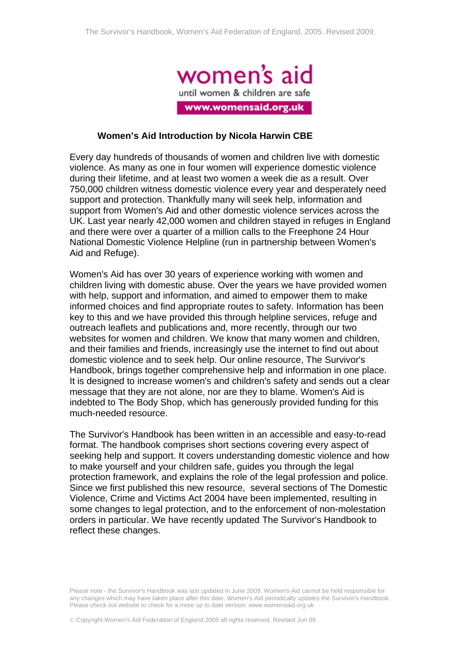

#### **Women's Aid Introduction by Nicola Harwin CBE**

Every day hundreds of thousands of women and children live with domestic violence. As many as one in four women will experience domestic violence during their lifetime, and at least two women a week die as a result. Over 750,000 children witness domestic violence every year and desperately need support and protection. Thankfully many will seek help, information and support from Women's Aid and other domestic violence services across the UK. Last year nearly 42,000 women and children stayed in refuges in England and there were over a quarter of a million calls to the Freephone 24 Hour National Domestic Violence Helpline (run in partnership between Women's Aid and Refuge).

Women's Aid has over 30 years of experience working with women and children living with domestic abuse. Over the years we have provided women with help, support and information, and aimed to empower them to make informed choices and find appropriate routes to safety. Information has been key to this and we have provided this through helpline services, refuge and outreach leaflets and publications and, more recently, through our two websites for women and children. We know that many women and children, and their families and friends, increasingly use the internet to find out about domestic violence and to seek help. Our online resource, The Survivor's Handbook, brings together comprehensive help and information in one place. It is designed to increase women's and children's safety and sends out a clear message that they are not alone, nor are they to blame. Women's Aid is indebted to The Body Shop, which has generously provided funding for this much-needed resource.

The Survivor's Handbook has been written in an accessible and easy-to-read format. The handbook comprises short sections covering every aspect of seeking help and support. It covers understanding domestic violence and how to make yourself and your children safe, guides you through the legal protection framework, and explains the role of the legal profession and police. Since we first published this new resource, several sections of The Domestic Violence, Crime and Victims Act 2004 have been implemented, resulting in some changes to legal protection, and to the enforcement of non-molestation orders in particular. We have recently updated The Survivor's Handbook to reflect these changes.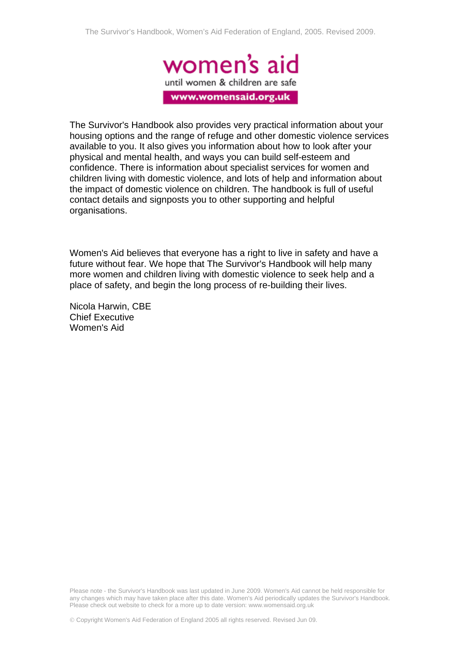

The Survivor's Handbook also provides very practical information about your housing options and the range of refuge and other domestic violence services available to you. It also gives you information about how to look after your physical and mental health, and ways you can build self-esteem and confidence. There is information about specialist services for women and children living with domestic violence, and lots of help and information about the impact of domestic violence on children. The handbook is full of useful contact details and signposts you to other supporting and helpful organisations.

Women's Aid believes that everyone has a right to live in safety and have a future without fear. We hope that The Survivor's Handbook will help many more women and children living with domestic violence to seek help and a place of safety, and begin the long process of re-building their lives.

Nicola Harwin, CBE Chief Executive Women's Aid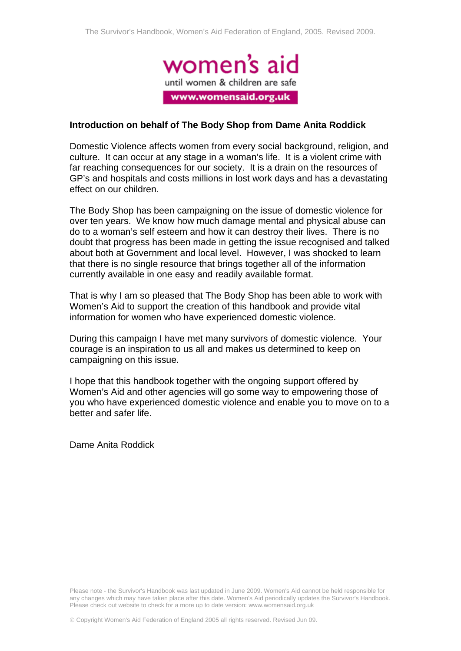

### **Introduction on behalf of The Body Shop from Dame Anita Roddick**

Domestic Violence affects women from every social background, religion, and culture. It can occur at any stage in a woman's life. It is a violent crime with far reaching consequences for our society. It is a drain on the resources of GP's and hospitals and costs millions in lost work days and has a devastating effect on our children.

The Body Shop has been campaigning on the issue of domestic violence for over ten years. We know how much damage mental and physical abuse can do to a woman's self esteem and how it can destroy their lives. There is no doubt that progress has been made in getting the issue recognised and talked about both at Government and local level. However, I was shocked to learn that there is no single resource that brings together all of the information currently available in one easy and readily available format.

That is why I am so pleased that The Body Shop has been able to work with Women's Aid to support the creation of this handbook and provide vital information for women who have experienced domestic violence.

During this campaign I have met many survivors of domestic violence. Your courage is an inspiration to us all and makes us determined to keep on campaigning on this issue.

I hope that this handbook together with the ongoing support offered by Women's Aid and other agencies will go some way to empowering those of you who have experienced domestic violence and enable you to move on to a better and safer life.

Dame Anita Roddick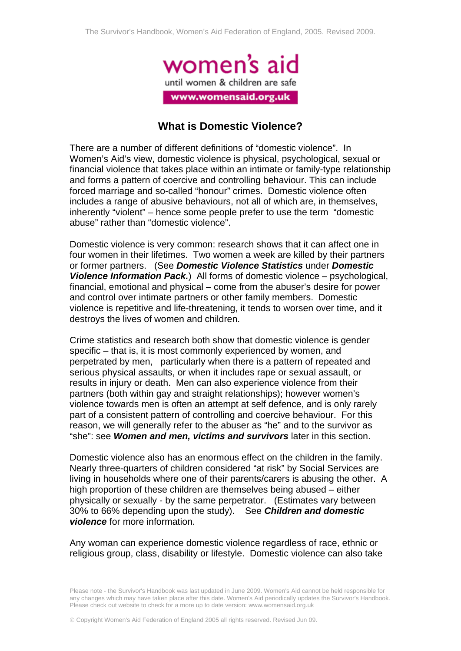

# **What is Domestic Violence?**

There are a number of different definitions of "domestic violence". In Women's Aid's view, domestic violence is physical, psychological, sexual or financial violence that takes place within an intimate or family-type relationship and forms a pattern of coercive and controlling behaviour. This can include forced marriage and so-called "honour" crimes. Domestic violence often includes a range of abusive behaviours, not all of which are, in themselves, inherently "violent" – hence some people prefer to use the term "domestic abuse" rather than "domestic violence".

Domestic violence is very common: research shows that it can affect one in four women in their lifetimes. Two women a week are killed by their partners or former partners. (See *Domestic Violence Statistics* under *Domestic Violence Information Pack.*) All forms of domestic violence – psychological, financial, emotional and physical – come from the abuser's desire for power and control over intimate partners or other family members. Domestic violence is repetitive and life-threatening, it tends to worsen over time, and it destroys the lives of women and children.

Crime statistics and research both show that domestic violence is gender specific – that is, it is most commonly experienced by women, and perpetrated by men, particularly when there is a pattern of repeated and serious physical assaults, or when it includes rape or sexual assault, or results in injury or death. Men can also experience violence from their partners (both within gay and straight relationships); however women's violence towards men is often an attempt at self defence, and is only rarely part of a consistent pattern of controlling and coercive behaviour. For this reason, we will generally refer to the abuser as "he" and to the survivor as "she": see *Women and men, victims and survivors* later in this section.

Domestic violence also has an enormous effect on the children in the family. Nearly three-quarters of children considered "at risk" by Social Services are living in households where one of their parents/carers is abusing the other. A high proportion of these children are themselves being abused – either physically or sexually - by the same perpetrator. (Estimates vary between 30% to 66% depending upon the study). See *Children and domestic violence* for more information.

Any woman can experience domestic violence regardless of race, ethnic or religious group, class, disability or lifestyle. Domestic violence can also take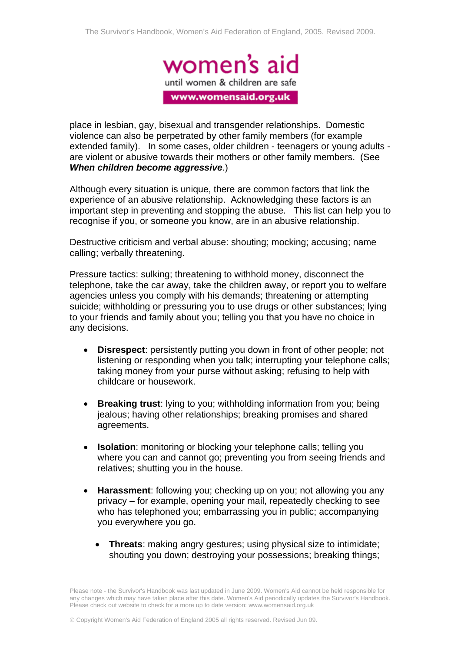

place in lesbian, gay, bisexual and transgender relationships. Domestic violence can also be perpetrated by other family members (for example extended family). In some cases, older children - teenagers or young adults are violent or abusive towards their mothers or other family members. (See *When children become aggressive*.)

Although every situation is unique, there are common factors that link the experience of an abusive relationship. Acknowledging these factors is an important step in preventing and stopping the abuse. This list can help you to recognise if you, or someone you know, are in an abusive relationship.

Destructive criticism and verbal abuse: shouting; mocking; accusing; name calling; verbally threatening.

Pressure tactics: sulking; threatening to withhold money, disconnect the telephone, take the car away, take the children away, or report you to welfare agencies unless you comply with his demands; threatening or attempting suicide; withholding or pressuring you to use drugs or other substances; lying to your friends and family about you; telling you that you have no choice in any decisions.

- **Disrespect**: persistently putting you down in front of other people; not listening or responding when you talk; interrupting your telephone calls; taking money from your purse without asking; refusing to help with childcare or housework.
- **Breaking trust**: lying to you; withholding information from you; being jealous; having other relationships; breaking promises and shared agreements.
- **Isolation**: monitoring or blocking your telephone calls; telling you where you can and cannot go; preventing you from seeing friends and relatives; shutting you in the house.
- **Harassment**: following you; checking up on you; not allowing you any privacy – for example, opening your mail, repeatedly checking to see who has telephoned you; embarrassing you in public; accompanying you everywhere you go.
	- **Threats**: making angry gestures; using physical size to intimidate; shouting you down; destroying your possessions; breaking things;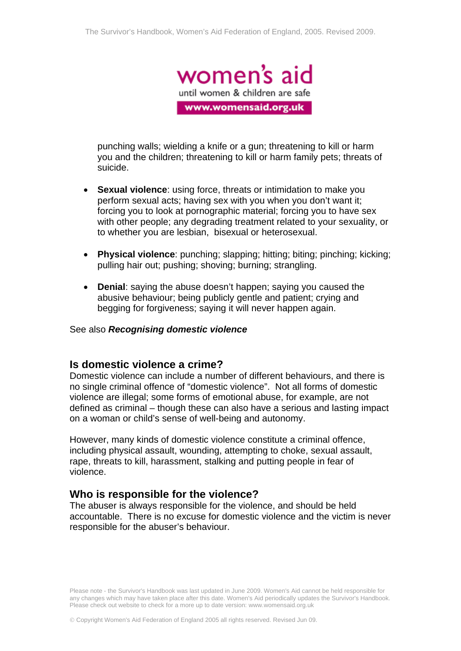

punching walls; wielding a knife or a gun; threatening to kill or harm you and the children; threatening to kill or harm family pets; threats of suicide.

- **Sexual violence**: using force, threats or intimidation to make you perform sexual acts; having sex with you when you don't want it; forcing you to look at pornographic material; forcing you to have sex with other people; any degrading treatment related to your sexuality, or to whether you are lesbian, bisexual or heterosexual.
- **Physical violence**: punching; slapping; hitting; biting; pinching; kicking; pulling hair out; pushing; shoving; burning; strangling.
- **Denial**: saying the abuse doesn't happen; saying you caused the abusive behaviour; being publicly gentle and patient; crying and begging for forgiveness; saying it will never happen again.

#### See also *Recognising domestic violence*

## **Is domestic violence a crime?**

Domestic violence can include a number of different behaviours, and there is no single criminal offence of "domestic violence". Not all forms of domestic violence are illegal; some forms of emotional abuse, for example, are not defined as criminal – though these can also have a serious and lasting impact on a woman or child's sense of well-being and autonomy.

However, many kinds of domestic violence constitute a criminal offence, including physical assault, wounding, attempting to choke, sexual assault, rape, threats to kill, harassment, stalking and putting people in fear of violence.

## **Who is responsible for the violence?**

The abuser is always responsible for the violence, and should be held accountable. There is no excuse for domestic violence and the victim is never responsible for the abuser's behaviour.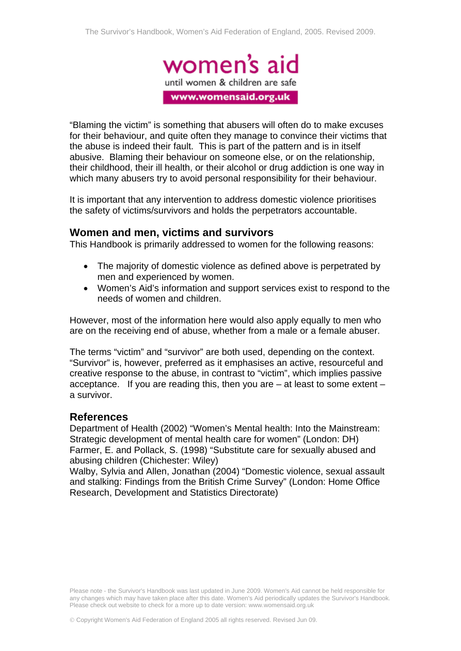

"Blaming the victim" is something that abusers will often do to make excuses for their behaviour, and quite often they manage to convince their victims that the abuse is indeed their fault. This is part of the pattern and is in itself abusive. Blaming their behaviour on someone else, or on the relationship, their childhood, their ill health, or their alcohol or drug addiction is one way in which many abusers try to avoid personal responsibility for their behaviour.

It is important that any intervention to address domestic violence prioritises the safety of victims/survivors and holds the perpetrators accountable.

## **Women and men, victims and survivors**

This Handbook is primarily addressed to women for the following reasons:

- The majority of domestic violence as defined above is perpetrated by men and experienced by women.
- Women's Aid's information and support services exist to respond to the needs of women and children.

However, most of the information here would also apply equally to men who are on the receiving end of abuse, whether from a male or a female abuser.

The terms "victim" and "survivor" are both used, depending on the context. "Survivor" is, however, preferred as it emphasises an active, resourceful and creative response to the abuse, in contrast to "victim", which implies passive acceptance. If you are reading this, then you are – at least to some extent – a survivor.

## **References**

Department of Health (2002) "Women's Mental health: Into the Mainstream: Strategic development of mental health care for women" (London: DH) Farmer, E. and Pollack, S. (1998) "Substitute care for sexually abused and abusing children (Chichester: Wiley)

Walby, Sylvia and Allen, Jonathan (2004) "Domestic violence, sexual assault and stalking: Findings from the British Crime Survey" (London: Home Office Research, Development and Statistics Directorate)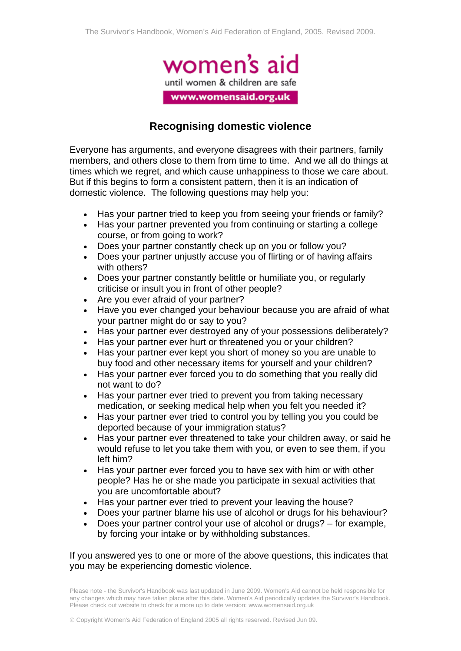

# **Recognising domestic violence**

Everyone has arguments, and everyone disagrees with their partners, family members, and others close to them from time to time. And we all do things at times which we regret, and which cause unhappiness to those we care about. But if this begins to form a consistent pattern, then it is an indication of domestic violence. The following questions may help you:

- Has your partner tried to keep you from seeing your friends or family?
- Has your partner prevented you from continuing or starting a college course, or from going to work?
- Does your partner constantly check up on you or follow you?
- Does your partner unjustly accuse you of flirting or of having affairs with others?
- Does your partner constantly belittle or humiliate you, or regularly criticise or insult you in front of other people?
- Are you ever afraid of your partner?
- Have you ever changed your behaviour because you are afraid of what your partner might do or say to you?
- Has your partner ever destroyed any of your possessions deliberately?
- Has your partner ever hurt or threatened you or your children?
- Has your partner ever kept you short of money so you are unable to buy food and other necessary items for yourself and your children?
- Has your partner ever forced you to do something that you really did not want to do?
- Has your partner ever tried to prevent you from taking necessary medication, or seeking medical help when you felt you needed it?
- Has your partner ever tried to control you by telling you you could be deported because of your immigration status?
- Has your partner ever threatened to take your children away, or said he would refuse to let you take them with you, or even to see them, if you left him?
- Has your partner ever forced you to have sex with him or with other people? Has he or she made you participate in sexual activities that you are uncomfortable about?
- Has your partner ever tried to prevent your leaving the house?
- Does your partner blame his use of alcohol or drugs for his behaviour?
- Does your partner control your use of alcohol or drugs? for example, by forcing your intake or by withholding substances.

If you answered yes to one or more of the above questions, this indicates that you may be experiencing domestic violence.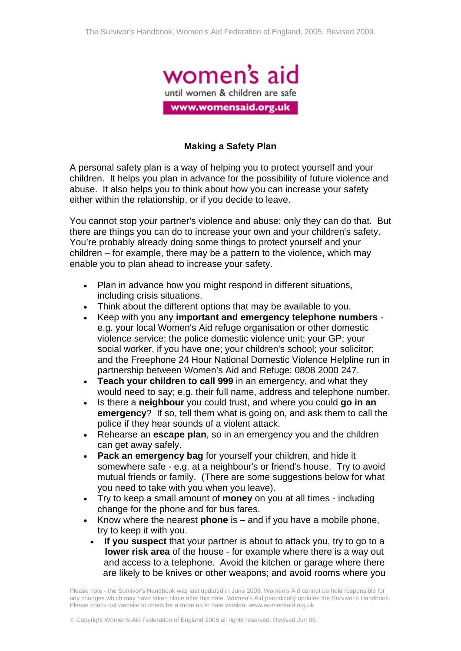

## **Making a Safety Plan**

A personal safety plan is a way of helping you to protect yourself and your children. It helps you plan in advance for the possibility of future violence and abuse. It also helps you to think about how you can increase your safety either within the relationship, or if you decide to leave.

You cannot stop your partner's violence and abuse: only they can do that. But there are things you can do to increase your own and your children's safety. You're probably already doing some things to protect yourself and your children – for example, there may be a pattern to the violence, which may enable you to plan ahead to increase your safety.

- Plan in advance how you might respond in different situations, including crisis situations.
- Think about the different options that may be available to you.
- Keep with you any **important and emergency telephone numbers** e.g. your local Women's Aid refuge organisation or other domestic violence service; the police domestic violence unit; your GP; your social worker, if you have one; your children's school; your solicitor; and the Freephone 24 Hour National Domestic Violence Helpline run in partnership between Women's Aid and Refuge: 0808 2000 247.
- **Teach your children to call 999** in an emergency, and what they would need to say; e.g. their full name, address and telephone number.
- Is there a **neighbour** you could trust, and where you could **go in an emergency**? If so, tell them what is going on, and ask them to call the police if they hear sounds of a violent attack.
- Rehearse an **escape plan**, so in an emergency you and the children can get away safely.
- **Pack an emergency bag** for yourself your children, and hide it somewhere safe - e.g. at a neighbour's or friend's house. Try to avoid mutual friends or family. (There are some suggestions below for what you need to take with you when you leave).
- Try to keep a small amount of **money** on you at all times including change for the phone and for bus fares.
- Know where the nearest **phone** is and if you have a mobile phone, try to keep it with you.
- **If you suspect** that your partner is about to attack you, try to go to a **lower risk area** of the house - for example where there is a way out and access to a telephone. Avoid the kitchen or garage where there are likely to be knives or other weapons; and avoid rooms where you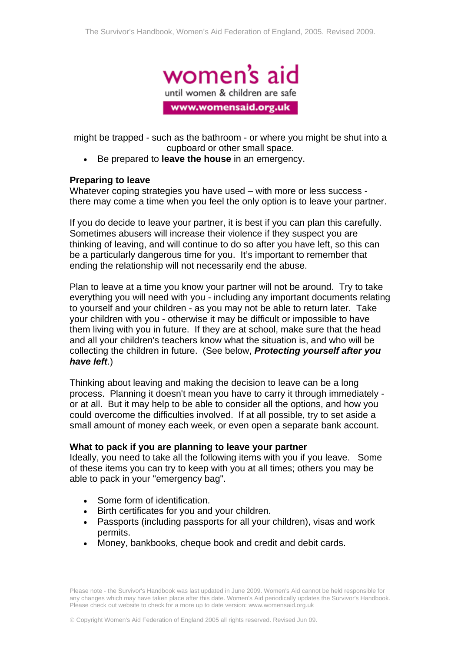

might be trapped - such as the bathroom - or where you might be shut into a cupboard or other small space.

Be prepared to **leave the house** in an emergency.

### **Preparing to leave**

Whatever coping strategies you have used – with more or less success there may come a time when you feel the only option is to leave your partner.

If you do decide to leave your partner, it is best if you can plan this carefully. Sometimes abusers will increase their violence if they suspect you are thinking of leaving, and will continue to do so after you have left, so this can be a particularly dangerous time for you. It's important to remember that ending the relationship will not necessarily end the abuse.

Plan to leave at a time you know your partner will not be around. Try to take everything you will need with you - including any important documents relating to yourself and your children - as you may not be able to return later. Take your children with you - otherwise it may be difficult or impossible to have them living with you in future. If they are at school, make sure that the head and all your children's teachers know what the situation is, and who will be collecting the children in future. (See below, *Protecting yourself after you have left*.)

Thinking about leaving and making the decision to leave can be a long process. Planning it doesn't mean you have to carry it through immediately or at all. But it may help to be able to consider all the options, and how you could overcome the difficulties involved. If at all possible, try to set aside a small amount of money each week, or even open a separate bank account.

#### **What to pack if you are planning to leave your partner**

Ideally, you need to take all the following items with you if you leave. Some of these items you can try to keep with you at all times; others you may be able to pack in your "emergency bag".

- Some form of identification.
- Birth certificates for you and your children.
- Passports (including passports for all your children), visas and work permits.
- Money, bankbooks, cheque book and credit and debit cards.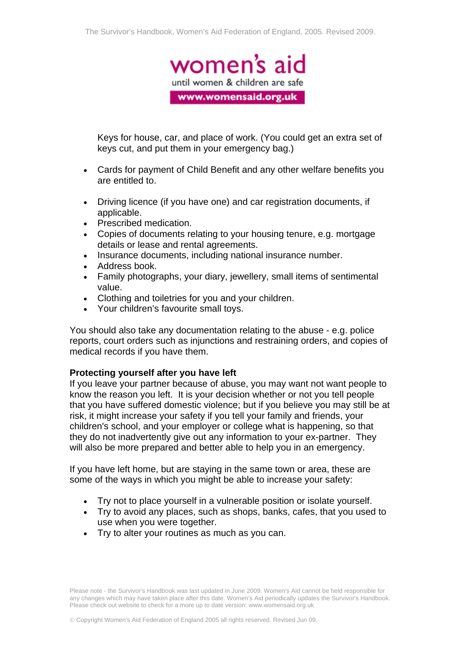

Keys for house, car, and place of work. (You could get an extra set of keys cut, and put them in your emergency bag.)

- Cards for payment of Child Benefit and any other welfare benefits you are entitled to.
- Driving licence (if you have one) and car registration documents, if applicable.
- Prescribed medication.
- Copies of documents relating to your housing tenure, e.g. mortgage details or lease and rental agreements.
- Insurance documents, including national insurance number.
- Address book.
- Family photographs, your diary, jewellery, small items of sentimental value.
- Clothing and toiletries for you and your children.
- Your children's favourite small toys.

You should also take any documentation relating to the abuse - e.g. police reports, court orders such as injunctions and restraining orders, and copies of medical records if you have them.

## **Protecting yourself after you have left**

If you leave your partner because of abuse, you may want not want people to know the reason you left. It is your decision whether or not you tell people that you have suffered domestic violence; but if you believe you may still be at risk, it might increase your safety if you tell your family and friends, your children's school, and your employer or college what is happening, so that they do not inadvertently give out any information to your ex-partner. They will also be more prepared and better able to help you in an emergency.

If you have left home, but are staying in the same town or area, these are some of the ways in which you might be able to increase your safety:

- Try not to place yourself in a vulnerable position or isolate yourself.
- Try to avoid any places, such as shops, banks, cafes, that you used to use when you were together.
- Try to alter your routines as much as you can.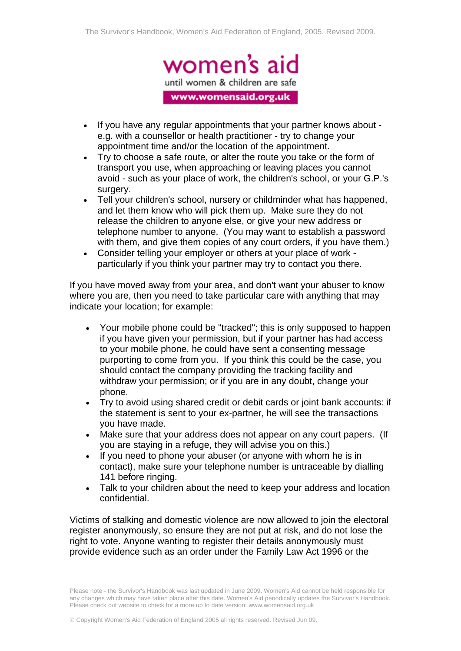

- If you have any regular appointments that your partner knows about e.g. with a counsellor or health practitioner - try to change your appointment time and/or the location of the appointment.
- Try to choose a safe route, or alter the route you take or the form of transport you use, when approaching or leaving places you cannot avoid - such as your place of work, the children's school, or your G.P.'s surgery.
- Tell your children's school, nursery or childminder what has happened, and let them know who will pick them up. Make sure they do not release the children to anyone else, or give your new address or telephone number to anyone. (You may want to establish a password with them, and give them copies of any court orders, if you have them.)
- Consider telling your employer or others at your place of work particularly if you think your partner may try to contact you there.

If you have moved away from your area, and don't want your abuser to know where you are, then you need to take particular care with anything that may indicate your location; for example:

- Your mobile phone could be "tracked"; this is only supposed to happen if you have given your permission, but if your partner has had access to your mobile phone, he could have sent a consenting message purporting to come from you. If you think this could be the case, you should contact the company providing the tracking facility and withdraw your permission; or if you are in any doubt, change your phone.
- Try to avoid using shared credit or debit cards or joint bank accounts: if the statement is sent to your ex-partner, he will see the transactions you have made.
- Make sure that your address does not appear on any court papers. (If you are staying in a refuge, they will advise you on this.)
- If you need to phone your abuser (or anyone with whom he is in contact), make sure your telephone number is untraceable by dialling 141 before ringing.
- Talk to your children about the need to keep your address and location confidential.

Victims of stalking and domestic violence are now allowed to join the electoral register anonymously, so ensure they are not put at risk, and do not lose the right to vote. Anyone wanting to register their details anonymously must provide evidence such as an order under the Family Law Act 1996 or the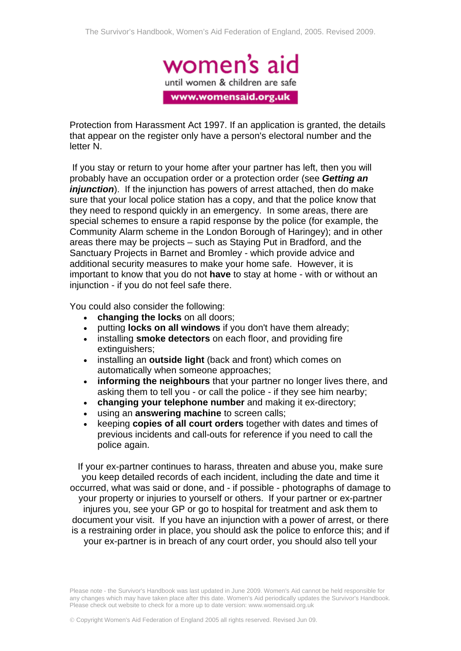

Protection from Harassment Act 1997. If an application is granted, the details that appear on the register only have a person's electoral number and the letter N.

 If you stay or return to your home after your partner has left, then you will probably have an occupation order or a protection order (see *Getting an injunction*). If the injunction has powers of arrest attached, then do make sure that your local police station has a copy, and that the police know that they need to respond quickly in an emergency. In some areas, there are special schemes to ensure a rapid response by the police (for example, the Community Alarm scheme in the London Borough of Haringey); and in other areas there may be projects – such as Staying Put in Bradford, and the Sanctuary Projects in Barnet and Bromley - which provide advice and additional security measures to make your home safe. However, it is important to know that you do not **have** to stay at home - with or without an injunction - if you do not feel safe there.

You could also consider the following:

- **changing the locks** on all doors;
- putting **locks on all windows** if you don't have them already;
- installing **smoke detectors** on each floor, and providing fire extinguishers;
- installing an **outside light** (back and front) which comes on automatically when someone approaches;
- **informing the neighbours** that your partner no longer lives there, and asking them to tell you - or call the police - if they see him nearby;
- **changing your telephone number** and making it ex-directory;
- using an **answering machine** to screen calls;
- keeping **copies of all court orders** together with dates and times of previous incidents and call-outs for reference if you need to call the police again.

If your ex-partner continues to harass, threaten and abuse you, make sure you keep detailed records of each incident, including the date and time it occurred, what was said or done, and - if possible - photographs of damage to your property or injuries to yourself or others. If your partner or ex-partner injures you, see your GP or go to hospital for treatment and ask them to document your visit. If you have an injunction with a power of arrest, or there is a restraining order in place, you should ask the police to enforce this; and if your ex-partner is in breach of any court order, you should also tell your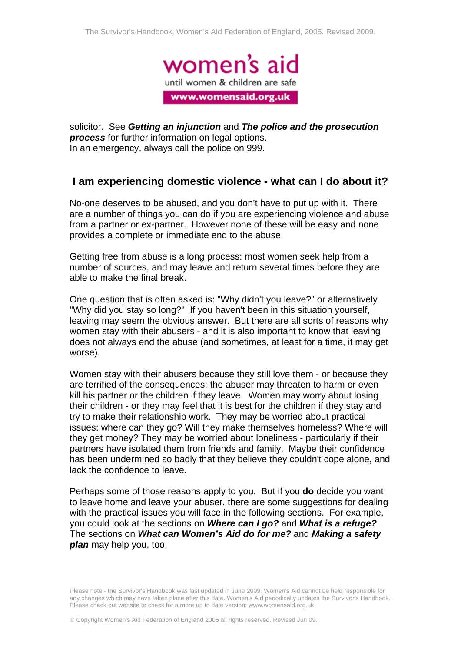

solicitor. See *Getting an injunction* and *The police and the prosecution process* for further information on legal options. In an emergency, always call the police on 999.

## **I am experiencing domestic violence - what can I do about it?**

No-one deserves to be abused, and you don't have to put up with it. There are a number of things you can do if you are experiencing violence and abuse from a partner or ex-partner. However none of these will be easy and none provides a complete or immediate end to the abuse.

Getting free from abuse is a long process: most women seek help from a number of sources, and may leave and return several times before they are able to make the final break.

One question that is often asked is: "Why didn't you leave?" or alternatively "Why did you stay so long?" If you haven't been in this situation yourself, leaving may seem the obvious answer. But there are all sorts of reasons why women stay with their abusers - and it is also important to know that leaving does not always end the abuse (and sometimes, at least for a time, it may get worse).

Women stay with their abusers because they still love them - or because they are terrified of the consequences: the abuser may threaten to harm or even kill his partner or the children if they leave. Women may worry about losing their children - or they may feel that it is best for the children if they stay and try to make their relationship work. They may be worried about practical issues: where can they go? Will they make themselves homeless? Where will they get money? They may be worried about loneliness - particularly if their partners have isolated them from friends and family. Maybe their confidence has been undermined so badly that they believe they couldn't cope alone, and lack the confidence to leave.

Perhaps some of those reasons apply to you. But if you **do** decide you want to leave home and leave your abuser, there are some suggestions for dealing with the practical issues you will face in the following sections. For example, you could look at the sections on *Where can I go?* and *What is a refuge?* The sections on *What can Women's Aid do for me?* and *Making a safety plan* may help you, too.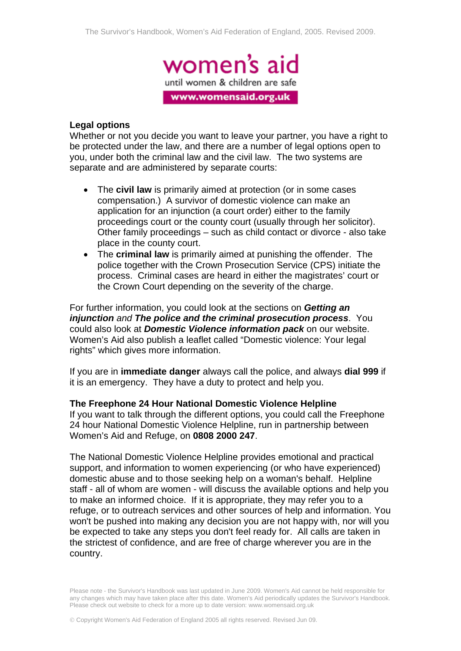

#### **Legal options**

Whether or not you decide you want to leave your partner, you have a right to be protected under the law, and there are a number of legal options open to you, under both the criminal law and the civil law. The two systems are separate and are administered by separate courts:

- The **civil law** is primarily aimed at protection (or in some cases compensation.) A survivor of domestic violence can make an application for an injunction (a court order) either to the family proceedings court or the county court (usually through her solicitor). Other family proceedings – such as child contact or divorce - also take place in the county court.
- The **criminal law** is primarily aimed at punishing the offender. The police together with the Crown Prosecution Service (CPS) initiate the process. Criminal cases are heard in either the magistrates' court or the Crown Court depending on the severity of the charge.

For further information, you could look at the sections on *Getting an injunction and The police and the criminal prosecution process*. You could also look at *Domestic Violence information pack* on our website. Women's Aid also publish a leaflet called "Domestic violence: Your legal rights" which gives more information.

If you are in **immediate danger** always call the police, and always **dial 999** if it is an emergency. They have a duty to protect and help you.

#### **The Freephone 24 Hour National Domestic Violence Helpline**

If you want to talk through the different options, you could call the Freephone 24 hour National Domestic Violence Helpline, run in partnership between Women's Aid and Refuge, on **0808 2000 247**.

The National Domestic Violence Helpline provides emotional and practical support, and information to women experiencing (or who have experienced) domestic abuse and to those seeking help on a woman's behalf. Helpline staff - all of whom are women - will discuss the available options and help you to make an informed choice. If it is appropriate, they may refer you to a refuge, or to outreach services and other sources of help and information. You won't be pushed into making any decision you are not happy with, nor will you be expected to take any steps you don't feel ready for. All calls are taken in the strictest of confidence, and are free of charge wherever you are in the country.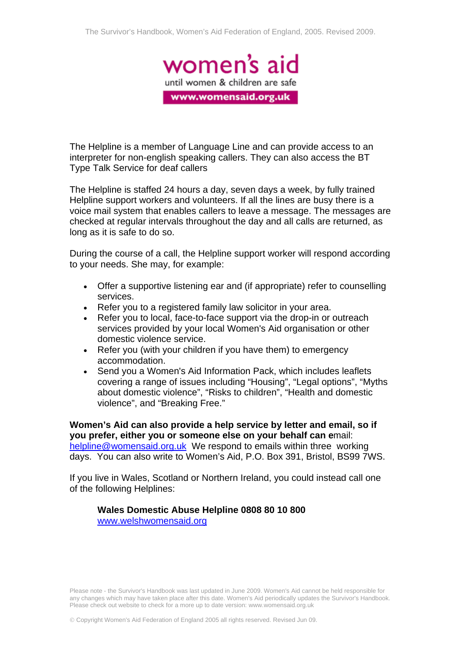

The Helpline is a member of Language Line and can provide access to an interpreter for non-english speaking callers. They can also access the BT Type Talk Service for deaf callers

The Helpline is staffed 24 hours a day, seven days a week, by fully trained Helpline support workers and volunteers. If all the lines are busy there is a voice mail system that enables callers to leave a message. The messages are checked at regular intervals throughout the day and all calls are returned, as long as it is safe to do so.

During the course of a call, the Helpline support worker will respond according to your needs. She may, for example:

- Offer a supportive listening ear and (if appropriate) refer to counselling services.
- Refer you to a registered family law solicitor in your area.
- Refer you to local, face-to-face support via the drop-in or outreach services provided by your local Women's Aid organisation or other domestic violence service.
- Refer you (with your children if you have them) to emergency accommodation.
- Send you a Women's Aid Information Pack, which includes leaflets covering a range of issues including "Housing", "Legal options", "Myths about domestic violence", "Risks to children", "Health and domestic violence", and "Breaking Free."

**Women's Aid can also provide a help service by letter and email, so if you prefer, either you or someone else on your behalf can e**mail: helpline@womensaid.org.ukWe respond to emails within three working days. You can also write to Women's Aid, P.O. Box 391, Bristol, BS99 7WS.

If you live in Wales, Scotland or Northern Ireland, you could instead call one of the following Helplines:

## **Wales Domestic Abuse Helpline 0808 80 10 800**

www.welshwomensaid.org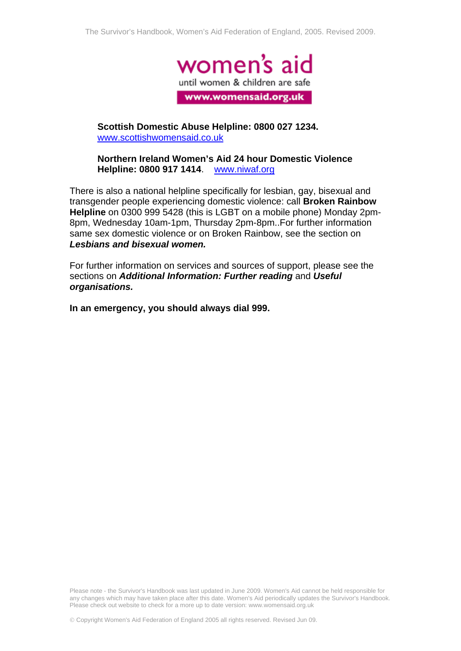

### **Scottish Domestic Abuse Helpline: 0800 027 1234.**  www.scottishwomensaid.co.uk

**Northern Ireland Women's Aid 24 hour Domestic Violence Helpline: 0800 917 1414**. www.niwaf.org

There is also a national helpline specifically for lesbian, gay, bisexual and transgender people experiencing domestic violence: call **Broken Rainbow Helpline** on 0300 999 5428 (this is LGBT on a mobile phone) Monday 2pm-8pm, Wednesday 10am-1pm, Thursday 2pm-8pm..For further information same sex domestic violence or on Broken Rainbow, see the section on *Lesbians and bisexual women.*

For further information on services and sources of support, please see the sections on *Additional Information: Further reading* and *Useful organisations.* 

**In an emergency, you should always dial 999.**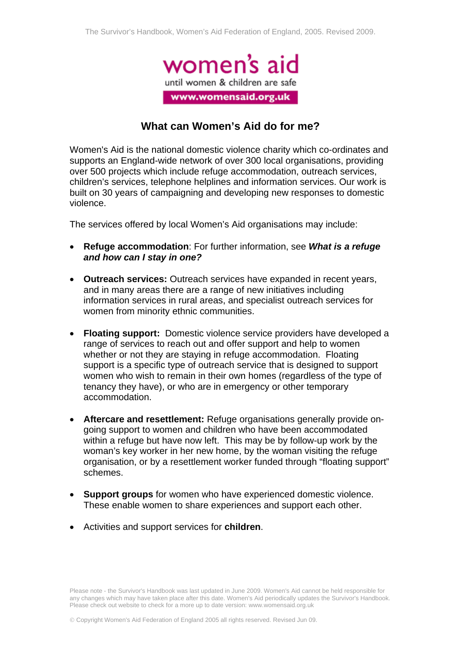

# **What can Women's Aid do for me?**

Women's Aid is the national domestic violence charity which co-ordinates and supports an England-wide network of over 300 local organisations, providing over 500 projects which include refuge accommodation, outreach services, children's services, telephone helplines and information services. Our work is built on 30 years of campaigning and developing new responses to domestic violence.

The services offered by local Women's Aid organisations may include:

- **Refuge accommodation**: For further information, see *What is a refuge and how can I stay in one?*
- **Outreach services:** Outreach services have expanded in recent years, and in many areas there are a range of new initiatives including information services in rural areas, and specialist outreach services for women from minority ethnic communities.
- **Floating support:** Domestic violence service providers have developed a range of services to reach out and offer support and help to women whether or not they are staying in refuge accommodation. Floating support is a specific type of outreach service that is designed to support women who wish to remain in their own homes (regardless of the type of tenancy they have), or who are in emergency or other temporary accommodation.
- **Aftercare and resettlement:** Refuge organisations generally provide ongoing support to women and children who have been accommodated within a refuge but have now left. This may be by follow-up work by the woman's key worker in her new home, by the woman visiting the refuge organisation, or by a resettlement worker funded through "floating support" schemes.
- **Support groups** for women who have experienced domestic violence. These enable women to share experiences and support each other.
- Activities and support services for **children**.

Please note - the Survivor's Handbook was last updated in June 2009. Women's Aid cannot be held responsible for any changes which may have taken place after this date. Women's Aid periodically updates the Survivor's Handbook. Please check out website to check for a more up to date version: www.womensaid.org.uk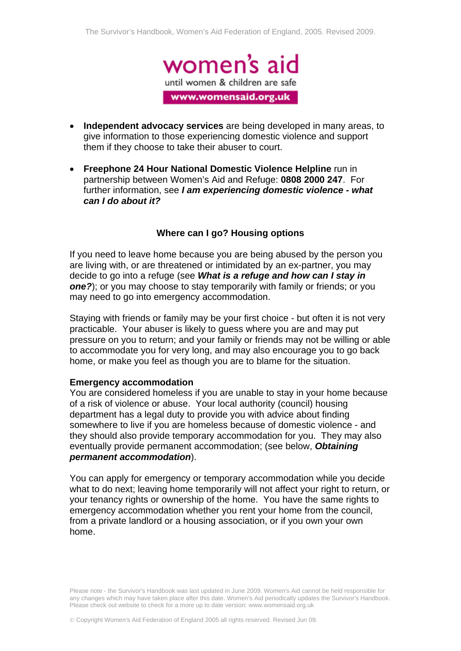

- **Independent advocacy services** are being developed in many areas, to give information to those experiencing domestic violence and support them if they choose to take their abuser to court.
- **Freephone 24 Hour National Domestic Violence Helpline** run in partnership between Women's Aid and Refuge: **0808 2000 247**. For further information, see *I am experiencing domestic violence - what can I do about it?*

## **Where can I go? Housing options**

If you need to leave home because you are being abused by the person you are living with, or are threatened or intimidated by an ex-partner, you may decide to go into a refuge (see *What is a refuge and how can I stay in one?*); or you may choose to stay temporarily with family or friends; or you may need to go into emergency accommodation.

Staying with friends or family may be your first choice - but often it is not very practicable. Your abuser is likely to guess where you are and may put pressure on you to return; and your family or friends may not be willing or able to accommodate you for very long, and may also encourage you to go back home, or make you feel as though you are to blame for the situation.

#### **Emergency accommodation**

You are considered homeless if you are unable to stay in your home because of a risk of violence or abuse. Your local authority (council) housing department has a legal duty to provide you with advice about finding somewhere to live if you are homeless because of domestic violence - and they should also provide temporary accommodation for you. They may also eventually provide permanent accommodation; (see below, *Obtaining permanent accommodation*).

You can apply for emergency or temporary accommodation while you decide what to do next; leaving home temporarily will not affect your right to return, or your tenancy rights or ownership of the home. You have the same rights to emergency accommodation whether you rent your home from the council, from a private landlord or a housing association, or if you own your own home.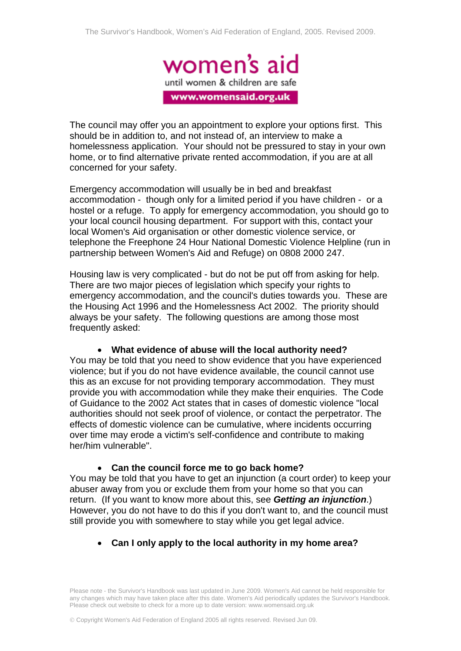

The council may offer you an appointment to explore your options first. This should be in addition to, and not instead of, an interview to make a homelessness application. Your should not be pressured to stay in your own home, or to find alternative private rented accommodation, if you are at all concerned for your safety.

Emergency accommodation will usually be in bed and breakfast accommodation - though only for a limited period if you have children - or a hostel or a refuge. To apply for emergency accommodation, you should go to your local council housing department. For support with this, contact your local Women's Aid organisation or other domestic violence service, or telephone the Freephone 24 Hour National Domestic Violence Helpline (run in partnership between Women's Aid and Refuge) on 0808 2000 247.

Housing law is very complicated - but do not be put off from asking for help. There are two major pieces of legislation which specify your rights to emergency accommodation, and the council's duties towards you. These are the Housing Act 1996 and the Homelessness Act 2002. The priority should always be your safety. The following questions are among those most frequently asked:

#### **What evidence of abuse will the local authority need?**

You may be told that you need to show evidence that you have experienced violence; but if you do not have evidence available, the council cannot use this as an excuse for not providing temporary accommodation. They must provide you with accommodation while they make their enquiries. The Code of Guidance to the 2002 Act states that in cases of domestic violence "local authorities should not seek proof of violence, or contact the perpetrator. The effects of domestic violence can be cumulative, where incidents occurring over time may erode a victim's self-confidence and contribute to making her/him vulnerable".

## **Can the council force me to go back home?**

You may be told that you have to get an injunction (a court order) to keep your abuser away from you or exclude them from your home so that you can return. (If you want to know more about this, see *Getting an injunction*.) However, you do not have to do this if you don't want to, and the council must still provide you with somewhere to stay while you get legal advice.

## **Can I only apply to the local authority in my home area?**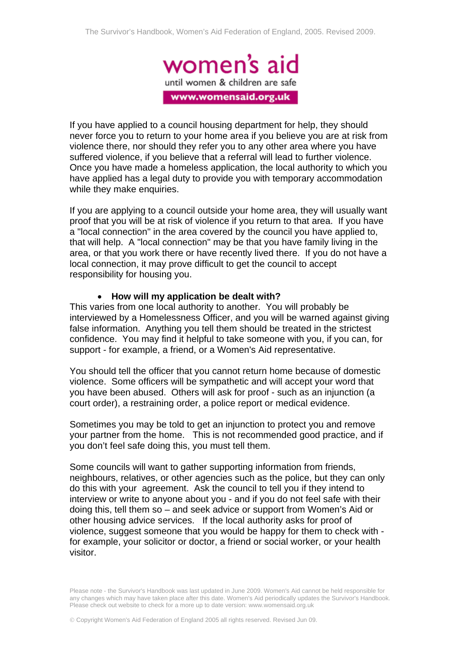

If you have applied to a council housing department for help, they should never force you to return to your home area if you believe you are at risk from violence there, nor should they refer you to any other area where you have suffered violence, if you believe that a referral will lead to further violence. Once you have made a homeless application, the local authority to which you have applied has a legal duty to provide you with temporary accommodation while they make enquiries.

If you are applying to a council outside your home area, they will usually want proof that you will be at risk of violence if you return to that area. If you have a "local connection" in the area covered by the council you have applied to, that will help. A "local connection" may be that you have family living in the area, or that you work there or have recently lived there. If you do not have a local connection, it may prove difficult to get the council to accept responsibility for housing you.

### **How will my application be dealt with?**

This varies from one local authority to another. You will probably be interviewed by a Homelessness Officer, and you will be warned against giving false information. Anything you tell them should be treated in the strictest confidence. You may find it helpful to take someone with you, if you can, for support - for example, a friend, or a Women's Aid representative.

You should tell the officer that you cannot return home because of domestic violence. Some officers will be sympathetic and will accept your word that you have been abused. Others will ask for proof - such as an injunction (a court order), a restraining order, a police report or medical evidence.

Sometimes you may be told to get an injunction to protect you and remove your partner from the home. This is not recommended good practice, and if you don't feel safe doing this, you must tell them.

Some councils will want to gather supporting information from friends, neighbours, relatives, or other agencies such as the police, but they can only do this with your agreement. Ask the council to tell you if they intend to interview or write to anyone about you - and if you do not feel safe with their doing this, tell them so – and seek advice or support from Women's Aid or other housing advice services. If the local authority asks for proof of violence, suggest someone that you would be happy for them to check with for example, your solicitor or doctor, a friend or social worker, or your health visitor.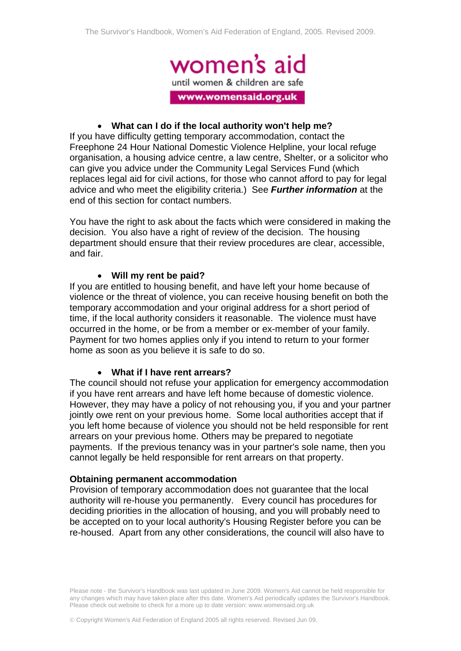

### **What can I do if the local authority won't help me?**

If you have difficulty getting temporary accommodation, contact the Freephone 24 Hour National Domestic Violence Helpline, your local refuge organisation, a housing advice centre, a law centre, Shelter, or a solicitor who can give you advice under the Community Legal Services Fund (which replaces legal aid for civil actions, for those who cannot afford to pay for legal advice and who meet the eligibility criteria.) See *Further information* at the end of this section for contact numbers.

You have the right to ask about the facts which were considered in making the decision. You also have a right of review of the decision. The housing department should ensure that their review procedures are clear, accessible, and fair.

#### **Will my rent be paid?**

If you are entitled to housing benefit, and have left your home because of violence or the threat of violence, you can receive housing benefit on both the temporary accommodation and your original address for a short period of time, if the local authority considers it reasonable. The violence must have occurred in the home, or be from a member or ex-member of your family. Payment for two homes applies only if you intend to return to your former home as soon as you believe it is safe to do so.

#### **What if I have rent arrears?**

The council should not refuse your application for emergency accommodation if you have rent arrears and have left home because of domestic violence. However, they may have a policy of not rehousing you, if you and your partner jointly owe rent on your previous home. Some local authorities accept that if you left home because of violence you should not be held responsible for rent arrears on your previous home. Others may be prepared to negotiate payments. If the previous tenancy was in your partner's sole name, then you cannot legally be held responsible for rent arrears on that property.

#### **Obtaining permanent accommodation**

Provision of temporary accommodation does not guarantee that the local authority will re-house you permanently. Every council has procedures for deciding priorities in the allocation of housing, and you will probably need to be accepted on to your local authority's Housing Register before you can be re-housed. Apart from any other considerations, the council will also have to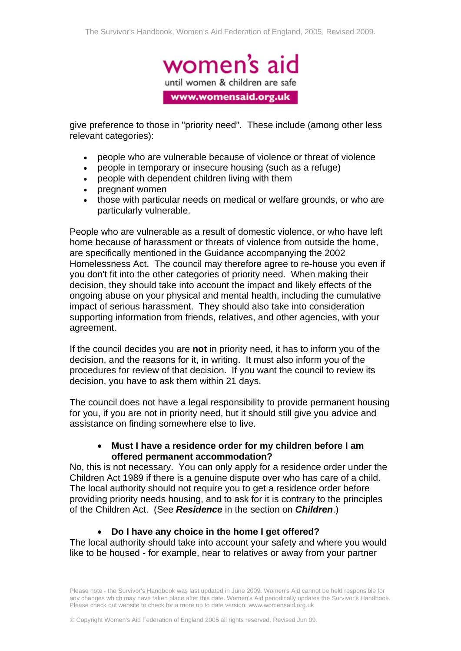

give preference to those in "priority need". These include (among other less relevant categories):

- people who are vulnerable because of violence or threat of violence
- people in temporary or insecure housing (such as a refuge)
- people with dependent children living with them
- pregnant women
- those with particular needs on medical or welfare grounds, or who are particularly vulnerable.

People who are vulnerable as a result of domestic violence, or who have left home because of harassment or threats of violence from outside the home, are specifically mentioned in the Guidance accompanying the 2002 Homelessness Act. The council may therefore agree to re-house you even if you don't fit into the other categories of priority need. When making their decision, they should take into account the impact and likely effects of the ongoing abuse on your physical and mental health, including the cumulative impact of serious harassment. They should also take into consideration supporting information from friends, relatives, and other agencies, with your agreement.

If the council decides you are **not** in priority need, it has to inform you of the decision, and the reasons for it, in writing. It must also inform you of the procedures for review of that decision. If you want the council to review its decision, you have to ask them within 21 days.

The council does not have a legal responsibility to provide permanent housing for you, if you are not in priority need, but it should still give you advice and assistance on finding somewhere else to live.

### **Must I have a residence order for my children before I am offered permanent accommodation?**

No, this is not necessary. You can only apply for a residence order under the Children Act 1989 if there is a genuine dispute over who has care of a child. The local authority should not require you to get a residence order before providing priority needs housing, and to ask for it is contrary to the principles of the Children Act. (See *Residence* in the section on *Children*.)

## **Do I have any choice in the home I get offered?**

The local authority should take into account your safety and where you would like to be housed - for example, near to relatives or away from your partner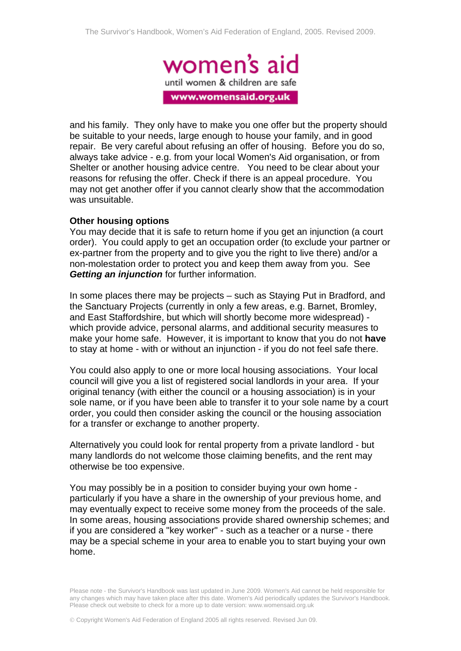

and his family. They only have to make you one offer but the property should be suitable to your needs, large enough to house your family, and in good repair. Be very careful about refusing an offer of housing. Before you do so, always take advice - e.g. from your local Women's Aid organisation, or from Shelter or another housing advice centre. You need to be clear about your reasons for refusing the offer. Check if there is an appeal procedure. You may not get another offer if you cannot clearly show that the accommodation was unsuitable.

#### **Other housing options**

You may decide that it is safe to return home if you get an injunction (a court order). You could apply to get an occupation order (to exclude your partner or ex-partner from the property and to give you the right to live there) and/or a non-molestation order to protect you and keep them away from you. See *Getting an injunction* for further information.

In some places there may be projects – such as Staying Put in Bradford, and the Sanctuary Projects (currently in only a few areas, e.g. Barnet, Bromley, and East Staffordshire, but which will shortly become more widespread) which provide advice, personal alarms, and additional security measures to make your home safe. However, it is important to know that you do not **have** to stay at home - with or without an injunction - if you do not feel safe there.

You could also apply to one or more local housing associations. Your local council will give you a list of registered social landlords in your area. If your original tenancy (with either the council or a housing association) is in your sole name, or if you have been able to transfer it to your sole name by a court order, you could then consider asking the council or the housing association for a transfer or exchange to another property.

Alternatively you could look for rental property from a private landlord - but many landlords do not welcome those claiming benefits, and the rent may otherwise be too expensive.

You may possibly be in a position to consider buying your own home particularly if you have a share in the ownership of your previous home, and may eventually expect to receive some money from the proceeds of the sale. In some areas, housing associations provide shared ownership schemes; and if you are considered a "key worker" - such as a teacher or a nurse - there may be a special scheme in your area to enable you to start buying your own home.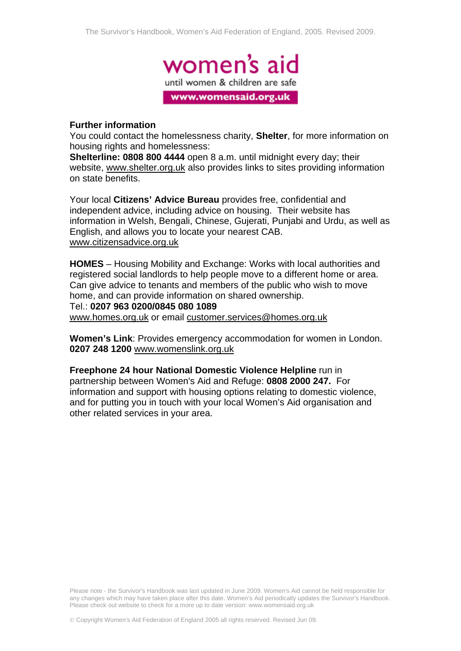

#### **Further information**

You could contact the homelessness charity, **Shelter**, for more information on housing rights and homelessness:

**Shelterline: 0808 800 4444** open 8 a.m. until midnight every day; their website, www.shelter.org.uk also provides links to sites providing information on state benefits.

Your local **Citizens' Advice Bureau** provides free, confidential and independent advice, including advice on housing. Their website has information in Welsh, Bengali, Chinese, Gujerati, Punjabi and Urdu, as well as English, and allows you to locate your nearest CAB. www.citizensadvice.org.uk

**HOMES** – Housing Mobility and Exchange: Works with local authorities and registered social landlords to help people move to a different home or area. Can give advice to tenants and members of the public who wish to move home, and can provide information on shared ownership.

## Tel.: **0207 963 0200/0845 080 1089**

www.homes.org.uk or email customer.services@homes.org.uk

**Women's Link**: Provides emergency accommodation for women in London. **0207 248 1200** www.womenslink.org.uk

**Freephone 24 hour National Domestic Violence Helpline** run in partnership between Women's Aid and Refuge: **0808 2000 247.** For information and support with housing options relating to domestic violence, and for putting you in touch with your local Women's Aid organisation and other related services in your area.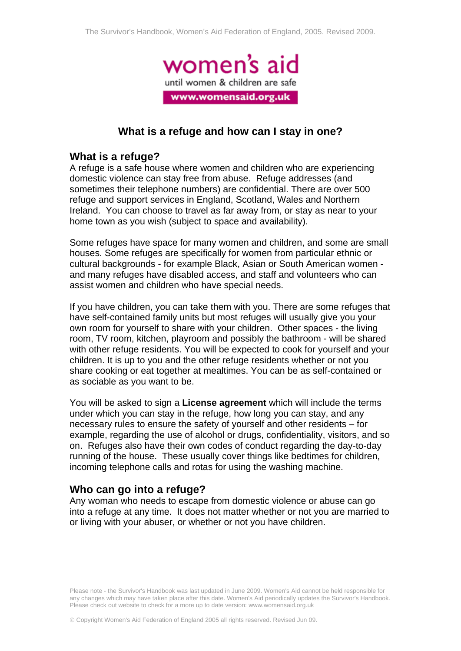

# **What is a refuge and how can I stay in one?**

## **What is a refuge?**

A refuge is a safe house where women and children who are experiencing domestic violence can stay free from abuse. Refuge addresses (and sometimes their telephone numbers) are confidential. There are over 500 refuge and support services in England, Scotland, Wales and Northern Ireland. You can choose to travel as far away from, or stay as near to your home town as you wish (subject to space and availability).

Some refuges have space for many women and children, and some are small houses. Some refuges are specifically for women from particular ethnic or cultural backgrounds - for example Black, Asian or South American women and many refuges have disabled access, and staff and volunteers who can assist women and children who have special needs.

If you have children, you can take them with you. There are some refuges that have self-contained family units but most refuges will usually give you your own room for yourself to share with your children. Other spaces - the living room, TV room, kitchen, playroom and possibly the bathroom - will be shared with other refuge residents. You will be expected to cook for yourself and your children. It is up to you and the other refuge residents whether or not you share cooking or eat together at mealtimes. You can be as self-contained or as sociable as you want to be.

You will be asked to sign a **License agreement** which will include the terms under which you can stay in the refuge, how long you can stay, and any necessary rules to ensure the safety of yourself and other residents – for example, regarding the use of alcohol or drugs, confidentiality, visitors, and so on. Refuges also have their own codes of conduct regarding the day-to-day running of the house. These usually cover things like bedtimes for children, incoming telephone calls and rotas for using the washing machine.

# **Who can go into a refuge?**

Any woman who needs to escape from domestic violence or abuse can go into a refuge at any time. It does not matter whether or not you are married to or living with your abuser, or whether or not you have children.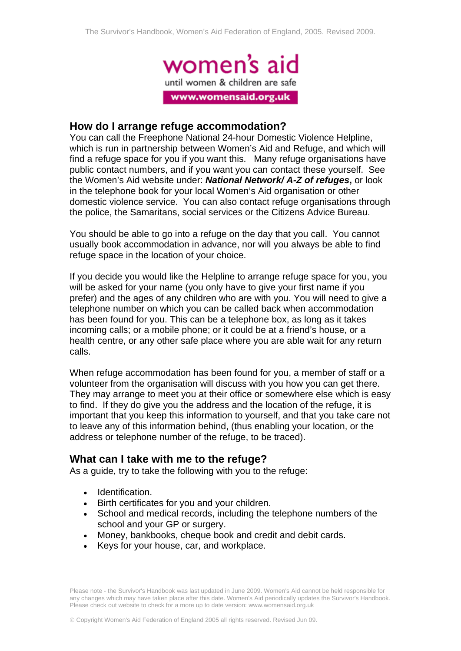

## **How do I arrange refuge accommodation?**

You can call the Freephone National 24-hour Domestic Violence Helpline, which is run in partnership between Women's Aid and Refuge, and which will find a refuge space for you if you want this. Many refuge organisations have public contact numbers, and if you want you can contact these yourself. See the Women's Aid website under: *National Network/ A-Z of refuges***,** or look in the telephone book for your local Women's Aid organisation or other domestic violence service. You can also contact refuge organisations through the police, the Samaritans, social services or the Citizens Advice Bureau.

You should be able to go into a refuge on the day that you call. You cannot usually book accommodation in advance, nor will you always be able to find refuge space in the location of your choice.

If you decide you would like the Helpline to arrange refuge space for you, you will be asked for your name (you only have to give your first name if you prefer) and the ages of any children who are with you. You will need to give a telephone number on which you can be called back when accommodation has been found for you. This can be a telephone box, as long as it takes incoming calls; or a mobile phone; or it could be at a friend's house, or a health centre, or any other safe place where you are able wait for any return calls.

When refuge accommodation has been found for you, a member of staff or a volunteer from the organisation will discuss with you how you can get there. They may arrange to meet you at their office or somewhere else which is easy to find. If they do give you the address and the location of the refuge, it is important that you keep this information to yourself, and that you take care not to leave any of this information behind, (thus enabling your location, or the address or telephone number of the refuge, to be traced).

## **What can I take with me to the refuge?**

As a guide, try to take the following with you to the refuge:

- Identification.
- Birth certificates for you and your children.
- School and medical records, including the telephone numbers of the school and your GP or surgery.
- Money, bankbooks, cheque book and credit and debit cards.
- Keys for your house, car, and workplace.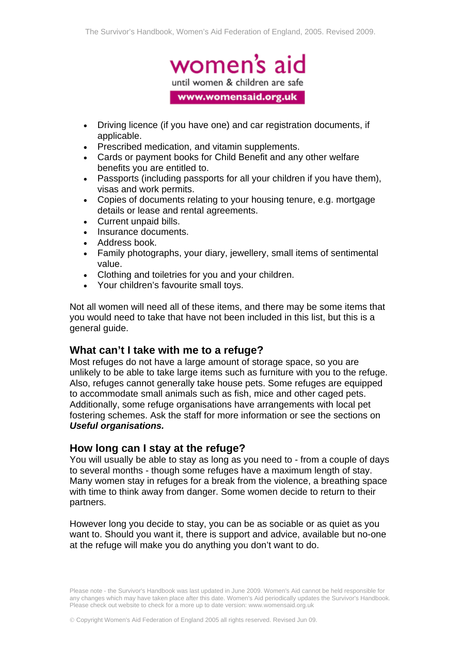

- Driving licence (if you have one) and car registration documents, if applicable.
- Prescribed medication, and vitamin supplements.
- Cards or payment books for Child Benefit and any other welfare benefits you are entitled to.
- Passports (including passports for all your children if you have them), visas and work permits.
- Copies of documents relating to your housing tenure, e.g. mortgage details or lease and rental agreements.
- Current unpaid bills.
- Insurance documents.
- Address book.
- Family photographs, your diary, jewellery, small items of sentimental value.
- Clothing and toiletries for you and your children.
- Your children's favourite small toys.

Not all women will need all of these items, and there may be some items that you would need to take that have not been included in this list, but this is a general guide.

## **What can't I take with me to a refuge?**

Most refuges do not have a large amount of storage space, so you are unlikely to be able to take large items such as furniture with you to the refuge. Also, refuges cannot generally take house pets. Some refuges are equipped to accommodate small animals such as fish, mice and other caged pets. Additionally, some refuge organisations have arrangements with local pet fostering schemes. Ask the staff for more information or see the sections on *Useful organisations.*

## **How long can I stay at the refuge?**

You will usually be able to stay as long as you need to - from a couple of days to several months - though some refuges have a maximum length of stay. Many women stay in refuges for a break from the violence, a breathing space with time to think away from danger. Some women decide to return to their partners.

However long you decide to stay, you can be as sociable or as quiet as you want to. Should you want it, there is support and advice, available but no-one at the refuge will make you do anything you don't want to do.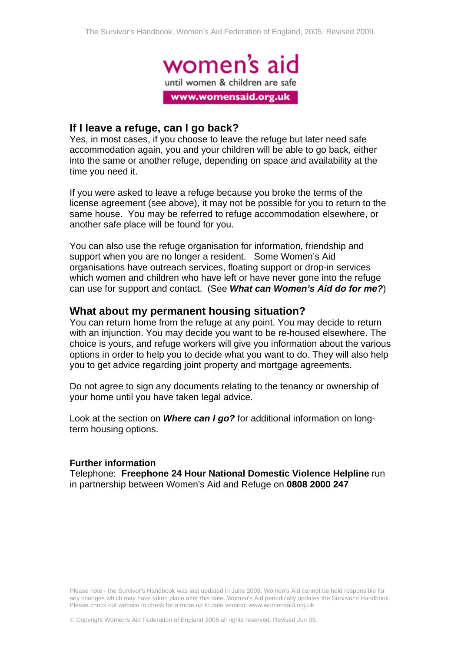

## **If I leave a refuge, can I go back?**

Yes, in most cases, if you choose to leave the refuge but later need safe accommodation again, you and your children will be able to go back, either into the same or another refuge, depending on space and availability at the time you need it.

If you were asked to leave a refuge because you broke the terms of the license agreement (see above), it may not be possible for you to return to the same house. You may be referred to refuge accommodation elsewhere, or another safe place will be found for you.

You can also use the refuge organisation for information, friendship and support when you are no longer a resident. Some Women's Aid organisations have outreach services, floating support or drop-in services which women and children who have left or have never gone into the refuge can use for support and contact. (See *What can Women's Aid do for me?*)

## **What about my permanent housing situation?**

You can return home from the refuge at any point. You may decide to return with an injunction. You may decide you want to be re-housed elsewhere. The choice is yours, and refuge workers will give you information about the various options in order to help you to decide what you want to do. They will also help you to get advice regarding joint property and mortgage agreements.

Do not agree to sign any documents relating to the tenancy or ownership of your home until you have taken legal advice.

Look at the section on *Where can I go?* for additional information on longterm housing options.

#### **Further information**

Telephone: **Freephone 24 Hour National Domestic Violence Helpline** run in partnership between Women's Aid and Refuge on **0808 2000 247**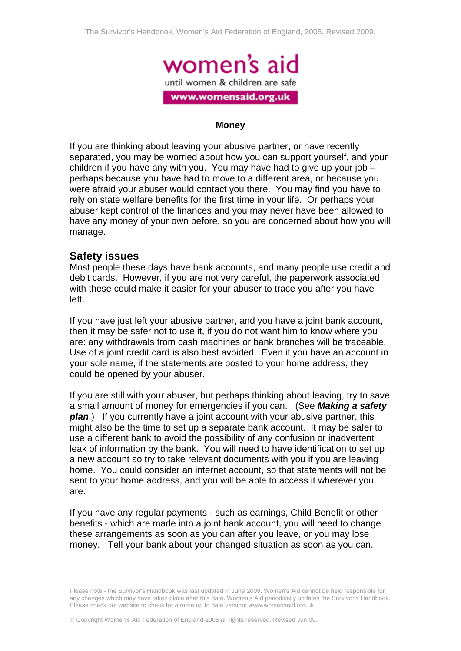

#### **Money**

If you are thinking about leaving your abusive partner, or have recently separated, you may be worried about how you can support yourself, and your children if you have any with you. You may have had to give up your job – perhaps because you have had to move to a different area, or because you were afraid your abuser would contact you there. You may find you have to rely on state welfare benefits for the first time in your life. Or perhaps your abuser kept control of the finances and you may never have been allowed to have any money of your own before, so you are concerned about how you will manage.

## **Safety issues**

Most people these days have bank accounts, and many people use credit and debit cards. However, if you are not very careful, the paperwork associated with these could make it easier for your abuser to trace you after you have left.

If you have just left your abusive partner, and you have a joint bank account, then it may be safer not to use it, if you do not want him to know where you are: any withdrawals from cash machines or bank branches will be traceable. Use of a joint credit card is also best avoided. Even if you have an account in your sole name, if the statements are posted to your home address, they could be opened by your abuser.

If you are still with your abuser, but perhaps thinking about leaving, try to save a small amount of money for emergencies if you can. (See *Making a safety plan*.) If you currently have a joint account with your abusive partner, this might also be the time to set up a separate bank account. It may be safer to use a different bank to avoid the possibility of any confusion or inadvertent leak of information by the bank. You will need to have identification to set up a new account so try to take relevant documents with you if you are leaving home. You could consider an internet account, so that statements will not be sent to your home address, and you will be able to access it wherever you are.

If you have any regular payments - such as earnings, Child Benefit or other benefits - which are made into a joint bank account, you will need to change these arrangements as soon as you can after you leave, or you may lose money. Tell your bank about your changed situation as soon as you can.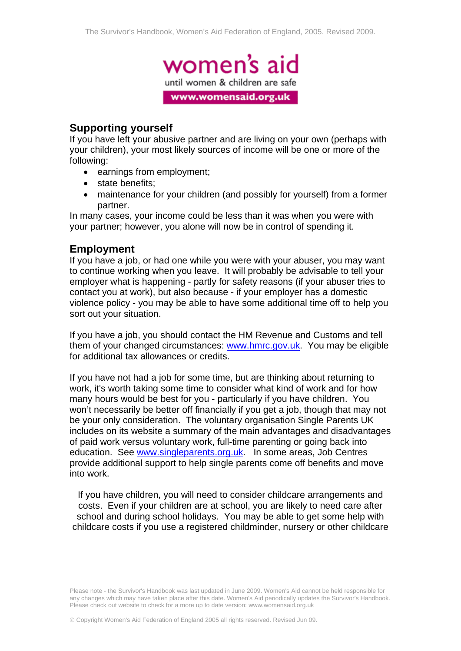

## **Supporting yourself**

If you have left your abusive partner and are living on your own (perhaps with your children), your most likely sources of income will be one or more of the following:

- earnings from employment;
- state benefits:
- maintenance for your children (and possibly for yourself) from a former partner.

In many cases, your income could be less than it was when you were with your partner; however, you alone will now be in control of spending it.

## **Employment**

If you have a job, or had one while you were with your abuser, you may want to continue working when you leave. It will probably be advisable to tell your employer what is happening - partly for safety reasons (if your abuser tries to contact you at work), but also because - if your employer has a domestic violence policy - you may be able to have some additional time off to help you sort out your situation.

If you have a job, you should contact the HM Revenue and Customs and tell them of your changed circumstances: www.hmrc.gov.uk. You may be eligible for additional tax allowances or credits.

If you have not had a job for some time, but are thinking about returning to work, it's worth taking some time to consider what kind of work and for how many hours would be best for you - particularly if you have children. You won't necessarily be better off financially if you get a job, though that may not be your only consideration. The voluntary organisation Single Parents UK includes on its website a summary of the main advantages and disadvantages of paid work versus voluntary work, full-time parenting or going back into education. See www.singleparents.org.uk. In some areas, Job Centres provide additional support to help single parents come off benefits and move into work.

If you have children, you will need to consider childcare arrangements and costs. Even if your children are at school, you are likely to need care after school and during school holidays. You may be able to get some help with childcare costs if you use a registered childminder, nursery or other childcare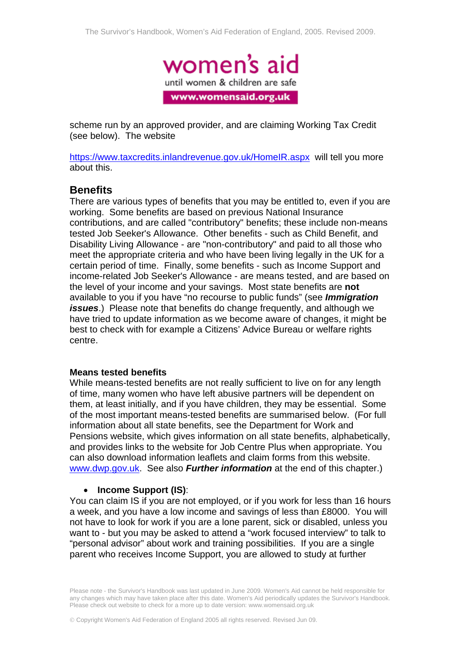

scheme run by an approved provider, and are claiming Working Tax Credit (see below). The website

https://www.taxcredits.inlandrevenue.gov.uk/HomeIR.aspx will tell you more about this.

## **Benefits**

There are various types of benefits that you may be entitled to, even if you are working. Some benefits are based on previous National Insurance contributions, and are called "contributory" benefits; these include non-means tested Job Seeker's Allowance. Other benefits - such as Child Benefit, and Disability Living Allowance - are "non-contributory" and paid to all those who meet the appropriate criteria and who have been living legally in the UK for a certain period of time. Finally, some benefits - such as Income Support and income-related Job Seeker's Allowance - are means tested, and are based on the level of your income and your savings. Most state benefits are **not**  available to you if you have "no recourse to public funds" (see *Immigration issues*.) Please note that benefits do change frequently, and although we have tried to update information as we become aware of changes, it might be best to check with for example a Citizens' Advice Bureau or welfare rights centre.

#### **Means tested benefits**

While means-tested benefits are not really sufficient to live on for any length of time, many women who have left abusive partners will be dependent on them, at least initially, and if you have children, they may be essential. Some of the most important means-tested benefits are summarised below. (For full information about all state benefits, see the Department for Work and Pensions website, which gives information on all state benefits, alphabetically, and provides links to the website for Job Centre Plus when appropriate. You can also download information leaflets and claim forms from this website. www.dwp.gov.uk. See also *Further information* at the end of this chapter.)

## **Income Support (IS)**:

You can claim IS if you are not employed, or if you work for less than 16 hours a week, and you have a low income and savings of less than £8000. You will not have to look for work if you are a lone parent, sick or disabled, unless you want to - but you may be asked to attend a "work focused interview" to talk to "personal advisor" about work and training possibilities. If you are a single parent who receives Income Support, you are allowed to study at further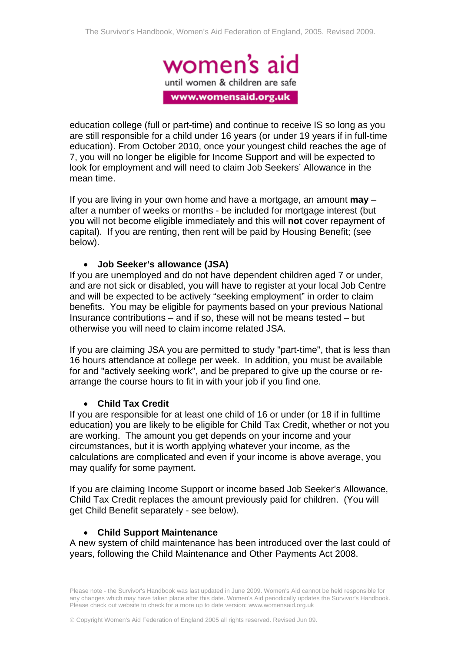

education college (full or part-time) and continue to receive IS so long as you are still responsible for a child under 16 years (or under 19 years if in full-time education). From October 2010, once your youngest child reaches the age of 7, you will no longer be eligible for Income Support and will be expected to look for employment and will need to claim Job Seekers' Allowance in the mean time.

If you are living in your own home and have a mortgage, an amount **may** – after a number of weeks or months - be included for mortgage interest (but you will not become eligible immediately and this will **not** cover repayment of capital). If you are renting, then rent will be paid by Housing Benefit; (see below).

## **Job Seeker's allowance (JSA)**

If you are unemployed and do not have dependent children aged 7 or under, and are not sick or disabled, you will have to register at your local Job Centre and will be expected to be actively "seeking employment" in order to claim benefits. You may be eligible for payments based on your previous National Insurance contributions – and if so, these will not be means tested – but otherwise you will need to claim income related JSA.

If you are claiming JSA you are permitted to study "part-time", that is less than 16 hours attendance at college per week. In addition, you must be available for and "actively seeking work", and be prepared to give up the course or rearrange the course hours to fit in with your job if you find one.

#### **Child Tax Credit**

If you are responsible for at least one child of 16 or under (or 18 if in fulltime education) you are likely to be eligible for Child Tax Credit, whether or not you are working. The amount you get depends on your income and your circumstances, but it is worth applying whatever your income, as the calculations are complicated and even if your income is above average, you may qualify for some payment.

If you are claiming Income Support or income based Job Seeker's Allowance, Child Tax Credit replaces the amount previously paid for children. (You will get Child Benefit separately - see below).

## **Child Support Maintenance**

A new system of child maintenance has been introduced over the last could of years, following the Child Maintenance and Other Payments Act 2008.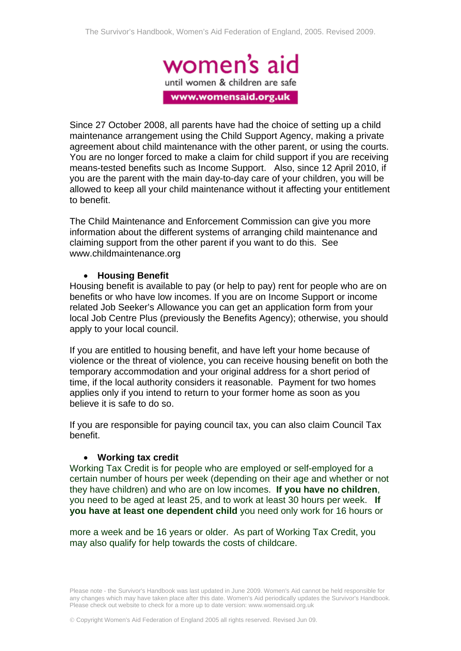

Since 27 October 2008, all parents have had the choice of setting up a child maintenance arrangement using the Child Support Agency, making a private agreement about child maintenance with the other parent, or using the courts. You are no longer forced to make a claim for child support if you are receiving means-tested benefits such as Income Support. Also, since 12 April 2010, if you are the parent with the main day-to-day care of your children, you will be allowed to keep all your child maintenance without it affecting your entitlement to benefit.

The Child Maintenance and Enforcement Commission can give you more information about the different systems of arranging child maintenance and claiming support from the other parent if you want to do this. See www.childmaintenance.org

### **Housing Benefit**

Housing benefit is available to pay (or help to pay) rent for people who are on benefits or who have low incomes. If you are on Income Support or income related Job Seeker's Allowance you can get an application form from your local Job Centre Plus (previously the Benefits Agency); otherwise, you should apply to your local council.

If you are entitled to housing benefit, and have left your home because of violence or the threat of violence, you can receive housing benefit on both the temporary accommodation and your original address for a short period of time, if the local authority considers it reasonable. Payment for two homes applies only if you intend to return to your former home as soon as you believe it is safe to do so.

If you are responsible for paying council tax, you can also claim Council Tax benefit.

#### **Working tax credit**

Working Tax Credit is for people who are employed or self-employed for a certain number of hours per week (depending on their age and whether or not they have children) and who are on low incomes. **If you have no children**, you need to be aged at least 25, and to work at least 30 hours per week. **If you have at least one dependent child** you need only work for 16 hours or

more a week and be 16 years or older. As part of Working Tax Credit, you may also qualify for help towards the costs of childcare.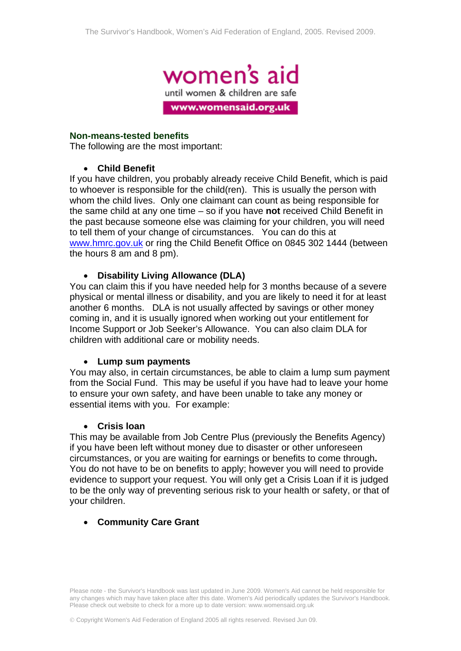

#### **Non-means-tested benefits**

The following are the most important:

### **Child Benefit**

If you have children, you probably already receive Child Benefit, which is paid to whoever is responsible for the child(ren). This is usually the person with whom the child lives. Only one claimant can count as being responsible for the same child at any one time – so if you have **not** received Child Benefit in the past because someone else was claiming for your children, you will need to tell them of your change of circumstances. You can do this at www.hmrc.gov.uk or ring the Child Benefit Office on 0845 302 1444 (between the hours 8 am and 8 pm).

### **Disability Living Allowance (DLA)**

You can claim this if you have needed help for 3 months because of a severe physical or mental illness or disability, and you are likely to need it for at least another 6 months. DLA is not usually affected by savings or other money coming in, and it is usually ignored when working out your entitlement for Income Support or Job Seeker's Allowance. You can also claim DLA for children with additional care or mobility needs.

#### **Lump sum payments**

You may also, in certain circumstances, be able to claim a lump sum payment from the Social Fund. This may be useful if you have had to leave your home to ensure your own safety, and have been unable to take any money or essential items with you. For example:

#### **Crisis loan**

This may be available from Job Centre Plus (previously the Benefits Agency) if you have been left without money due to disaster or other unforeseen circumstances, or you are waiting for earnings or benefits to come through**.**  You do not have to be on benefits to apply; however you will need to provide evidence to support your request. You will only get a Crisis Loan if it is judged to be the only way of preventing serious risk to your health or safety, or that of your children.

## **Community Care Grant**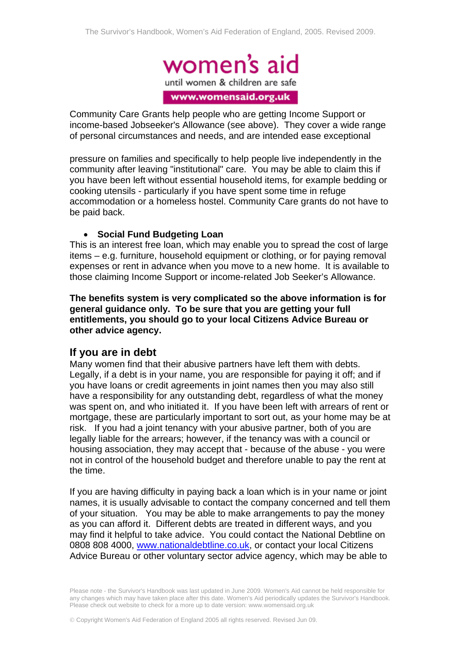

Community Care Grants help people who are getting Income Support or income-based Jobseeker's Allowance (see above). They cover a wide range of personal circumstances and needs, and are intended ease exceptional

pressure on families and specifically to help people live independently in the community after leaving "institutional" care. You may be able to claim this if you have been left without essential household items, for example bedding or cooking utensils - particularly if you have spent some time in refuge accommodation or a homeless hostel. Community Care grants do not have to be paid back.

## **Social Fund Budgeting Loan**

This is an interest free loan, which may enable you to spread the cost of large items – e.g. furniture, household equipment or clothing, or for paying removal expenses or rent in advance when you move to a new home. It is available to those claiming Income Support or income-related Job Seeker's Allowance.

**The benefits system is very complicated so the above information is for general guidance only. To be sure that you are getting your full entitlements, you should go to your local Citizens Advice Bureau or other advice agency.** 

## **If you are in debt**

Many women find that their abusive partners have left them with debts. Legally, if a debt is in your name, you are responsible for paying it off; and if you have loans or credit agreements in joint names then you may also still have a responsibility for any outstanding debt, regardless of what the money was spent on, and who initiated it. If you have been left with arrears of rent or mortgage, these are particularly important to sort out, as your home may be at risk. If you had a joint tenancy with your abusive partner, both of you are legally liable for the arrears; however, if the tenancy was with a council or housing association, they may accept that - because of the abuse - you were not in control of the household budget and therefore unable to pay the rent at the time.

If you are having difficulty in paying back a loan which is in your name or joint names, it is usually advisable to contact the company concerned and tell them of your situation. You may be able to make arrangements to pay the money as you can afford it. Different debts are treated in different ways, and you may find it helpful to take advice. You could contact the National Debtline on 0808 808 4000, www.nationaldebtline.co.uk, or contact your local Citizens Advice Bureau or other voluntary sector advice agency, which may be able to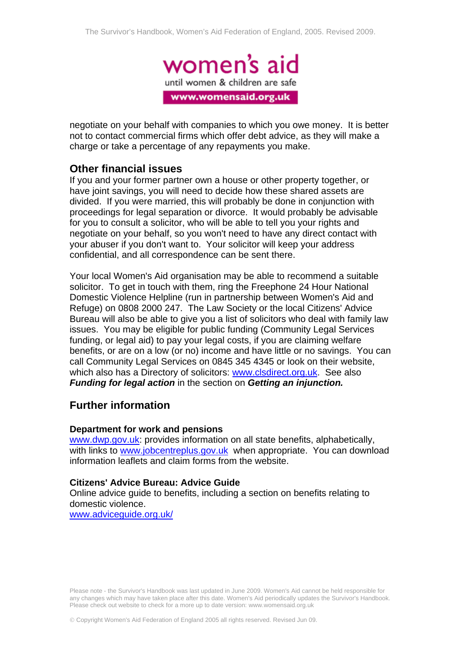

negotiate on your behalf with companies to which you owe money. It is better not to contact commercial firms which offer debt advice, as they will make a charge or take a percentage of any repayments you make.

# **Other financial issues**

If you and your former partner own a house or other property together, or have joint savings, you will need to decide how these shared assets are divided. If you were married, this will probably be done in conjunction with proceedings for legal separation or divorce. It would probably be advisable for you to consult a solicitor, who will be able to tell you your rights and negotiate on your behalf, so you won't need to have any direct contact with your abuser if you don't want to. Your solicitor will keep your address confidential, and all correspondence can be sent there.

Your local Women's Aid organisation may be able to recommend a suitable solicitor. To get in touch with them, ring the Freephone 24 Hour National Domestic Violence Helpline (run in partnership between Women's Aid and Refuge) on 0808 2000 247. The Law Society or the local Citizens' Advice Bureau will also be able to give you a list of solicitors who deal with family law issues. You may be eligible for public funding (Community Legal Services funding, or legal aid) to pay your legal costs, if you are claiming welfare benefits, or are on a low (or no) income and have little or no savings. You can call Community Legal Services on 0845 345 4345 or look on their website, which also has a Directory of solicitors: www.clsdirect.org.uk. See also *Funding for legal action* in the section on *Getting an injunction.*

## **Further information**

## **Department for work and pensions**

www.dwp.gov.uk: provides information on all state benefits, alphabetically, with links to www.jobcentreplus.gov.uk when appropriate. You can download information leaflets and claim forms from the website.

## **Citizens' Advice Bureau: Advice Guide**

Online advice guide to benefits, including a section on benefits relating to domestic violence.

www.adviceguide.org.uk/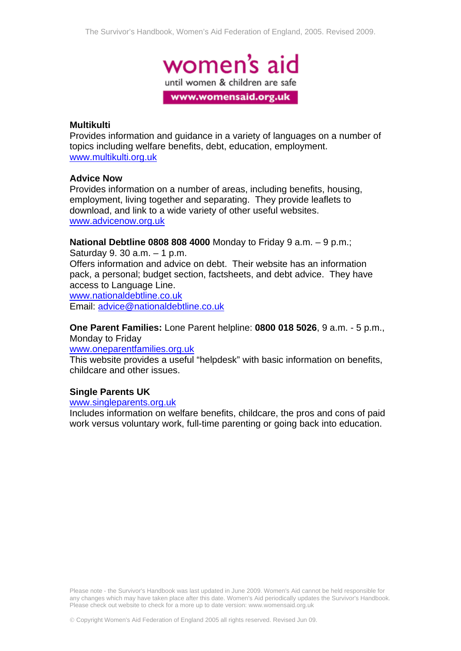

#### **Multikulti**

Provides information and guidance in a variety of languages on a number of topics including welfare benefits, debt, education, employment. www.multikulti.org.uk

## **Advice Now**

Provides information on a number of areas, including benefits, housing, employment, living together and separating. They provide leaflets to download, and link to a wide variety of other useful websites. www.advicenow.org.uk

## **National Debtline 0808 808 4000** Monday to Friday 9 a.m. – 9 p.m.;

Saturday 9. 30 a.m. – 1 p.m. Offers information and advice on debt. Their website has an information pack, a personal; budget section, factsheets, and debt advice. They have access to Language Line.

www.nationaldebtline.co.uk Email: advice@nationaldebtline.co.uk

**One Parent Families:** Lone Parent helpline: **0800 018 5026**, 9 a.m. - 5 p.m., Monday to Friday

www.oneparentfamilies.org.uk

This website provides a useful "helpdesk" with basic information on benefits, childcare and other issues.

## **Single Parents UK**

#### www.singleparents.org.uk

Includes information on welfare benefits, childcare, the pros and cons of paid work versus voluntary work, full-time parenting or going back into education.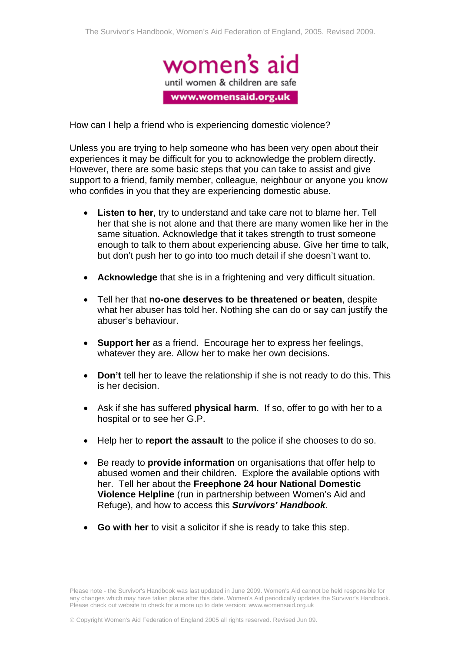

How can I help a friend who is experiencing domestic violence?

Unless you are trying to help someone who has been very open about their experiences it may be difficult for you to acknowledge the problem directly. However, there are some basic steps that you can take to assist and give support to a friend, family member, colleague, neighbour or anyone you know who confides in you that they are experiencing domestic abuse.

- **Listen to her**, try to understand and take care not to blame her. Tell her that she is not alone and that there are many women like her in the same situation. Acknowledge that it takes strength to trust someone enough to talk to them about experiencing abuse. Give her time to talk, but don't push her to go into too much detail if she doesn't want to.
- **Acknowledge** that she is in a frightening and very difficult situation.
- Tell her that **no-one deserves to be threatened or beaten**, despite what her abuser has told her. Nothing she can do or say can justify the abuser's behaviour.
- **Support her** as a friend. Encourage her to express her feelings, whatever they are. Allow her to make her own decisions.
- **Don't** tell her to leave the relationship if she is not ready to do this. This is her decision.
- Ask if she has suffered **physical harm**. If so, offer to go with her to a hospital or to see her G.P.
- Help her to **report the assault** to the police if she chooses to do so.
- Be ready to **provide information** on organisations that offer help to abused women and their children. Explore the available options with her. Tell her about the **Freephone 24 hour National Domestic Violence Helpline** (run in partnership between Women's Aid and Refuge), and how to access this *Survivors' Handbook*.
- **Go with her** to visit a solicitor if she is ready to take this step.

Please note - the Survivor's Handbook was last updated in June 2009. Women's Aid cannot be held responsible for any changes which may have taken place after this date. Women's Aid periodically updates the Survivor's Handbook. Please check out website to check for a more up to date version: www.womensaid.org.uk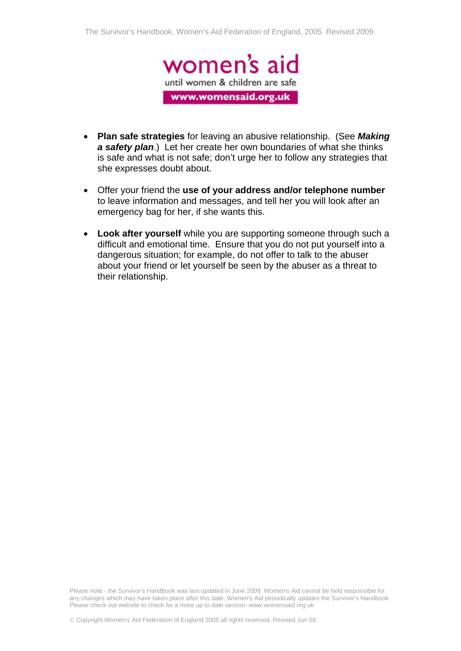

- **Plan safe strategies** for leaving an abusive relationship. (See *Making a safety plan*.) Let her create her own boundaries of what she thinks is safe and what is not safe; don't urge her to follow any strategies that she expresses doubt about.
- Offer your friend the **use of your address and/or telephone number** to leave information and messages, and tell her you will look after an emergency bag for her, if she wants this.
- **Look after yourself** while you are supporting someone through such a difficult and emotional time. Ensure that you do not put yourself into a dangerous situation; for example, do not offer to talk to the abuser about your friend or let yourself be seen by the abuser as a threat to their relationship.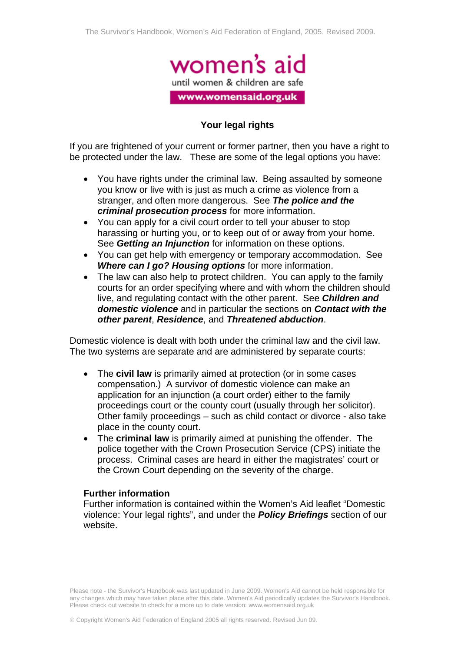

## **Your legal rights**

If you are frightened of your current or former partner, then you have a right to be protected under the law. These are some of the legal options you have:

- You have rights under the criminal law. Being assaulted by someone you know or live with is just as much a crime as violence from a stranger, and often more dangerous. See *The police and the criminal prosecution process* for more information.
- You can apply for a civil court order to tell your abuser to stop harassing or hurting you, or to keep out of or away from your home. See *Getting an Injunction* for information on these options.
- You can get help with emergency or temporary accommodation. See *Where can I go? Housing options* for more information.
- The law can also help to protect children. You can apply to the family courts for an order specifying where and with whom the children should live, and regulating contact with the other parent. See *Children and domestic violence* and in particular the sections on *Contact with the other parent*, *Residence*, and *Threatened abduction*.

Domestic violence is dealt with both under the criminal law and the civil law. The two systems are separate and are administered by separate courts:

- The **civil law** is primarily aimed at protection (or in some cases compensation.) A survivor of domestic violence can make an application for an injunction (a court order) either to the family proceedings court or the county court (usually through her solicitor). Other family proceedings – such as child contact or divorce - also take place in the county court.
- The **criminal law** is primarily aimed at punishing the offender. The police together with the Crown Prosecution Service (CPS) initiate the process. Criminal cases are heard in either the magistrates' court or the Crown Court depending on the severity of the charge.

## **Further information**

Further information is contained within the Women's Aid leaflet "Domestic violence: Your legal rights", and under the *Policy Briefings* section of our website.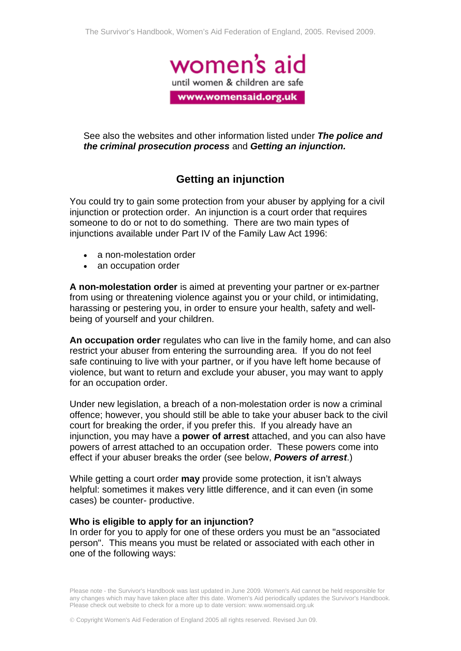

See also the websites and other information listed under *The police and the criminal prosecution process* and *Getting an injunction.* 

# **Getting an injunction**

You could try to gain some protection from your abuser by applying for a civil injunction or protection order. An injunction is a court order that requires someone to do or not to do something. There are two main types of injunctions available under Part IV of the Family Law Act 1996:

- a non-molestation order
- an occupation order

**A non-molestation order** is aimed at preventing your partner or ex-partner from using or threatening violence against you or your child, or intimidating, harassing or pestering you, in order to ensure your health, safety and wellbeing of yourself and your children.

**An occupation order** regulates who can live in the family home, and can also restrict your abuser from entering the surrounding area. If you do not feel safe continuing to live with your partner, or if you have left home because of violence, but want to return and exclude your abuser, you may want to apply for an occupation order.

Under new legislation, a breach of a non-molestation order is now a criminal offence; however, you should still be able to take your abuser back to the civil court for breaking the order, if you prefer this. If you already have an injunction, you may have a **power of arrest** attached, and you can also have powers of arrest attached to an occupation order. These powers come into effect if your abuser breaks the order (see below, *Powers of arrest*.)

While getting a court order **may** provide some protection, it isn't always helpful: sometimes it makes very little difference, and it can even (in some cases) be counter- productive.

## **Who is eligible to apply for an injunction?**

In order for you to apply for one of these orders you must be an "associated person". This means you must be related or associated with each other in one of the following ways: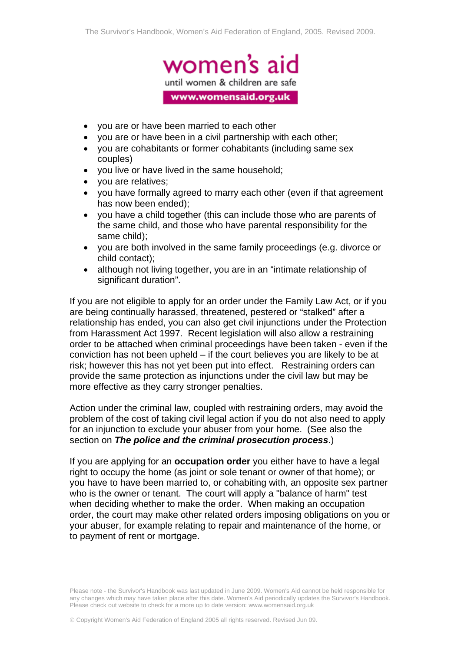

- you are or have been married to each other
- you are or have been in a civil partnership with each other;
- you are cohabitants or former cohabitants (including same sex couples)
- you live or have lived in the same household;
- you are relatives;
- you have formally agreed to marry each other (even if that agreement has now been ended);
- vou have a child together (this can include those who are parents of the same child, and those who have parental responsibility for the same child);
- you are both involved in the same family proceedings (e.g. divorce or child contact);
- although not living together, you are in an "intimate relationship of significant duration".

If you are not eligible to apply for an order under the Family Law Act, or if you are being continually harassed, threatened, pestered or "stalked" after a relationship has ended, you can also get civil injunctions under the Protection from Harassment Act 1997. Recent legislation will also allow a restraining order to be attached when criminal proceedings have been taken - even if the conviction has not been upheld – if the court believes you are likely to be at risk; however this has not yet been put into effect. Restraining orders can provide the same protection as injunctions under the civil law but may be more effective as they carry stronger penalties.

Action under the criminal law, coupled with restraining orders, may avoid the problem of the cost of taking civil legal action if you do not also need to apply for an injunction to exclude your abuser from your home. (See also the section on *The police and the criminal prosecution process*.)

If you are applying for an **occupation order** you either have to have a legal right to occupy the home (as joint or sole tenant or owner of that home); or you have to have been married to, or cohabiting with, an opposite sex partner who is the owner or tenant. The court will apply a "balance of harm" test when deciding whether to make the order. When making an occupation order, the court may make other related orders imposing obligations on you or your abuser, for example relating to repair and maintenance of the home, or to payment of rent or mortgage.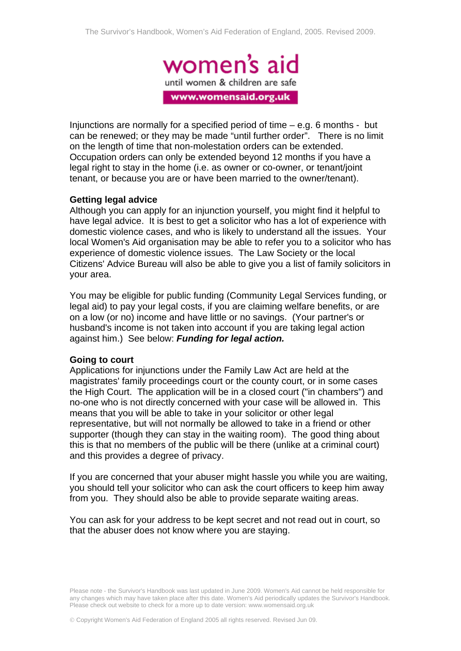

Injunctions are normally for a specified period of time  $-$  e.g. 6 months - but can be renewed; or they may be made "until further order". There is no limit on the length of time that non-molestation orders can be extended. Occupation orders can only be extended beyond 12 months if you have a legal right to stay in the home (i.e. as owner or co-owner, or tenant/joint tenant, or because you are or have been married to the owner/tenant).

## **Getting legal advice**

Although you can apply for an injunction yourself, you might find it helpful to have legal advice. It is best to get a solicitor who has a lot of experience with domestic violence cases, and who is likely to understand all the issues. Your local Women's Aid organisation may be able to refer you to a solicitor who has experience of domestic violence issues. The Law Society or the local Citizens' Advice Bureau will also be able to give you a list of family solicitors in your area.

You may be eligible for public funding (Community Legal Services funding, or legal aid) to pay your legal costs, if you are claiming welfare benefits, or are on a low (or no) income and have little or no savings. (Your partner's or husband's income is not taken into account if you are taking legal action against him.) See below: *Funding for legal action.* 

## **Going to court**

Applications for injunctions under the Family Law Act are held at the magistrates' family proceedings court or the county court, or in some cases the High Court. The application will be in a closed court ("in chambers") and no-one who is not directly concerned with your case will be allowed in. This means that you will be able to take in your solicitor or other legal representative, but will not normally be allowed to take in a friend or other supporter (though they can stay in the waiting room). The good thing about this is that no members of the public will be there (unlike at a criminal court) and this provides a degree of privacy.

If you are concerned that your abuser might hassle you while you are waiting, you should tell your solicitor who can ask the court officers to keep him away from you. They should also be able to provide separate waiting areas.

You can ask for your address to be kept secret and not read out in court, so that the abuser does not know where you are staying.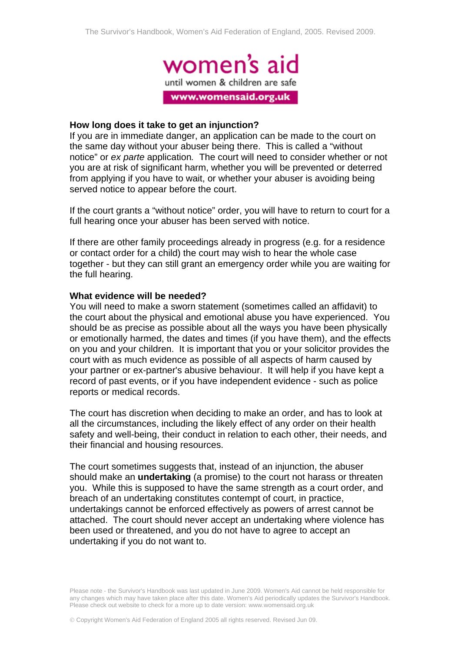

#### **How long does it take to get an injunction?**

If you are in immediate danger, an application can be made to the court on the same day without your abuser being there. This is called a "without notice" or *ex parte* application*.* The court will need to consider whether or not you are at risk of significant harm, whether you will be prevented or deterred from applying if you have to wait, or whether your abuser is avoiding being served notice to appear before the court.

If the court grants a "without notice" order, you will have to return to court for a full hearing once your abuser has been served with notice.

If there are other family proceedings already in progress (e.g. for a residence or contact order for a child) the court may wish to hear the whole case together - but they can still grant an emergency order while you are waiting for the full hearing.

#### **What evidence will be needed?**

You will need to make a sworn statement (sometimes called an affidavit) to the court about the physical and emotional abuse you have experienced. You should be as precise as possible about all the ways you have been physically or emotionally harmed, the dates and times (if you have them), and the effects on you and your children. It is important that you or your solicitor provides the court with as much evidence as possible of all aspects of harm caused by your partner or ex-partner's abusive behaviour. It will help if you have kept a record of past events, or if you have independent evidence - such as police reports or medical records.

The court has discretion when deciding to make an order, and has to look at all the circumstances, including the likely effect of any order on their health safety and well-being, their conduct in relation to each other, their needs, and their financial and housing resources.

The court sometimes suggests that, instead of an injunction, the abuser should make an **undertaking** (a promise) to the court not harass or threaten you. While this is supposed to have the same strength as a court order, and breach of an undertaking constitutes contempt of court, in practice, undertakings cannot be enforced effectively as powers of arrest cannot be attached. The court should never accept an undertaking where violence has been used or threatened, and you do not have to agree to accept an undertaking if you do not want to.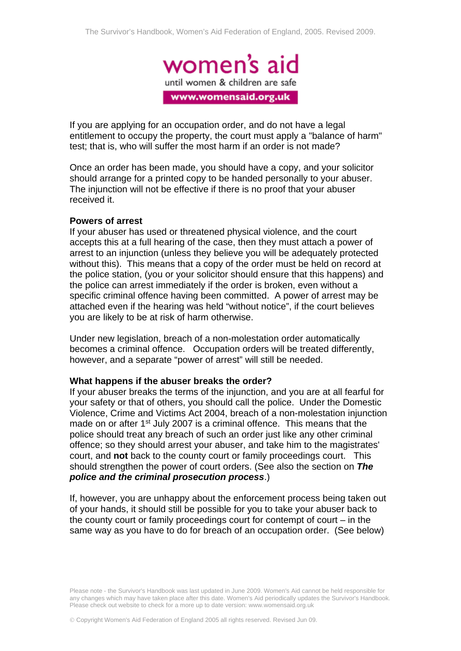

If you are applying for an occupation order, and do not have a legal entitlement to occupy the property, the court must apply a "balance of harm" test; that is, who will suffer the most harm if an order is not made?

Once an order has been made, you should have a copy, and your solicitor should arrange for a printed copy to be handed personally to your abuser. The injunction will not be effective if there is no proof that your abuser received it.

## **Powers of arrest**

If your abuser has used or threatened physical violence, and the court accepts this at a full hearing of the case, then they must attach a power of arrest to an injunction (unless they believe you will be adequately protected without this). This means that a copy of the order must be held on record at the police station, (you or your solicitor should ensure that this happens) and the police can arrest immediately if the order is broken, even without a specific criminal offence having been committed. A power of arrest may be attached even if the hearing was held "without notice", if the court believes you are likely to be at risk of harm otherwise.

Under new legislation, breach of a non-molestation order automatically becomes a criminal offence. Occupation orders will be treated differently, however, and a separate "power of arrest" will still be needed.

## **What happens if the abuser breaks the order?**

If your abuser breaks the terms of the injunction, and you are at all fearful for your safety or that of others, you should call the police. Under the Domestic Violence, Crime and Victims Act 2004, breach of a non-molestation injunction made on or after 1<sup>st</sup> July 2007 is a criminal offence. This means that the police should treat any breach of such an order just like any other criminal offence; so they should arrest your abuser, and take him to the magistrates' court, and **not** back to the county court or family proceedings court. This should strengthen the power of court orders. (See also the section on *The police and the criminal prosecution process*.)

If, however, you are unhappy about the enforcement process being taken out of your hands, it should still be possible for you to take your abuser back to the county court or family proceedings court for contempt of court – in the same way as you have to do for breach of an occupation order. (See below)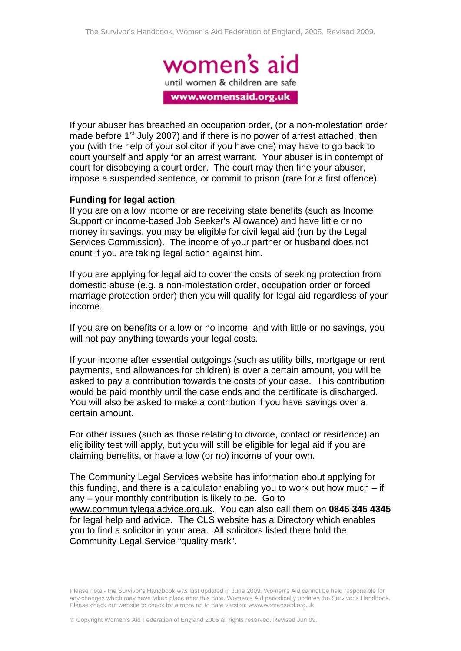

If your abuser has breached an occupation order, (or a non-molestation order made before 1<sup>st</sup> July 2007) and if there is no power of arrest attached, then you (with the help of your solicitor if you have one) may have to go back to court yourself and apply for an arrest warrant. Your abuser is in contempt of court for disobeying a court order. The court may then fine your abuser, impose a suspended sentence, or commit to prison (rare for a first offence).

## **Funding for legal action**

If you are on a low income or are receiving state benefits (such as Income Support or income-based Job Seeker's Allowance) and have little or no money in savings, you may be eligible for civil legal aid (run by the Legal Services Commission). The income of your partner or husband does not count if you are taking legal action against him.

If you are applying for legal aid to cover the costs of seeking protection from domestic abuse (e.g. a non-molestation order, occupation order or forced marriage protection order) then you will qualify for legal aid regardless of your income.

If you are on benefits or a low or no income, and with little or no savings, you will not pay anything towards your legal costs.

If your income after essential outgoings (such as utility bills, mortgage or rent payments, and allowances for children) is over a certain amount, you will be asked to pay a contribution towards the costs of your case. This contribution would be paid monthly until the case ends and the certificate is discharged. You will also be asked to make a contribution if you have savings over a certain amount.

For other issues (such as those relating to divorce, contact or residence) an eligibility test will apply, but you will still be eligible for legal aid if you are claiming benefits, or have a low (or no) income of your own.

The Community Legal Services website has information about applying for this funding, and there is a calculator enabling you to work out how much – if any – your monthly contribution is likely to be. Go to www.communitylegaladvice.org.uk. You can also call them on **0845 345 4345** for legal help and advice. The CLS website has a Directory which enables you to find a solicitor in your area. All solicitors listed there hold the Community Legal Service "quality mark".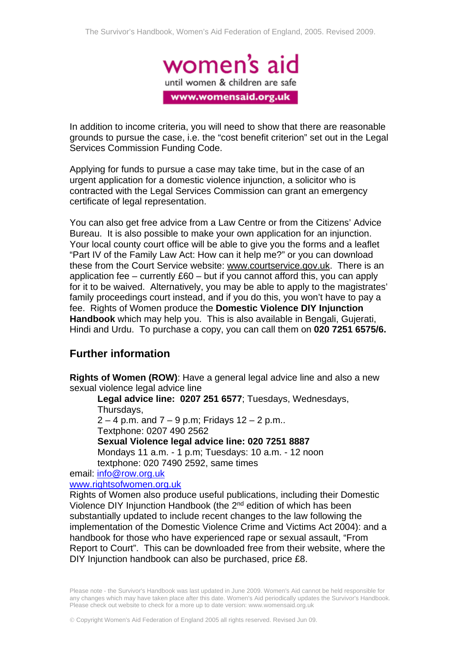

In addition to income criteria, you will need to show that there are reasonable grounds to pursue the case, i.e. the "cost benefit criterion" set out in the Legal Services Commission Funding Code.

Applying for funds to pursue a case may take time, but in the case of an urgent application for a domestic violence injunction, a solicitor who is contracted with the Legal Services Commission can grant an emergency certificate of legal representation.

You can also get free advice from a Law Centre or from the Citizens' Advice Bureau. It is also possible to make your own application for an injunction. Your local county court office will be able to give you the forms and a leaflet "Part IV of the Family Law Act: How can it help me?" or you can download these from the Court Service website: www.courtservice.gov.uk. There is an application fee – currently £60 – but if you cannot afford this, you can apply for it to be waived. Alternatively, you may be able to apply to the magistrates' family proceedings court instead, and if you do this, you won't have to pay a fee. Rights of Women produce the **Domestic Violence DIY Injunction Handbook** which may help you. This is also available in Bengali, Gujerati, Hindi and Urdu. To purchase a copy, you can call them on **020 7251 6575/6.** 

# **Further information**

**Rights of Women (ROW)**: Have a general legal advice line and also a new sexual violence legal advice line

**Legal advice line: 0207 251 6577**; Tuesdays, Wednesdays, Thursdays,  $2 - 4$  p.m. and  $7 - 9$  p.m; Fridays  $12 - 2$  p.m.. Textphone: 0207 490 2562 **Sexual Violence legal advice line: 020 7251 8887** Mondays 11 a.m. - 1 p.m; Tuesdays: 10 a.m. - 12 noon textphone: 020 7490 2592, same times

email: info@row.org.uk

www.rightsofwomen.org.uk

Rights of Women also produce useful publications, including their Domestic Violence DIY Injunction Handbook (the 2nd edition of which has been substantially updated to include recent changes to the law following the implementation of the Domestic Violence Crime and Victims Act 2004): and a handbook for those who have experienced rape or sexual assault, "From Report to Court". This can be downloaded free from their website, where the DIY Injunction handbook can also be purchased, price £8.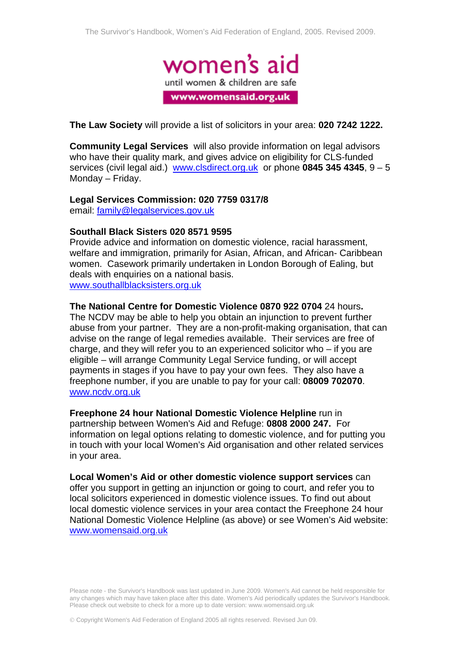

**The Law Society** will provide a list of solicitors in your area: **020 7242 1222.**

**Community Legal Services** will also provide information on legal advisors who have their quality mark, and gives advice on eligibility for CLS-funded services (civil legal aid.) www.clsdirect.org.uk or phone **0845 345 4345**, 9 – 5 Monday – Friday.

## **Legal Services Commission: 020 7759 0317/8**

email: family@legalservices.gov.uk

## **Southall Black Sisters 020 8571 9595**

Provide advice and information on domestic violence, racial harassment, welfare and immigration, primarily for Asian, African, and African- Caribbean women. Casework primarily undertaken in London Borough of Ealing, but deals with enquiries on a national basis. www.southallblacksisters.org.uk

## **The National Centre for Domestic Violence 0870 922 0704** 24 hours**.**  The NCDV may be able to help you obtain an injunction to prevent further abuse from your partner. They are a non-profit-making organisation, that can advise on the range of legal remedies available. Their services are free of charge, and they will refer you to an experienced solicitor who – if you are eligible – will arrange Community Legal Service funding, or will accept payments in stages if you have to pay your own fees. They also have a freephone number, if you are unable to pay for your call: **08009 702070**.

www.ncdv.org.uk

## **Freephone 24 hour National Domestic Violence Helpline** run in partnership between Women's Aid and Refuge: **0808 2000 247.** For information on legal options relating to domestic violence, and for putting you in touch with your local Women's Aid organisation and other related services in your area.

**Local Women's Aid or other domestic violence support services** can offer you support in getting an injunction or going to court, and refer you to local solicitors experienced in domestic violence issues. To find out about local domestic violence services in your area contact the Freephone 24 hour National Domestic Violence Helpline (as above) or see Women's Aid website: www.womensaid.org.uk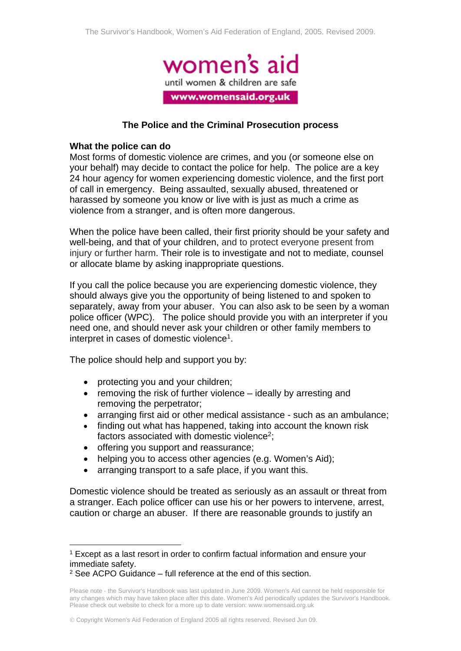

## **The Police and the Criminal Prosecution process**

#### **What the police can do**

Most forms of domestic violence are crimes, and you (or someone else on your behalf) may decide to contact the police for help. The police are a key 24 hour agency for women experiencing domestic violence, and the first port of call in emergency. Being assaulted, sexually abused, threatened or harassed by someone you know or live with is just as much a crime as violence from a stranger, and is often more dangerous.

When the police have been called, their first priority should be your safety and well-being, and that of your children, and to protect everyone present from injury or further harm. Their role is to investigate and not to mediate, counsel or allocate blame by asking inappropriate questions.

If you call the police because you are experiencing domestic violence, they should always give you the opportunity of being listened to and spoken to separately, away from your abuser. You can also ask to be seen by a woman police officer (WPC). The police should provide you with an interpreter if you need one, and should never ask your children or other family members to interpret in cases of domestic violence<sup>1</sup>.

The police should help and support you by:

- protecting you and your children;
- removing the risk of further violence ideally by arresting and removing the perpetrator;
- arranging first aid or other medical assistance such as an ambulance;
- finding out what has happened, taking into account the known risk factors associated with domestic violence2;
- offering you support and reassurance;

1

- helping you to access other agencies (e.g. Women's Aid);
- arranging transport to a safe place, if you want this.

Domestic violence should be treated as seriously as an assault or threat from a stranger. Each police officer can use his or her powers to intervene, arrest, caution or charge an abuser. If there are reasonable grounds to justify an

<sup>1</sup> Except as a last resort in order to confirm factual information and ensure your immediate safety.

<sup>2</sup> See ACPO Guidance – full reference at the end of this section.

Please note - the Survivor's Handbook was last updated in June 2009. Women's Aid cannot be held responsible for any changes which may have taken place after this date. Women's Aid periodically updates the Survivor's Handbook. Please check out website to check for a more up to date version: www.womensaid.org.uk

Copyright Women's Aid Federation of England 2005 all rights reserved. Revised Jun 09.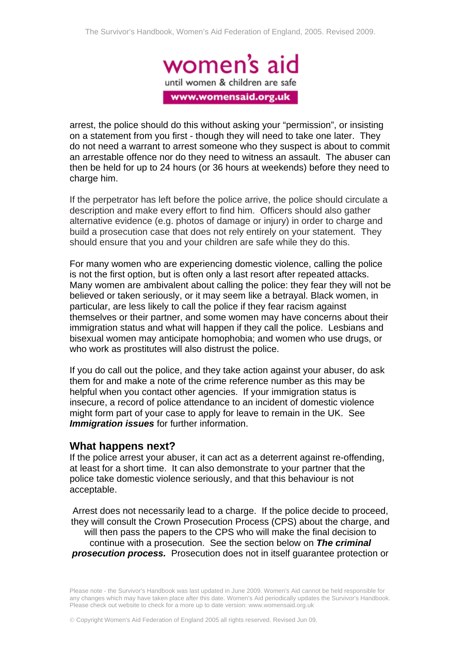

arrest, the police should do this without asking your "permission", or insisting on a statement from you first - though they will need to take one later. They do not need a warrant to arrest someone who they suspect is about to commit an arrestable offence nor do they need to witness an assault. The abuser can then be held for up to 24 hours (or 36 hours at weekends) before they need to charge him.

If the perpetrator has left before the police arrive, the police should circulate a description and make every effort to find him. Officers should also gather alternative evidence (e.g. photos of damage or injury) in order to charge and build a prosecution case that does not rely entirely on your statement. They should ensure that you and your children are safe while they do this.

For many women who are experiencing domestic violence, calling the police is not the first option, but is often only a last resort after repeated attacks. Many women are ambivalent about calling the police: they fear they will not be believed or taken seriously, or it may seem like a betrayal. Black women, in particular, are less likely to call the police if they fear racism against themselves or their partner, and some women may have concerns about their immigration status and what will happen if they call the police. Lesbians and bisexual women may anticipate homophobia; and women who use drugs, or who work as prostitutes will also distrust the police.

If you do call out the police, and they take action against your abuser, do ask them for and make a note of the crime reference number as this may be helpful when you contact other agencies. If your immigration status is insecure, a record of police attendance to an incident of domestic violence might form part of your case to apply for leave to remain in the UK. See *Immigration issues* for further information.

## **What happens next?**

If the police arrest your abuser, it can act as a deterrent against re-offending, at least for a short time. It can also demonstrate to your partner that the police take domestic violence seriously, and that this behaviour is not acceptable.

Arrest does not necessarily lead to a charge. If the police decide to proceed, they will consult the Crown Prosecution Process (CPS) about the charge, and will then pass the papers to the CPS who will make the final decision to continue with a prosecution. See the section below on *The criminal prosecution process.* Prosecution does not in itself guarantee protection or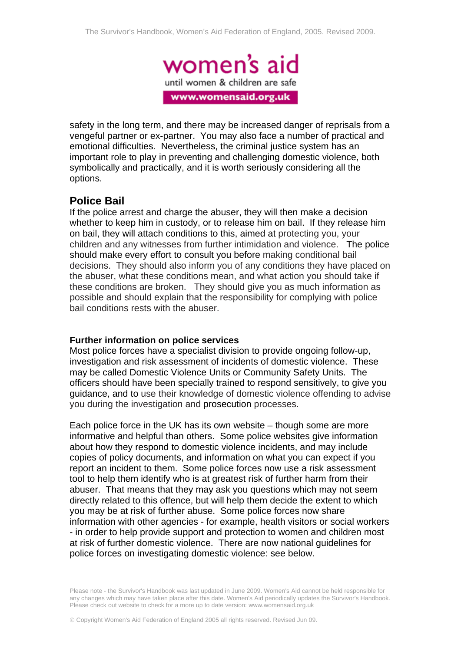

safety in the long term, and there may be increased danger of reprisals from a vengeful partner or ex-partner. You may also face a number of practical and emotional difficulties. Nevertheless, the criminal justice system has an important role to play in preventing and challenging domestic violence, both symbolically and practically, and it is worth seriously considering all the options.

# **Police Bail**

If the police arrest and charge the abuser, they will then make a decision whether to keep him in custody, or to release him on bail. If they release him on bail, they will attach conditions to this, aimed at protecting you, your children and any witnesses from further intimidation and violence. The police should make every effort to consult you before making conditional bail decisions. They should also inform you of any conditions they have placed on the abuser, what these conditions mean, and what action you should take if these conditions are broken. They should give you as much information as possible and should explain that the responsibility for complying with police bail conditions rests with the abuser.

## **Further information on police services**

Most police forces have a specialist division to provide ongoing follow-up, investigation and risk assessment of incidents of domestic violence. These may be called Domestic Violence Units or Community Safety Units. The officers should have been specially trained to respond sensitively, to give you guidance, and to use their knowledge of domestic violence offending to advise you during the investigation and prosecution processes.

Each police force in the UK has its own website – though some are more informative and helpful than others. Some police websites give information about how they respond to domestic violence incidents, and may include copies of policy documents, and information on what you can expect if you report an incident to them. Some police forces now use a risk assessment tool to help them identify who is at greatest risk of further harm from their abuser. That means that they may ask you questions which may not seem directly related to this offence, but will help them decide the extent to which you may be at risk of further abuse. Some police forces now share information with other agencies - for example, health visitors or social workers - in order to help provide support and protection to women and children most at risk of further domestic violence. There are now national guidelines for police forces on investigating domestic violence: see below.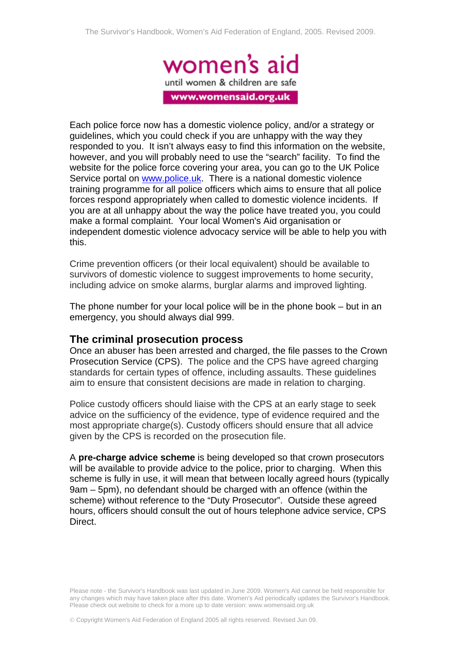

Each police force now has a domestic violence policy, and/or a strategy or guidelines, which you could check if you are unhappy with the way they responded to you. It isn't always easy to find this information on the website, however, and you will probably need to use the "search" facility. To find the website for the police force covering your area, you can go to the UK Police Service portal on www.police.uk. There is a national domestic violence training programme for all police officers which aims to ensure that all police forces respond appropriately when called to domestic violence incidents. If you are at all unhappy about the way the police have treated you, you could make a formal complaint. Your local Women's Aid organisation or independent domestic violence advocacy service will be able to help you with this.

Crime prevention officers (or their local equivalent) should be available to survivors of domestic violence to suggest improvements to home security, including advice on smoke alarms, burglar alarms and improved lighting.

The phone number for your local police will be in the phone book – but in an emergency, you should always dial 999.

## **The criminal prosecution process**

Once an abuser has been arrested and charged, the file passes to the Crown Prosecution Service (CPS). The police and the CPS have agreed charging standards for certain types of offence, including assaults. These guidelines aim to ensure that consistent decisions are made in relation to charging.

Police custody officers should liaise with the CPS at an early stage to seek advice on the sufficiency of the evidence, type of evidence required and the most appropriate charge(s). Custody officers should ensure that all advice given by the CPS is recorded on the prosecution file.

A **pre-charge advice scheme** is being developed so that crown prosecutors will be available to provide advice to the police, prior to charging. When this scheme is fully in use, it will mean that between locally agreed hours (typically 9am – 5pm), no defendant should be charged with an offence (within the scheme) without reference to the "Duty Prosecutor". Outside these agreed hours, officers should consult the out of hours telephone advice service, CPS **Direct.**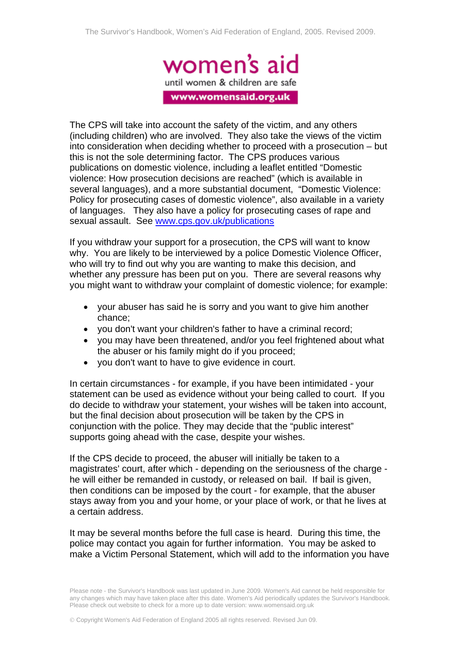

The CPS will take into account the safety of the victim, and any others (including children) who are involved. They also take the views of the victim into consideration when deciding whether to proceed with a prosecution – but this is not the sole determining factor. The CPS produces various publications on domestic violence, including a leaflet entitled "Domestic violence: How prosecution decisions are reached" (which is available in several languages), and a more substantial document, "Domestic Violence: Policy for prosecuting cases of domestic violence", also available in a variety of languages. They also have a policy for prosecuting cases of rape and sexual assault. See www.cps.gov.uk/publications

If you withdraw your support for a prosecution, the CPS will want to know why. You are likely to be interviewed by a police Domestic Violence Officer, who will try to find out why you are wanting to make this decision, and whether any pressure has been put on you. There are several reasons why you might want to withdraw your complaint of domestic violence; for example:

- your abuser has said he is sorry and you want to give him another chance;
- you don't want your children's father to have a criminal record;
- you may have been threatened, and/or you feel frightened about what the abuser or his family might do if you proceed;
- you don't want to have to give evidence in court.

In certain circumstances - for example, if you have been intimidated - your statement can be used as evidence without your being called to court. If you do decide to withdraw your statement, your wishes will be taken into account, but the final decision about prosecution will be taken by the CPS in conjunction with the police. They may decide that the "public interest" supports going ahead with the case, despite your wishes.

If the CPS decide to proceed, the abuser will initially be taken to a magistrates' court, after which - depending on the seriousness of the charge he will either be remanded in custody, or released on bail. If bail is given, then conditions can be imposed by the court - for example, that the abuser stays away from you and your home, or your place of work, or that he lives at a certain address.

It may be several months before the full case is heard. During this time, the police may contact you again for further information. You may be asked to make a Victim Personal Statement, which will add to the information you have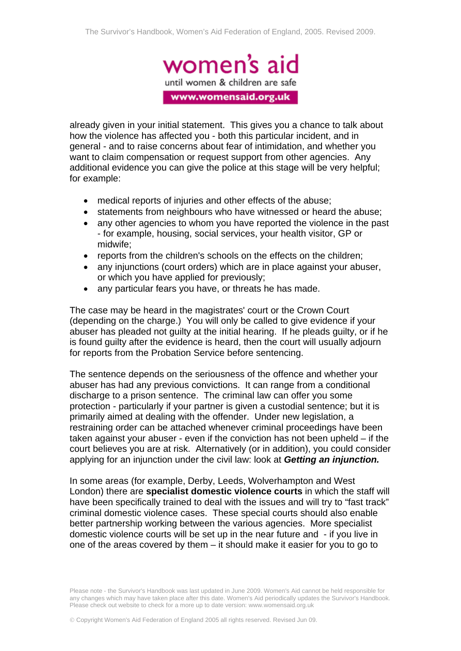

already given in your initial statement. This gives you a chance to talk about how the violence has affected you - both this particular incident, and in general - and to raise concerns about fear of intimidation, and whether you want to claim compensation or request support from other agencies. Any additional evidence you can give the police at this stage will be very helpful; for example:

- medical reports of injuries and other effects of the abuse;
- statements from neighbours who have witnessed or heard the abuse;
- any other agencies to whom you have reported the violence in the past - for example, housing, social services, your health visitor, GP or midwife;
- reports from the children's schools on the effects on the children;
- any injunctions (court orders) which are in place against your abuser, or which you have applied for previously;
- any particular fears you have, or threats he has made.

The case may be heard in the magistrates' court or the Crown Court (depending on the charge.) You will only be called to give evidence if your abuser has pleaded not guilty at the initial hearing. If he pleads guilty, or if he is found guilty after the evidence is heard, then the court will usually adjourn for reports from the Probation Service before sentencing.

The sentence depends on the seriousness of the offence and whether your abuser has had any previous convictions. It can range from a conditional discharge to a prison sentence. The criminal law can offer you some protection - particularly if your partner is given a custodial sentence; but it is primarily aimed at dealing with the offender. Under new legislation, a restraining order can be attached whenever criminal proceedings have been taken against your abuser - even if the conviction has not been upheld – if the court believes you are at risk. Alternatively (or in addition), you could consider applying for an injunction under the civil law: look at *Getting an injunction.*

In some areas (for example, Derby, Leeds, Wolverhampton and West London) there are **specialist domestic violence courts** in which the staff will have been specifically trained to deal with the issues and will try to "fast track" criminal domestic violence cases. These special courts should also enable better partnership working between the various agencies. More specialist domestic violence courts will be set up in the near future and - if you live in one of the areas covered by them – it should make it easier for you to go to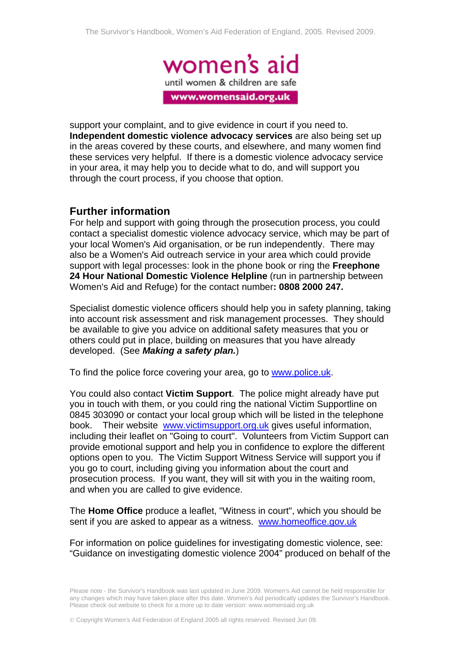

support your complaint, and to give evidence in court if you need to. **Independent domestic violence advocacy services** are also being set up in the areas covered by these courts, and elsewhere, and many women find these services very helpful. If there is a domestic violence advocacy service in your area, it may help you to decide what to do, and will support you through the court process, if you choose that option.

# **Further information**

For help and support with going through the prosecution process, you could contact a specialist domestic violence advocacy service, which may be part of your local Women's Aid organisation, or be run independently. There may also be a Women's Aid outreach service in your area which could provide support with legal processes: look in the phone book or ring the **Freephone 24 Hour National Domestic Violence Helpline** (run in partnership between Women's Aid and Refuge) for the contact number**: 0808 2000 247.** 

Specialist domestic violence officers should help you in safety planning, taking into account risk assessment and risk management processes. They should be available to give you advice on additional safety measures that you or others could put in place, building on measures that you have already developed. (See *Making a safety plan.*)

To find the police force covering your area, go to www.police.uk.

You could also contact **Victim Support**. The police might already have put you in touch with them, or you could ring the national Victim Supportline on 0845 303090 or contact your local group which will be listed in the telephone book. Their website www.victimsupport.org.uk gives useful information, including their leaflet on "Going to court". Volunteers from Victim Support can provide emotional support and help you in confidence to explore the different options open to you. The Victim Support Witness Service will support you if you go to court, including giving you information about the court and prosecution process. If you want, they will sit with you in the waiting room, and when you are called to give evidence.

The **Home Office** produce a leaflet, "Witness in court", which you should be sent if you are asked to appear as a witness. www.homeoffice.gov.uk

For information on police guidelines for investigating domestic violence, see: "Guidance on investigating domestic violence 2004" produced on behalf of the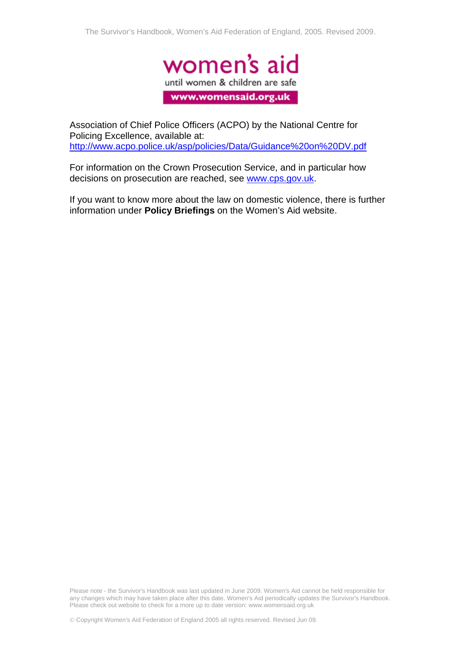

Association of Chief Police Officers (ACPO) by the National Centre for Policing Excellence, available at: http://www.acpo.police.uk/asp/policies/Data/Guidance%20on%20DV.pdf

For information on the Crown Prosecution Service, and in particular how decisions on prosecution are reached, see www.cps.gov.uk.

If you want to know more about the law on domestic violence, there is further information under **Policy Briefings** on the Women's Aid website.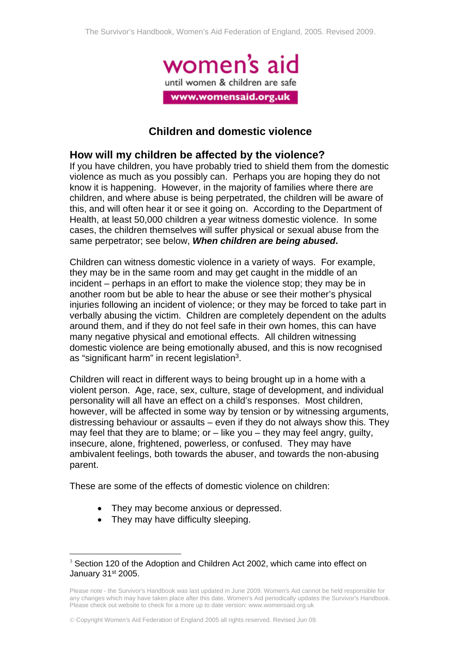

# **Children and domestic violence**

## **How will my children be affected by the violence?**

If you have children, you have probably tried to shield them from the domestic violence as much as you possibly can. Perhaps you are hoping they do not know it is happening. However, in the majority of families where there are children, and where abuse is being perpetrated, the children will be aware of this, and will often hear it or see it going on. According to the Department of Health, at least 50,000 children a year witness domestic violence. In some cases, the children themselves will suffer physical or sexual abuse from the same perpetrator; see below, *When children are being abused***.** 

Children can witness domestic violence in a variety of ways. For example, they may be in the same room and may get caught in the middle of an incident – perhaps in an effort to make the violence stop; they may be in another room but be able to hear the abuse or see their mother's physical injuries following an incident of violence; or they may be forced to take part in verbally abusing the victim. Children are completely dependent on the adults around them, and if they do not feel safe in their own homes, this can have many negative physical and emotional effects. All children witnessing domestic violence are being emotionally abused, and this is now recognised as "significant harm" in recent legislation3.

Children will react in different ways to being brought up in a home with a violent person. Age, race, sex, culture, stage of development, and individual personality will all have an effect on a child's responses. Most children, however, will be affected in some way by tension or by witnessing arguments, distressing behaviour or assaults – even if they do not always show this. They may feel that they are to blame; or  $-$  like you  $-$  they may feel angry, guilty, insecure, alone, frightened, powerless, or confused. They may have ambivalent feelings, both towards the abuser, and towards the non-abusing parent.

These are some of the effects of domestic violence on children:

- They may become anxious or depressed.
- They may have difficulty sleeping.

1

 $3$  Section 120 of the Adoption and Children Act 2002, which came into effect on January 31<sup>st</sup> 2005.

Please note - the Survivor's Handbook was last updated in June 2009. Women's Aid cannot be held responsible for any changes which may have taken place after this date. Women's Aid periodically updates the Survivor's Handbook. Please check out website to check for a more up to date version: www.womensaid.org.uk

Copyright Women's Aid Federation of England 2005 all rights reserved. Revised Jun 09.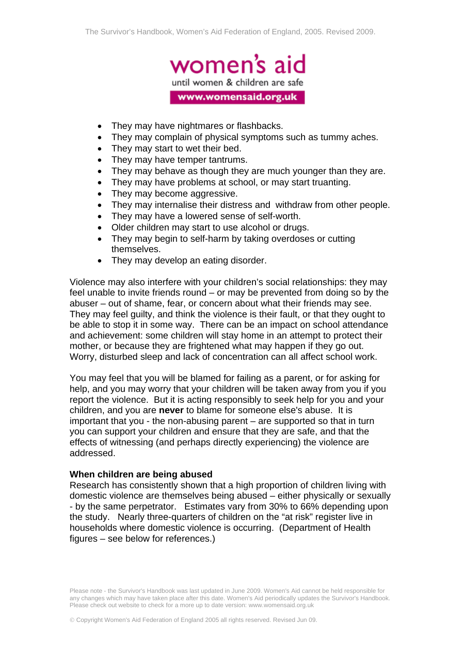

- They may have nightmares or flashbacks.
- They may complain of physical symptoms such as tummy aches.
- They may start to wet their bed.
- They may have temper tantrums.
- They may behave as though they are much younger than they are.
- They may have problems at school, or may start truanting.
- They may become aggressive.
- They may internalise their distress and withdraw from other people.
- They may have a lowered sense of self-worth.
- Older children may start to use alcohol or drugs.
- They may begin to self-harm by taking overdoses or cutting themselves.
- They may develop an eating disorder.

Violence may also interfere with your children's social relationships: they may feel unable to invite friends round – or may be prevented from doing so by the abuser – out of shame, fear, or concern about what their friends may see. They may feel guilty, and think the violence is their fault, or that they ought to be able to stop it in some way. There can be an impact on school attendance and achievement: some children will stay home in an attempt to protect their mother, or because they are frightened what may happen if they go out. Worry, disturbed sleep and lack of concentration can all affect school work.

You may feel that you will be blamed for failing as a parent, or for asking for help, and you may worry that your children will be taken away from you if you report the violence. But it is acting responsibly to seek help for you and your children, and you are **never** to blame for someone else's abuse. It is important that you - the non-abusing parent – are supported so that in turn you can support your children and ensure that they are safe, and that the effects of witnessing (and perhaps directly experiencing) the violence are addressed.

## **When children are being abused**

Research has consistently shown that a high proportion of children living with domestic violence are themselves being abused – either physically or sexually - by the same perpetrator. Estimates vary from 30% to 66% depending upon the study. Nearly three-quarters of children on the "at risk" register live in households where domestic violence is occurring. (Department of Health figures – see below for references.)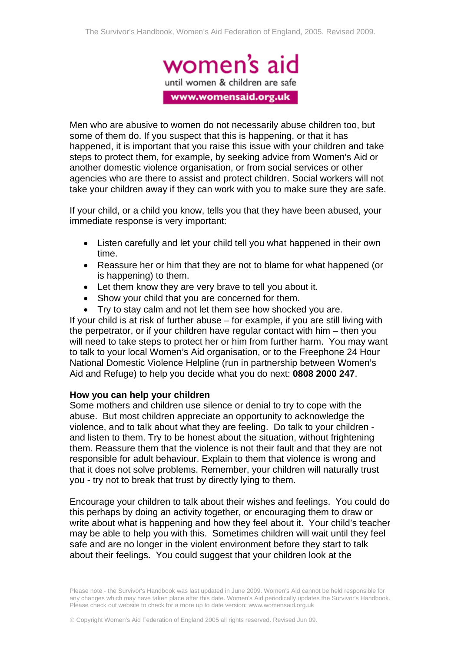

Men who are abusive to women do not necessarily abuse children too, but some of them do. If you suspect that this is happening, or that it has happened, it is important that you raise this issue with your children and take steps to protect them, for example, by seeking advice from Women's Aid or another domestic violence organisation, or from social services or other agencies who are there to assist and protect children. Social workers will not take your children away if they can work with you to make sure they are safe.

If your child, or a child you know, tells you that they have been abused, your immediate response is very important:

- Listen carefully and let your child tell you what happened in their own time.
- Reassure her or him that they are not to blame for what happened (or is happening) to them.
- Let them know they are very brave to tell you about it.
- Show your child that you are concerned for them.
- Try to stay calm and not let them see how shocked you are.

If your child is at risk of further abuse – for example, if you are still living with the perpetrator, or if your children have regular contact with him – then you will need to take steps to protect her or him from further harm. You may want to talk to your local Women's Aid organisation, or to the Freephone 24 Hour National Domestic Violence Helpline (run in partnership between Women's Aid and Refuge) to help you decide what you do next: **0808 2000 247**.

## **How you can help your children**

Some mothers and children use silence or denial to try to cope with the abuse. But most children appreciate an opportunity to acknowledge the violence, and to talk about what they are feeling. Do talk to your children and listen to them. Try to be honest about the situation, without frightening them. Reassure them that the violence is not their fault and that they are not responsible for adult behaviour. Explain to them that violence is wrong and that it does not solve problems. Remember, your children will naturally trust you - try not to break that trust by directly lying to them.

Encourage your children to talk about their wishes and feelings. You could do this perhaps by doing an activity together, or encouraging them to draw or write about what is happening and how they feel about it. Your child's teacher may be able to help you with this. Sometimes children will wait until they feel safe and are no longer in the violent environment before they start to talk about their feelings. You could suggest that your children look at the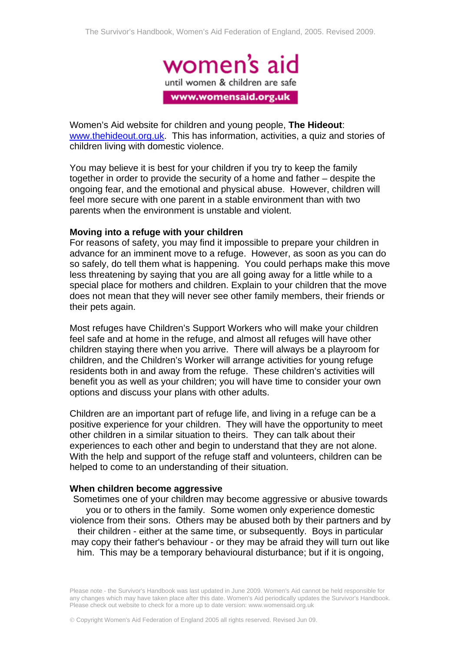

Women's Aid website for children and young people, **The Hideout**: www.thehideout.org.uk. This has information, activities, a quiz and stories of children living with domestic violence.

You may believe it is best for your children if you try to keep the family together in order to provide the security of a home and father – despite the ongoing fear, and the emotional and physical abuse. However, children will feel more secure with one parent in a stable environment than with two parents when the environment is unstable and violent.

## **Moving into a refuge with your children**

For reasons of safety, you may find it impossible to prepare your children in advance for an imminent move to a refuge. However, as soon as you can do so safely, do tell them what is happening. You could perhaps make this move less threatening by saying that you are all going away for a little while to a special place for mothers and children. Explain to your children that the move does not mean that they will never see other family members, their friends or their pets again.

Most refuges have Children's Support Workers who will make your children feel safe and at home in the refuge, and almost all refuges will have other children staying there when you arrive. There will always be a playroom for children, and the Children's Worker will arrange activities for young refuge residents both in and away from the refuge. These children's activities will benefit you as well as your children; you will have time to consider your own options and discuss your plans with other adults.

Children are an important part of refuge life, and living in a refuge can be a positive experience for your children. They will have the opportunity to meet other children in a similar situation to theirs. They can talk about their experiences to each other and begin to understand that they are not alone. With the help and support of the refuge staff and volunteers, children can be helped to come to an understanding of their situation.

## **When children become aggressive**

Sometimes one of your children may become aggressive or abusive towards you or to others in the family. Some women only experience domestic violence from their sons. Others may be abused both by their partners and by their children - either at the same time, or subsequently. Boys in particular may copy their father's behaviour - or they may be afraid they will turn out like him. This may be a temporary behavioural disturbance; but if it is ongoing,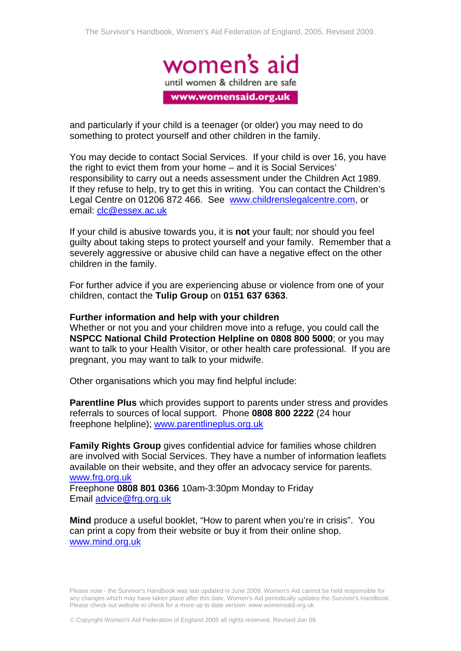

and particularly if your child is a teenager (or older) you may need to do something to protect yourself and other children in the family.

You may decide to contact Social Services. If your child is over 16, you have the right to evict them from your home – and it is Social Services' responsibility to carry out a needs assessment under the Children Act 1989. If they refuse to help, try to get this in writing. You can contact the Children's Legal Centre on 01206 872 466. See www.childrenslegalcentre.com, or email: clc@essex.ac.uk

If your child is abusive towards you, it is **not** your fault; nor should you feel guilty about taking steps to protect yourself and your family. Remember that a severely aggressive or abusive child can have a negative effect on the other children in the family.

For further advice if you are experiencing abuse or violence from one of your children, contact the **Tulip Group** on **0151 637 6363**.

## **Further information and help with your children**

Whether or not you and your children move into a refuge, you could call the **NSPCC National Child Protection Helpline on 0808 800 5000**; or you may want to talk to your Health Visitor, or other health care professional. If you are pregnant, you may want to talk to your midwife.

Other organisations which you may find helpful include:

**Parentline Plus** which provides support to parents under stress and provides referrals to sources of local support. Phone **0808 800 2222** (24 hour freephone helpline); www.parentlineplus.org.uk

**Family Rights Group** gives confidential advice for families whose children are involved with Social Services. They have a number of information leaflets available on their website, and they offer an advocacy service for parents. www.frg.org.uk

Freephone **0808 801 0366** 10am-3:30pm Monday to Friday Email advice@frg.org.uk

**Mind** produce a useful booklet, "How to parent when you're in crisis". You can print a copy from their website or buy it from their online shop. www.mind.org.uk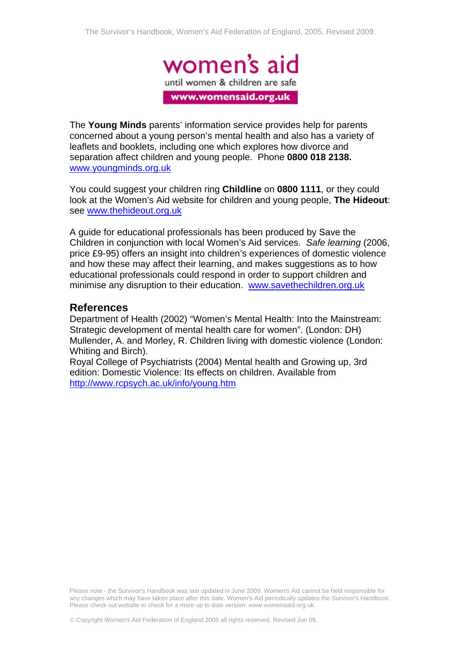

The **Young Minds** parents' information service provides help for parents concerned about a young person's mental health and also has a variety of leaflets and booklets, including one which explores how divorce and separation affect children and young people. Phone **0800 018 2138.** www.youngminds.org.uk

You could suggest your children ring **Childline** on **0800 1111**, or they could look at the Women's Aid website for children and young people, **The Hideout**: see www.thehideout.org.uk

A guide for educational professionals has been produced by Save the Children in conjunction with local Women's Aid services. *Safe learning* (2006, price £9-95) offers an insight into children's experiences of domestic violence and how these may affect their learning, and makes suggestions as to how educational professionals could respond in order to support children and minimise any disruption to their education. www.savethechildren.org.uk

## **References**

Department of Health (2002) "Women's Mental Health: Into the Mainstream: Strategic development of mental health care for women". (London: DH) Mullender, A. and Morley, R. Children living with domestic violence (London: Whiting and Birch).

Royal College of Psychiatrists (2004) Mental health and Growing up, 3rd edition: Domestic Violence: Its effects on children. Available from http://www.rcpsych.ac.uk/info/young.htm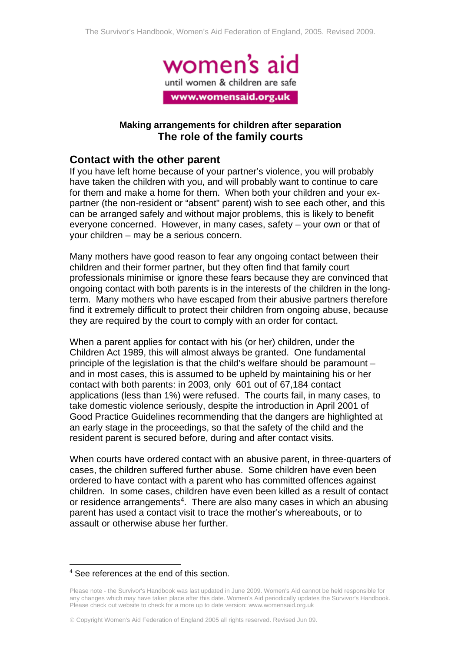

## **Making arrangements for children after separation The role of the family courts**

## **Contact with the other parent**

If you have left home because of your partner's violence, you will probably have taken the children with you, and will probably want to continue to care for them and make a home for them. When both your children and your expartner (the non-resident or "absent" parent) wish to see each other, and this can be arranged safely and without major problems, this is likely to benefit everyone concerned. However, in many cases, safety – your own or that of your children – may be a serious concern.

Many mothers have good reason to fear any ongoing contact between their children and their former partner, but they often find that family court professionals minimise or ignore these fears because they are convinced that ongoing contact with both parents is in the interests of the children in the longterm. Many mothers who have escaped from their abusive partners therefore find it extremely difficult to protect their children from ongoing abuse, because they are required by the court to comply with an order for contact.

When a parent applies for contact with his (or her) children, under the Children Act 1989, this will almost always be granted. One fundamental principle of the legislation is that the child's welfare should be paramount – and in most cases, this is assumed to be upheld by maintaining his or her contact with both parents: in 2003, only 601 out of 67,184 contact applications (less than 1%) were refused. The courts fail, in many cases, to take domestic violence seriously, despite the introduction in April 2001 of Good Practice Guidelines recommending that the dangers are highlighted at an early stage in the proceedings, so that the safety of the child and the resident parent is secured before, during and after contact visits.

When courts have ordered contact with an abusive parent, in three-quarters of cases, the children suffered further abuse. Some children have even been ordered to have contact with a parent who has committed offences against children. In some cases, children have even been killed as a result of contact or residence arrangements<sup>4</sup>. There are also many cases in which an abusing parent has used a contact visit to trace the mother's whereabouts, or to assault or otherwise abuse her further.

1

<sup>4</sup> See references at the end of this section.

Please note - the Survivor's Handbook was last updated in June 2009. Women's Aid cannot be held responsible for any changes which may have taken place after this date. Women's Aid periodically updates the Survivor's Handbook. Please check out website to check for a more up to date version: www.womensaid.org.uk

Copyright Women's Aid Federation of England 2005 all rights reserved. Revised Jun 09.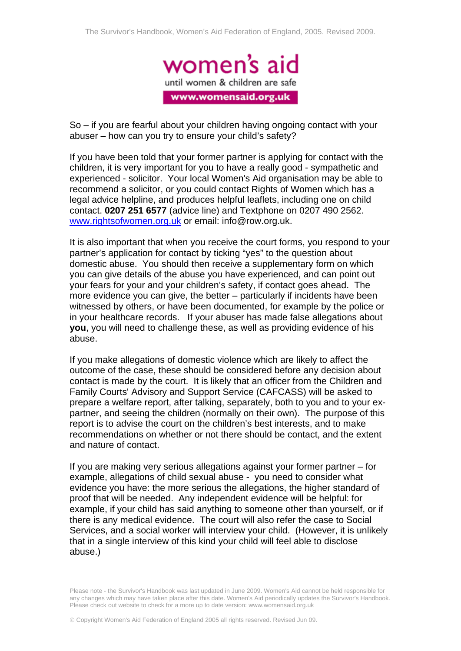

So – if you are fearful about your children having ongoing contact with your abuser – how can you try to ensure your child's safety?

If you have been told that your former partner is applying for contact with the children, it is very important for you to have a really good - sympathetic and experienced - solicitor. Your local Women's Aid organisation may be able to recommend a solicitor, or you could contact Rights of Women which has a legal advice helpline, and produces helpful leaflets, including one on child contact. **0207 251 6577** (advice line) and Textphone on 0207 490 2562. www.rightsofwomen.org.uk or email: info@row.org.uk.

It is also important that when you receive the court forms, you respond to your partner's application for contact by ticking "yes" to the question about domestic abuse. You should then receive a supplementary form on which you can give details of the abuse you have experienced, and can point out your fears for your and your children's safety, if contact goes ahead. The more evidence you can give, the better – particularly if incidents have been witnessed by others, or have been documented, for example by the police or in your healthcare records. If your abuser has made false allegations about **you**, you will need to challenge these, as well as providing evidence of his abuse.

If you make allegations of domestic violence which are likely to affect the outcome of the case, these should be considered before any decision about contact is made by the court. It is likely that an officer from the Children and Family Courts' Advisory and Support Service (CAFCASS) will be asked to prepare a welfare report, after talking, separately, both to you and to your expartner, and seeing the children (normally on their own). The purpose of this report is to advise the court on the children's best interests, and to make recommendations on whether or not there should be contact, and the extent and nature of contact.

If you are making very serious allegations against your former partner – for example, allegations of child sexual abuse - you need to consider what evidence you have: the more serious the allegations, the higher standard of proof that will be needed. Any independent evidence will be helpful: for example, if your child has said anything to someone other than yourself, or if there is any medical evidence. The court will also refer the case to Social Services, and a social worker will interview your child. (However, it is unlikely that in a single interview of this kind your child will feel able to disclose abuse.)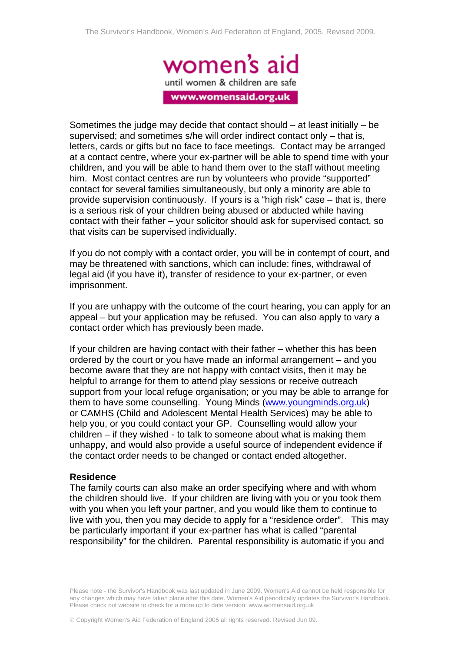

Sometimes the judge may decide that contact should – at least initially – be supervised; and sometimes s/he will order indirect contact only – that is, letters, cards or gifts but no face to face meetings. Contact may be arranged at a contact centre, where your ex-partner will be able to spend time with your children, and you will be able to hand them over to the staff without meeting him. Most contact centres are run by volunteers who provide "supported" contact for several families simultaneously, but only a minority are able to provide supervision continuously. If yours is a "high risk" case – that is, there is a serious risk of your children being abused or abducted while having contact with their father – your solicitor should ask for supervised contact, so that visits can be supervised individually.

If you do not comply with a contact order, you will be in contempt of court, and may be threatened with sanctions, which can include: fines, withdrawal of legal aid (if you have it), transfer of residence to your ex-partner, or even imprisonment.

If you are unhappy with the outcome of the court hearing, you can apply for an appeal – but your application may be refused. You can also apply to vary a contact order which has previously been made.

If your children are having contact with their father – whether this has been ordered by the court or you have made an informal arrangement – and you become aware that they are not happy with contact visits, then it may be helpful to arrange for them to attend play sessions or receive outreach support from your local refuge organisation; or you may be able to arrange for them to have some counselling. Young Minds (www.youngminds.org.uk) or CAMHS (Child and Adolescent Mental Health Services) may be able to help you, or you could contact your GP. Counselling would allow your children – if they wished - to talk to someone about what is making them unhappy, and would also provide a useful source of independent evidence if the contact order needs to be changed or contact ended altogether.

#### **Residence**

The family courts can also make an order specifying where and with whom the children should live. If your children are living with you or you took them with you when you left your partner, and you would like them to continue to live with you, then you may decide to apply for a "residence order". This may be particularly important if your ex-partner has what is called "parental responsibility" for the children. Parental responsibility is automatic if you and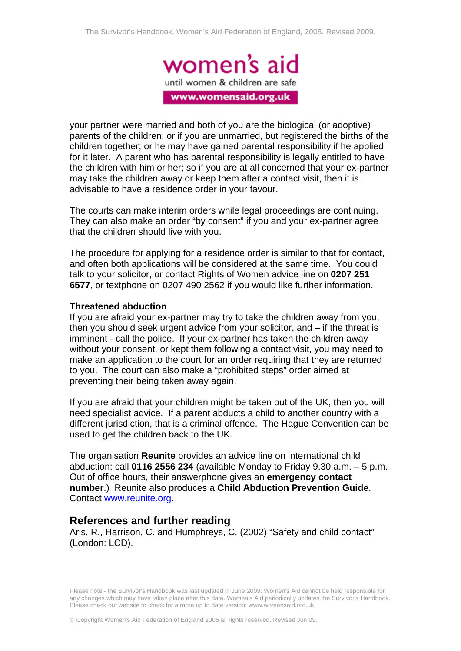

your partner were married and both of you are the biological (or adoptive) parents of the children; or if you are unmarried, but registered the births of the children together; or he may have gained parental responsibility if he applied for it later. A parent who has parental responsibility is legally entitled to have the children with him or her; so if you are at all concerned that your ex-partner may take the children away or keep them after a contact visit, then it is advisable to have a residence order in your favour.

The courts can make interim orders while legal proceedings are continuing. They can also make an order "by consent" if you and your ex-partner agree that the children should live with you.

The procedure for applying for a residence order is similar to that for contact, and often both applications will be considered at the same time. You could talk to your solicitor, or contact Rights of Women advice line on **0207 251 6577**, or textphone on 0207 490 2562 if you would like further information.

## **Threatened abduction**

If you are afraid your ex-partner may try to take the children away from you, then you should seek urgent advice from your solicitor, and – if the threat is imminent - call the police. If your ex-partner has taken the children away without your consent, or kept them following a contact visit, you may need to make an application to the court for an order requiring that they are returned to you. The court can also make a "prohibited steps" order aimed at preventing their being taken away again.

If you are afraid that your children might be taken out of the UK, then you will need specialist advice. If a parent abducts a child to another country with a different jurisdiction, that is a criminal offence. The Hague Convention can be used to get the children back to the UK.

The organisation **Reunite** provides an advice line on international child abduction: call **0116 2556 234** (available Monday to Friday 9.30 a.m. – 5 p.m. Out of office hours, their answerphone gives an **emergency contact number**.) Reunite also produces a **Child Abduction Prevention Guide**. Contact www.reunite.org.

## **References and further reading**

Aris, R., Harrison, C. and Humphreys, C. (2002) "Safety and child contact" (London: LCD).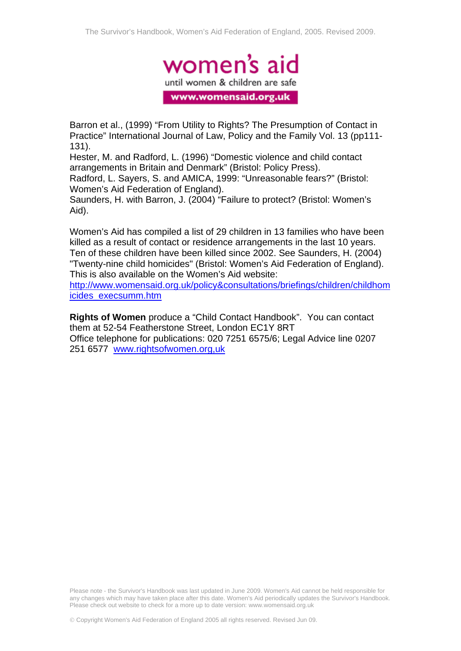

Barron et al., (1999) "From Utility to Rights? The Presumption of Contact in Practice" International Journal of Law, Policy and the Family Vol. 13 (pp111- 131).

Hester, M. and Radford, L. (1996) "Domestic violence and child contact arrangements in Britain and Denmark" (Bristol: Policy Press).

Radford, L. Sayers, S. and AMICA, 1999: "Unreasonable fears?" (Bristol: Women's Aid Federation of England).

Saunders, H. with Barron, J. (2004) "Failure to protect? (Bristol: Women's Aid).

Women's Aid has compiled a list of 29 children in 13 families who have been killed as a result of contact or residence arrangements in the last 10 years. Ten of these children have been killed since 2002. See Saunders, H. (2004) "Twenty-nine child homicides" (Bristol: Women's Aid Federation of England). This is also available on the Women's Aid website:

http://www.womensaid.org.uk/policy&consultations/briefings/children/childhom icides\_execsumm.htm

**Rights of Women** produce a "Child Contact Handbook". You can contact them at 52-54 Featherstone Street, London EC1Y 8RT Office telephone for publications: 020 7251 6575/6; Legal Advice line 0207 251 6577 www.rightsofwomen.org,uk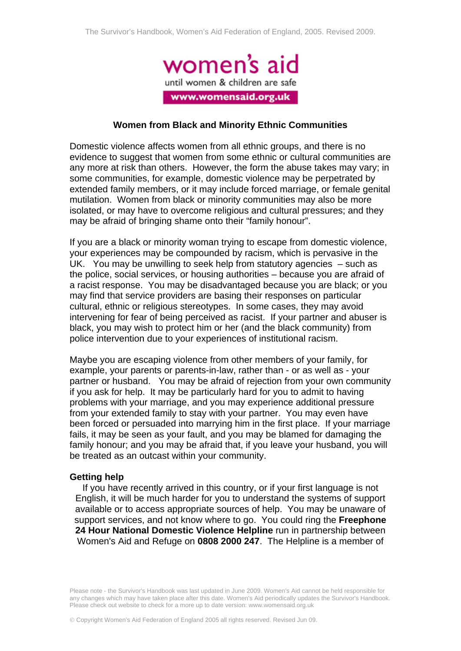

## **Women from Black and Minority Ethnic Communities**

Domestic violence affects women from all ethnic groups, and there is no evidence to suggest that women from some ethnic or cultural communities are any more at risk than others. However, the form the abuse takes may vary; in some communities, for example, domestic violence may be perpetrated by extended family members, or it may include forced marriage, or female genital mutilation. Women from black or minority communities may also be more isolated, or may have to overcome religious and cultural pressures; and they may be afraid of bringing shame onto their "family honour".

If you are a black or minority woman trying to escape from domestic violence, your experiences may be compounded by racism, which is pervasive in the UK. You may be unwilling to seek help from statutory agencies – such as the police, social services, or housing authorities – because you are afraid of a racist response. You may be disadvantaged because you are black; or you may find that service providers are basing their responses on particular cultural, ethnic or religious stereotypes. In some cases, they may avoid intervening for fear of being perceived as racist. If your partner and abuser is black, you may wish to protect him or her (and the black community) from police intervention due to your experiences of institutional racism.

Maybe you are escaping violence from other members of your family, for example, your parents or parents-in-law, rather than - or as well as - your partner or husband. You may be afraid of rejection from your own community if you ask for help. It may be particularly hard for you to admit to having problems with your marriage, and you may experience additional pressure from your extended family to stay with your partner. You may even have been forced or persuaded into marrying him in the first place. If your marriage fails, it may be seen as your fault, and you may be blamed for damaging the family honour; and you may be afraid that, if you leave your husband, you will be treated as an outcast within your community.

## **Getting help**

If you have recently arrived in this country, or if your first language is not English, it will be much harder for you to understand the systems of support available or to access appropriate sources of help. You may be unaware of support services, and not know where to go. You could ring the **Freephone 24 Hour National Domestic Violence Helpline** run in partnership between Women's Aid and Refuge on **0808 2000 247**. The Helpline is a member of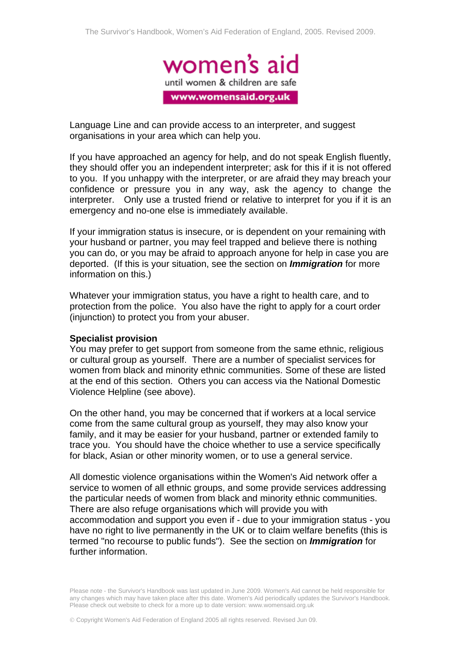

Language Line and can provide access to an interpreter, and suggest organisations in your area which can help you.

If you have approached an agency for help, and do not speak English fluently, they should offer you an independent interpreter; ask for this if it is not offered to you. If you unhappy with the interpreter, or are afraid they may breach your confidence or pressure you in any way, ask the agency to change the interpreter. Only use a trusted friend or relative to interpret for you if it is an emergency and no-one else is immediately available.

If your immigration status is insecure, or is dependent on your remaining with your husband or partner, you may feel trapped and believe there is nothing you can do, or you may be afraid to approach anyone for help in case you are deported. (If this is your situation, see the section on *Immigration* for more information on this.)

Whatever your immigration status, you have a right to health care, and to protection from the police. You also have the right to apply for a court order (injunction) to protect you from your abuser.

## **Specialist provision**

You may prefer to get support from someone from the same ethnic, religious or cultural group as yourself. There are a number of specialist services for women from black and minority ethnic communities. Some of these are listed at the end of this section. Others you can access via the National Domestic Violence Helpline (see above).

On the other hand, you may be concerned that if workers at a local service come from the same cultural group as yourself, they may also know your family, and it may be easier for your husband, partner or extended family to trace you. You should have the choice whether to use a service specifically for black, Asian or other minority women, or to use a general service.

All domestic violence organisations within the Women's Aid network offer a service to women of all ethnic groups, and some provide services addressing the particular needs of women from black and minority ethnic communities. There are also refuge organisations which will provide you with accommodation and support you even if - due to your immigration status - you have no right to live permanently in the UK or to claim welfare benefits (this is termed "no recourse to public funds"). See the section on *Immigration* for further information.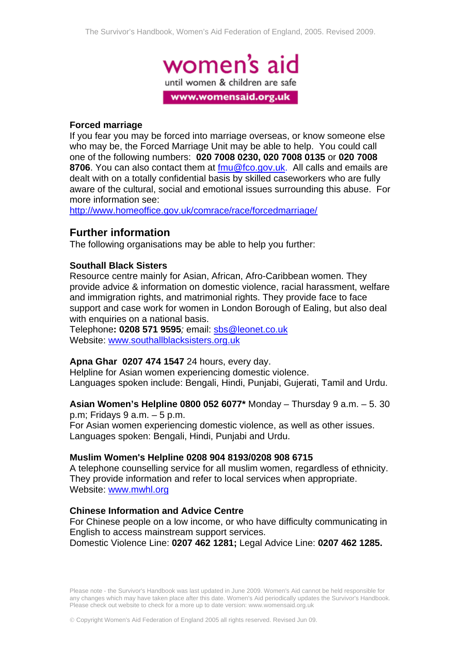

## **Forced marriage**

If you fear you may be forced into marriage overseas, or know someone else who may be, the Forced Marriage Unit may be able to help. You could call one of the following numbers: **020 7008 0230, 020 7008 0135** or **020 7008 8706**. You can also contact them at  $\frac{\text{fmu@fco.gov.uk}}{\text{fmu@fco.gov.uk}}$ . All calls and emails are dealt with on a totally confidential basis by skilled caseworkers who are fully aware of the cultural, social and emotional issues surrounding this abuse. For more information see:

http://www.homeoffice.gov.uk/comrace/race/forcedmarriage/

## **Further information**

The following organisations may be able to help you further:

## **Southall Black Sisters**

Resource centre mainly for Asian, African, Afro-Caribbean women. They provide advice & information on domestic violence, racial harassment, welfare and immigration rights, and matrimonial rights. They provide face to face support and case work for women in London Borough of Ealing, but also deal with enquiries on a national basis.

Telephone**: 0208 571 9595***;* email: sbs@leonet.co.uk Website: www.southallblacksisters.org.uk

## **Apna Ghar 0207 474 1547** 24 hours, every day.

Helpline for Asian women experiencing domestic violence. Languages spoken include: Bengali, Hindi, Punjabi, Gujerati, Tamil and Urdu.

## **Asian Women's Helpline 0800 052 6077\*** Monday – Thursday 9 a.m. – 5. 30

p.m; Fridays 9 a.m. – 5 p.m. For Asian women experiencing domestic violence, as well as other issues. Languages spoken: Bengali, Hindi, Punjabi and Urdu.

## **Muslim Women's Helpline 0208 904 8193/0208 908 6715**

A telephone counselling service for all muslim women, regardless of ethnicity. They provide information and refer to local services when appropriate. Website: www.mwhl.org

## **Chinese Information and Advice Centre**

For Chinese people on a low income, or who have difficulty communicating in English to access mainstream support services. Domestic Violence Line: **0207 462 1281;** Legal Advice Line: **0207 462 1285.**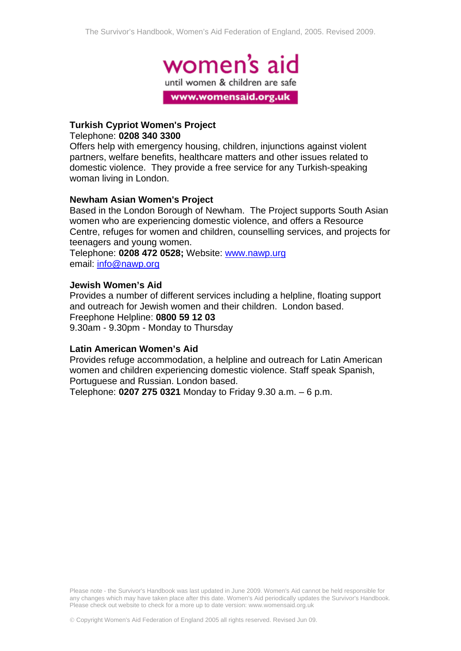

# **Turkish Cypriot Women's Project**

#### Telephone: **0208 340 3300**

Offers help with emergency housing, children, injunctions against violent partners, welfare benefits, healthcare matters and other issues related to domestic violence. They provide a free service for any Turkish-speaking woman living in London.

## **Newham Asian Women's Project**

Based in the London Borough of Newham. The Project supports South Asian women who are experiencing domestic violence, and offers a Resource Centre, refuges for women and children, counselling services, and projects for teenagers and young women.

Telephone: **0208 472 0528;** Website: www.nawp.urg email: info@nawp.org

## **Jewish Women's Aid**

Provides a number of different services including a helpline, floating support and outreach for Jewish women and their children. London based. Freephone Helpline: **0800 59 12 03** 9.30am - 9.30pm - Monday to Thursday

#### **Latin American Women's Aid**

Provides refuge accommodation, a helpline and outreach for Latin American women and children experiencing domestic violence. Staff speak Spanish, Portuguese and Russian. London based.

Telephone: **0207 275 0321** Monday to Friday 9.30 a.m. – 6 p.m.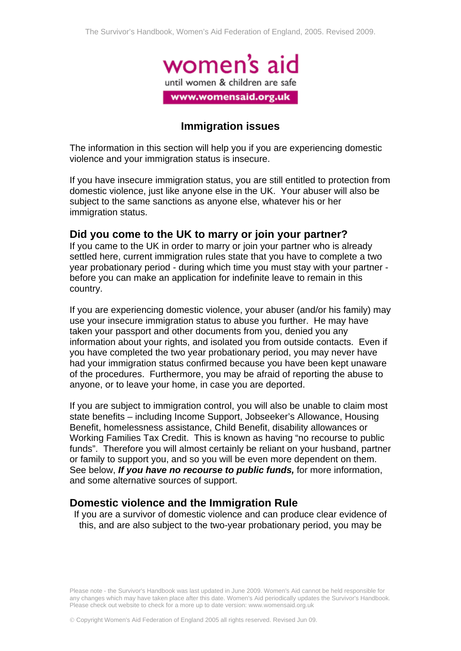

# **Immigration issues**

The information in this section will help you if you are experiencing domestic violence and your immigration status is insecure.

If you have insecure immigration status, you are still entitled to protection from domestic violence, just like anyone else in the UK. Your abuser will also be subject to the same sanctions as anyone else, whatever his or her immigration status.

## **Did you come to the UK to marry or join your partner?**

If you came to the UK in order to marry or join your partner who is already settled here, current immigration rules state that you have to complete a two year probationary period - during which time you must stay with your partner before you can make an application for indefinite leave to remain in this country.

If you are experiencing domestic violence, your abuser (and/or his family) may use your insecure immigration status to abuse you further. He may have taken your passport and other documents from you, denied you any information about your rights, and isolated you from outside contacts. Even if you have completed the two year probationary period, you may never have had your immigration status confirmed because you have been kept unaware of the procedures. Furthermore, you may be afraid of reporting the abuse to anyone, or to leave your home, in case you are deported.

If you are subject to immigration control, you will also be unable to claim most state benefits – including Income Support, Jobseeker's Allowance, Housing Benefit, homelessness assistance, Child Benefit, disability allowances or Working Families Tax Credit. This is known as having "no recourse to public funds". Therefore you will almost certainly be reliant on your husband, partner or family to support you, and so you will be even more dependent on them. See below, *If you have no recourse to public funds,* for more information, and some alternative sources of support.

# **Domestic violence and the Immigration Rule**

If you are a survivor of domestic violence and can produce clear evidence of this, and are also subject to the two-year probationary period, you may be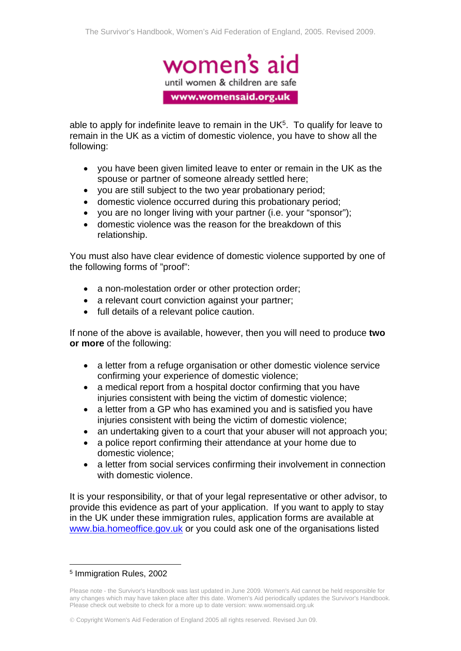

able to apply for indefinite leave to remain in the UK $5$ . To qualify for leave to remain in the UK as a victim of domestic violence, you have to show all the following:

- you have been given limited leave to enter or remain in the UK as the spouse or partner of someone already settled here;
- you are still subject to the two year probationary period;
- domestic violence occurred during this probationary period;
- you are no longer living with your partner (i.e. your "sponsor");
- domestic violence was the reason for the breakdown of this relationship.

You must also have clear evidence of domestic violence supported by one of the following forms of "proof":

- a non-molestation order or other protection order;
- a relevant court conviction against your partner;
- full details of a relevant police caution.

If none of the above is available, however, then you will need to produce **two or more** of the following:

- a letter from a refuge organisation or other domestic violence service confirming your experience of domestic violence;
- a medical report from a hospital doctor confirming that you have injuries consistent with being the victim of domestic violence;
- a letter from a GP who has examined you and is satisfied you have injuries consistent with being the victim of domestic violence;
- an undertaking given to a court that your abuser will not approach you;
- a police report confirming their attendance at your home due to domestic violence;
- a letter from social services confirming their involvement in connection with domestic violence.

It is your responsibility, or that of your legal representative or other advisor, to provide this evidence as part of your application. If you want to apply to stay in the UK under these immigration rules, application forms are available at www.bia.homeoffice.gov.uk or you could ask one of the organisations listed

1

<sup>5</sup> Immigration Rules, 2002

Please note - the Survivor's Handbook was last updated in June 2009. Women's Aid cannot be held responsible for any changes which may have taken place after this date. Women's Aid periodically updates the Survivor's Handbook. Please check out website to check for a more up to date version: www.womensaid.org.uk

Copyright Women's Aid Federation of England 2005 all rights reserved. Revised Jun 09.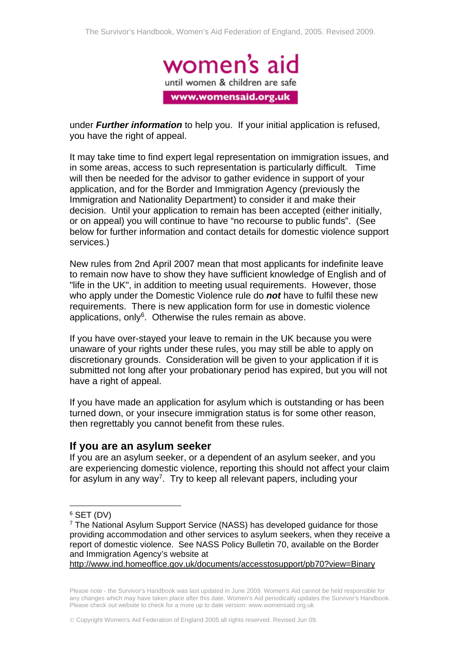

under *Further information* to help you. If your initial application is refused, you have the right of appeal.

It may take time to find expert legal representation on immigration issues, and in some areas, access to such representation is particularly difficult. Time will then be needed for the advisor to gather evidence in support of your application, and for the Border and Immigration Agency (previously the Immigration and Nationality Department) to consider it and make their decision. Until your application to remain has been accepted (either initially, or on appeal) you will continue to have "no recourse to public funds". (See below for further information and contact details for domestic violence support services.)

New rules from 2nd April 2007 mean that most applicants for indefinite leave to remain now have to show they have sufficient knowledge of English and of "life in the UK", in addition to meeting usual requirements. However, those who apply under the Domestic Violence rule do *not* have to fulfil these new requirements. There is new application form for use in domestic violence applications, only $6$ . Otherwise the rules remain as above.

If you have over-stayed your leave to remain in the UK because you were unaware of your rights under these rules, you may still be able to apply on discretionary grounds. Consideration will be given to your application if it is submitted not long after your probationary period has expired, but you will not have a right of appeal.

If you have made an application for asylum which is outstanding or has been turned down, or your insecure immigration status is for some other reason, then regrettably you cannot benefit from these rules.

## **If you are an asylum seeker**

If you are an asylum seeker, or a dependent of an asylum seeker, and you are experiencing domestic violence, reporting this should not affect your claim for asylum in any way<sup>7</sup>. Try to keep all relevant papers, including your

<u>.</u>

http://www.ind.homeoffice.gov.uk/documents/accesstosupport/pb70?view=Binary

<sup>6</sup> SET (DV)

<sup>7</sup> The National Asylum Support Service (NASS) has developed guidance for those providing accommodation and other services to asylum seekers, when they receive a report of domestic violence. See NASS Policy Bulletin 70, available on the Border and Immigration Agency's website at

Please note - the Survivor's Handbook was last updated in June 2009. Women's Aid cannot be held responsible for any changes which may have taken place after this date. Women's Aid periodically updates the Survivor's Handbook. Please check out website to check for a more up to date version: www.womensaid.org.uk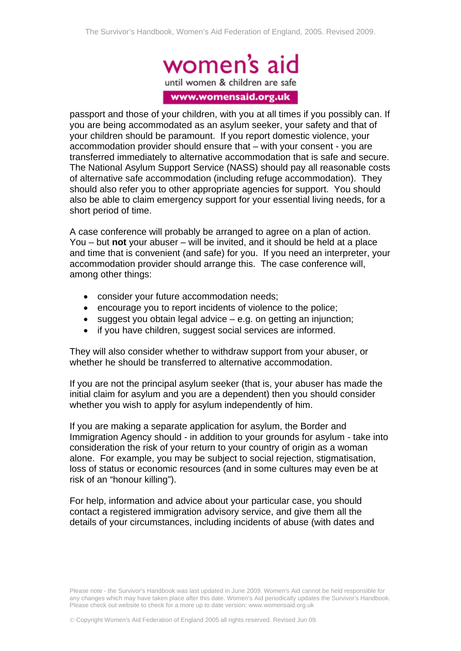

www.womensaid.org.uk

passport and those of your children, with you at all times if you possibly can. If you are being accommodated as an asylum seeker, your safety and that of your children should be paramount. If you report domestic violence, your accommodation provider should ensure that – with your consent - you are transferred immediately to alternative accommodation that is safe and secure. The National Asylum Support Service (NASS) should pay all reasonable costs of alternative safe accommodation (including refuge accommodation). They should also refer you to other appropriate agencies for support. You should also be able to claim emergency support for your essential living needs, for a short period of time.

A case conference will probably be arranged to agree on a plan of action. You – but **not** your abuser – will be invited, and it should be held at a place and time that is convenient (and safe) for you. If you need an interpreter, your accommodation provider should arrange this. The case conference will, among other things:

- consider your future accommodation needs;
- encourage you to report incidents of violence to the police;
- $\bullet$  suggest you obtain legal advice  $-$  e.g. on getting an injunction;
- if you have children, suggest social services are informed.

They will also consider whether to withdraw support from your abuser, or whether he should be transferred to alternative accommodation.

If you are not the principal asylum seeker (that is, your abuser has made the initial claim for asylum and you are a dependent) then you should consider whether you wish to apply for asylum independently of him.

If you are making a separate application for asylum, the Border and Immigration Agency should - in addition to your grounds for asylum - take into consideration the risk of your return to your country of origin as a woman alone. For example, you may be subject to social rejection, stigmatisation, loss of status or economic resources (and in some cultures may even be at risk of an "honour killing").

For help, information and advice about your particular case, you should contact a registered immigration advisory service, and give them all the details of your circumstances, including incidents of abuse (with dates and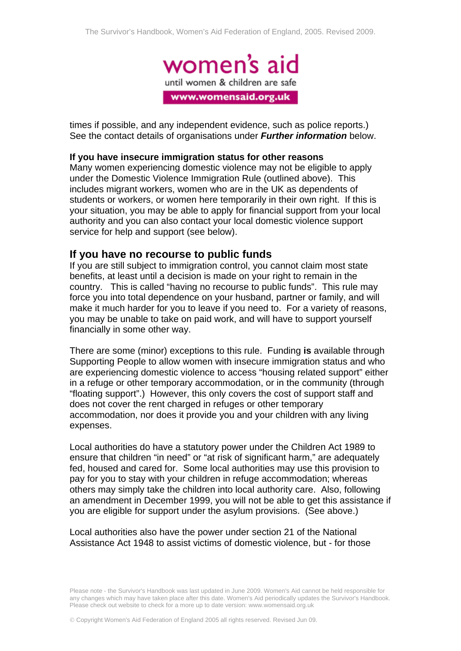

times if possible, and any independent evidence, such as police reports.) See the contact details of organisations under *Further information* below.

#### **If you have insecure immigration status for other reasons**

Many women experiencing domestic violence may not be eligible to apply under the Domestic Violence Immigration Rule (outlined above). This includes migrant workers, women who are in the UK as dependents of students or workers, or women here temporarily in their own right. If this is your situation, you may be able to apply for financial support from your local authority and you can also contact your local domestic violence support service for help and support (see below).

## **If you have no recourse to public funds**

If you are still subject to immigration control, you cannot claim most state benefits, at least until a decision is made on your right to remain in the country. This is called "having no recourse to public funds". This rule may force you into total dependence on your husband, partner or family, and will make it much harder for you to leave if you need to. For a variety of reasons, you may be unable to take on paid work, and will have to support yourself financially in some other way.

There are some (minor) exceptions to this rule. Funding **is** available through Supporting People to allow women with insecure immigration status and who are experiencing domestic violence to access "housing related support" either in a refuge or other temporary accommodation, or in the community (through "floating support".) However, this only covers the cost of support staff and does not cover the rent charged in refuges or other temporary accommodation, nor does it provide you and your children with any living expenses.

Local authorities do have a statutory power under the Children Act 1989 to ensure that children "in need" or "at risk of significant harm," are adequately fed, housed and cared for. Some local authorities may use this provision to pay for you to stay with your children in refuge accommodation; whereas others may simply take the children into local authority care. Also, following an amendment in December 1999, you will not be able to get this assistance if you are eligible for support under the asylum provisions. (See above.)

Local authorities also have the power under section 21 of the National Assistance Act 1948 to assist victims of domestic violence, but - for those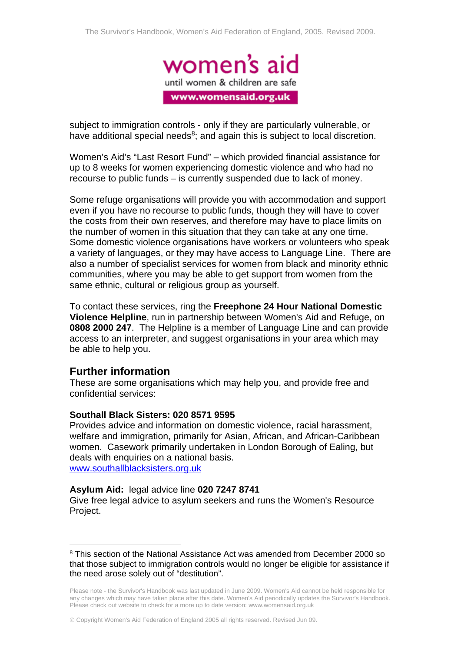

subject to immigration controls - only if they are particularly vulnerable, or have additional special needs<sup>8</sup>; and again this is subject to local discretion.

Women's Aid's "Last Resort Fund" – which provided financial assistance for up to 8 weeks for women experiencing domestic violence and who had no recourse to public funds – is currently suspended due to lack of money.

Some refuge organisations will provide you with accommodation and support even if you have no recourse to public funds, though they will have to cover the costs from their own reserves, and therefore may have to place limits on the number of women in this situation that they can take at any one time. Some domestic violence organisations have workers or volunteers who speak a variety of languages, or they may have access to Language Line. There are also a number of specialist services for women from black and minority ethnic communities, where you may be able to get support from women from the same ethnic, cultural or religious group as yourself.

To contact these services, ring the **Freephone 24 Hour National Domestic Violence Helpline**, run in partnership between Women's Aid and Refuge, on **0808 2000 247**. The Helpline is a member of Language Line and can provide access to an interpreter, and suggest organisations in your area which may be able to help you.

# **Further information**

1

These are some organisations which may help you, and provide free and confidential services:

#### **Southall Black Sisters: 020 8571 9595**

Provides advice and information on domestic violence, racial harassment, welfare and immigration, primarily for Asian, African, and African-Caribbean women. Casework primarily undertaken in London Borough of Ealing, but deals with enquiries on a national basis. www.southallblacksisters.org.uk

#### **Asylum Aid:** legal advice line **020 7247 8741**

Give free legal advice to asylum seekers and runs the Women's Resource Project.

<sup>8</sup> This section of the National Assistance Act was amended from December 2000 so that those subject to immigration controls would no longer be eligible for assistance if the need arose solely out of "destitution".

Please note - the Survivor's Handbook was last updated in June 2009. Women's Aid cannot be held responsible for any changes which may have taken place after this date. Women's Aid periodically updates the Survivor's Handbook. Please check out website to check for a more up to date version: www.womensaid.org.uk

Copyright Women's Aid Federation of England 2005 all rights reserved. Revised Jun 09.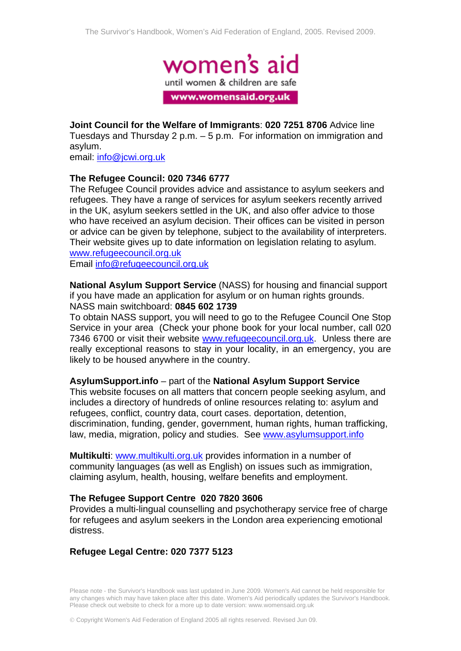

**Joint Council for the Welfare of Immigrants**: **020 7251 8706** Advice line Tuesdays and Thursday 2 p.m. – 5 p.m. For information on immigration and asylum.

email: info@jcwi.org.uk

## **The Refugee Council: 020 7346 6777**

The Refugee Council provides advice and assistance to asylum seekers and refugees. They have a range of services for asylum seekers recently arrived in the UK, asylum seekers settled in the UK, and also offer advice to those who have received an asylum decision. Their offices can be visited in person or advice can be given by telephone, subject to the availability of interpreters. Their website gives up to date information on legislation relating to asylum. www.refugeecouncil.org.uk

Email info@refugeecouncil.org.uk

**National Asylum Support Service** (NASS) for housing and financial support if you have made an application for asylum or on human rights grounds. NASS main switchboard: **0845 602 1739** 

To obtain NASS support, you will need to go to the Refugee Council One Stop Service in your area (Check your phone book for your local number, call 020 7346 6700 or visit their website www.refugeecouncil.org.uk. Unless there are really exceptional reasons to stay in your locality, in an emergency, you are likely to be housed anywhere in the country.

#### **AsylumSupport.info** – part of the **National Asylum Support Service**

This website focuses on all matters that concern people seeking asylum, and includes a directory of hundreds of online resources relating to: asylum and refugees, conflict, country data, court cases. deportation, detention, discrimination, funding, gender, government, human rights, human trafficking, law, media, migration, policy and studies. See www.asylumsupport.info

**Multikulti**: www.multikulti.org.uk provides information in a number of community languages (as well as English) on issues such as immigration, claiming asylum, health, housing, welfare benefits and employment.

#### **The Refugee Support Centre 020 7820 3606**

Provides a multi-lingual counselling and psychotherapy service free of charge for refugees and asylum seekers in the London area experiencing emotional distress.

#### **Refugee Legal Centre: 020 7377 5123**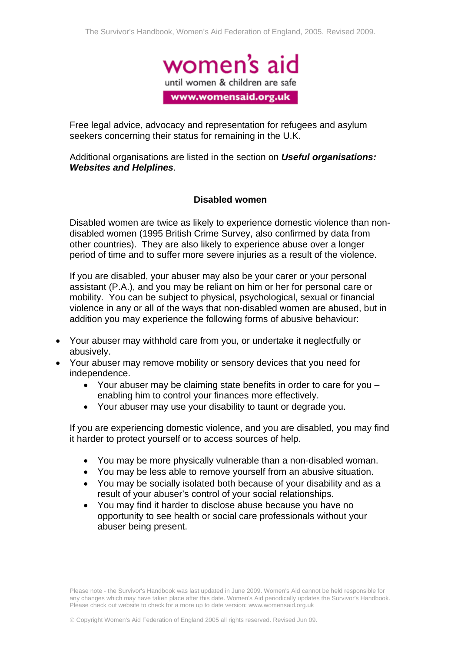

Free legal advice, advocacy and representation for refugees and asylum seekers concerning their status for remaining in the U.K.

Additional organisations are listed in the section on *Useful organisations: Websites and Helplines*.

## **Disabled women**

Disabled women are twice as likely to experience domestic violence than nondisabled women (1995 British Crime Survey, also confirmed by data from other countries). They are also likely to experience abuse over a longer period of time and to suffer more severe injuries as a result of the violence.

If you are disabled, your abuser may also be your carer or your personal assistant (P.A.), and you may be reliant on him or her for personal care or mobility. You can be subject to physical, psychological, sexual or financial violence in any or all of the ways that non-disabled women are abused, but in addition you may experience the following forms of abusive behaviour:

- Your abuser may withhold care from you, or undertake it neglectfully or abusively.
- Your abuser may remove mobility or sensory devices that you need for independence.
	- Your abuser may be claiming state benefits in order to care for you enabling him to control your finances more effectively.
	- Your abuser may use your disability to taunt or degrade you.

If you are experiencing domestic violence, and you are disabled, you may find it harder to protect yourself or to access sources of help.

- You may be more physically vulnerable than a non-disabled woman.
- You may be less able to remove yourself from an abusive situation.
- You may be socially isolated both because of your disability and as a result of your abuser's control of your social relationships.
- You may find it harder to disclose abuse because you have no opportunity to see health or social care professionals without your abuser being present.

Please note - the Survivor's Handbook was last updated in June 2009. Women's Aid cannot be held responsible for any changes which may have taken place after this date. Women's Aid periodically updates the Survivor's Handbook. Please check out website to check for a more up to date version: www.womensaid.org.uk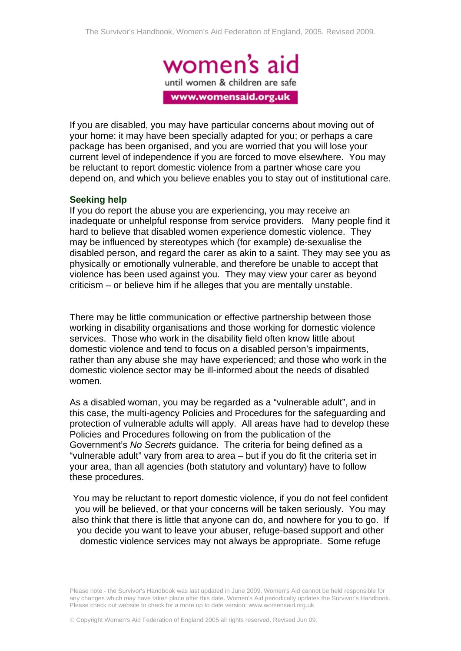

If you are disabled, you may have particular concerns about moving out of your home: it may have been specially adapted for you; or perhaps a care package has been organised, and you are worried that you will lose your current level of independence if you are forced to move elsewhere. You may be reluctant to report domestic violence from a partner whose care you depend on, and which you believe enables you to stay out of institutional care.

## **Seeking help**

If you do report the abuse you are experiencing, you may receive an inadequate or unhelpful response from service providers. Many people find it hard to believe that disabled women experience domestic violence. They may be influenced by stereotypes which (for example) de-sexualise the disabled person, and regard the carer as akin to a saint. They may see you as physically or emotionally vulnerable, and therefore be unable to accept that violence has been used against you. They may view your carer as beyond criticism – or believe him if he alleges that you are mentally unstable.

There may be little communication or effective partnership between those working in disability organisations and those working for domestic violence services. Those who work in the disability field often know little about domestic violence and tend to focus on a disabled person's impairments, rather than any abuse she may have experienced; and those who work in the domestic violence sector may be ill-informed about the needs of disabled women.

As a disabled woman, you may be regarded as a "vulnerable adult", and in this case, the multi-agency Policies and Procedures for the safeguarding and protection of vulnerable adults will apply. All areas have had to develop these Policies and Procedures following on from the publication of the Government's *No Secrets* guidance. The criteria for being defined as a "vulnerable adult" vary from area to area – but if you do fit the criteria set in your area, than all agencies (both statutory and voluntary) have to follow these procedures.

You may be reluctant to report domestic violence, if you do not feel confident you will be believed, or that your concerns will be taken seriously. You may also think that there is little that anyone can do, and nowhere for you to go. If you decide you want to leave your abuser, refuge-based support and other domestic violence services may not always be appropriate. Some refuge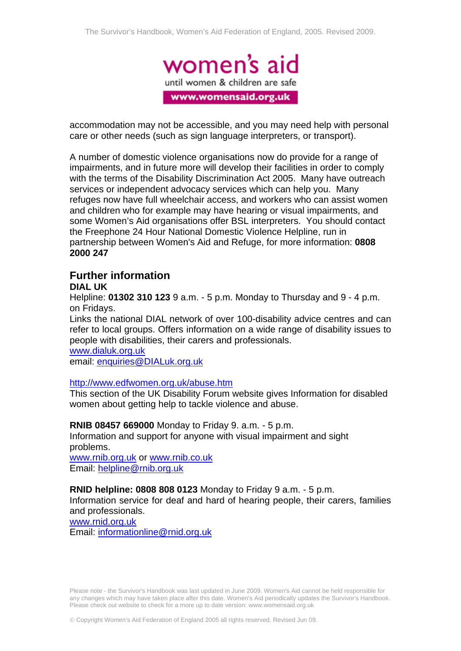

accommodation may not be accessible, and you may need help with personal care or other needs (such as sign language interpreters, or transport).

A number of domestic violence organisations now do provide for a range of impairments, and in future more will develop their facilities in order to comply with the terms of the Disability Discrimination Act 2005. Many have outreach services or independent advocacy services which can help you. Many refuges now have full wheelchair access, and workers who can assist women and children who for example may have hearing or visual impairments, and some Women's Aid organisations offer BSL interpreters. You should contact the Freephone 24 Hour National Domestic Violence Helpline, run in partnership between Women's Aid and Refuge, for more information: **0808 2000 247** 

# **Further information DIAL UK**

Helpline: **01302 310 123** 9 a.m. - 5 p.m. Monday to Thursday and 9 - 4 p.m. on Fridays.

Links the national DIAL network of over 100-disability advice centres and can refer to local groups. Offers information on a wide range of disability issues to people with disabilities, their carers and professionals.

www.dialuk.org.uk

email: enquiries@DIALuk.org.uk

#### http://www.edfwomen.org.uk/abuse.htm

This section of the UK Disability Forum website gives Information for disabled women about getting help to tackle violence and abuse.

**RNIB 08457 669000** Monday to Friday 9. a.m. - 5 p.m.

Information and support for anyone with visual impairment and sight problems.

www.rnib.org.uk or www.rnib.co.uk Email: helpline@rnib.org.uk

**RNID helpline: 0808 808 0123** Monday to Friday 9 a.m. - 5 p.m.

Information service for deaf and hard of hearing people, their carers, families and professionals.

www.rnid.org.uk

Email: informationline@rnid.org.uk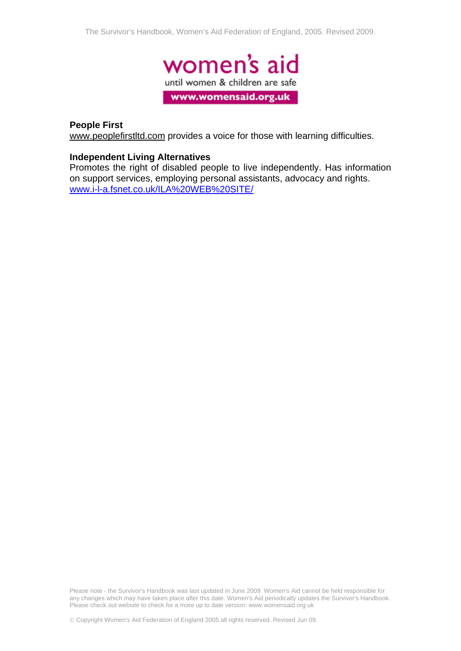

#### **People First**

www.peoplefirstltd.com provides a voice for those with learning difficulties.

## **Independent Living Alternatives**

Promotes the right of disabled people to live independently. Has information on support services, employing personal assistants, advocacy and rights. www.i-l-a.fsnet.co.uk/ILA%20WEB%20SITE/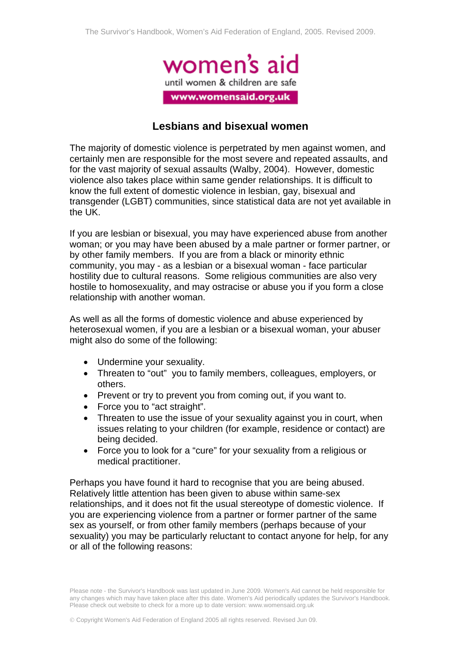

# **Lesbians and bisexual women**

The majority of domestic violence is perpetrated by men against women, and certainly men are responsible for the most severe and repeated assaults, and for the vast majority of sexual assaults (Walby, 2004). However, domestic violence also takes place within same gender relationships. It is difficult to know the full extent of domestic violence in lesbian, gay, bisexual and transgender (LGBT) communities, since statistical data are not yet available in the UK.

If you are lesbian or bisexual, you may have experienced abuse from another woman; or you may have been abused by a male partner or former partner, or by other family members. If you are from a black or minority ethnic community, you may - as a lesbian or a bisexual woman - face particular hostility due to cultural reasons. Some religious communities are also very hostile to homosexuality, and may ostracise or abuse you if you form a close relationship with another woman.

As well as all the forms of domestic violence and abuse experienced by heterosexual women, if you are a lesbian or a bisexual woman, your abuser might also do some of the following:

- Undermine your sexuality.
- Threaten to "out" you to family members, colleagues, employers, or others.
- Prevent or try to prevent you from coming out, if you want to.
- Force you to "act straight".
- Threaten to use the issue of your sexuality against you in court, when issues relating to your children (for example, residence or contact) are being decided.
- Force you to look for a "cure" for your sexuality from a religious or medical practitioner.

Perhaps you have found it hard to recognise that you are being abused. Relatively little attention has been given to abuse within same-sex relationships, and it does not fit the usual stereotype of domestic violence. If you are experiencing violence from a partner or former partner of the same sex as yourself, or from other family members (perhaps because of your sexuality) you may be particularly reluctant to contact anyone for help, for any or all of the following reasons: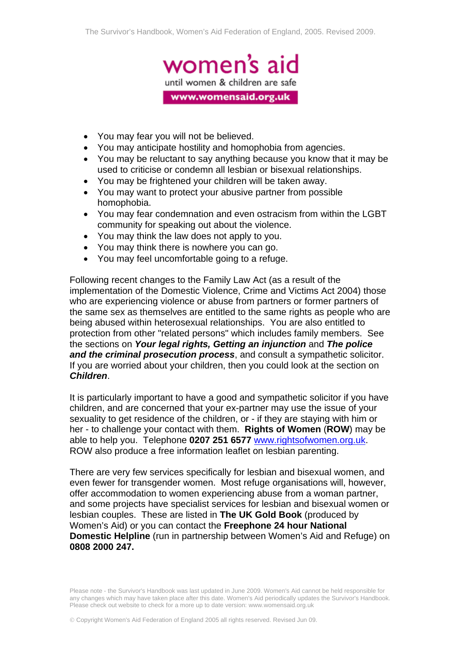

- You may fear you will not be believed.
- You may anticipate hostility and homophobia from agencies.
- You may be reluctant to say anything because you know that it may be used to criticise or condemn all lesbian or bisexual relationships.
- You may be frightened your children will be taken away.
- You may want to protect your abusive partner from possible homophobia.
- You may fear condemnation and even ostracism from within the LGBT community for speaking out about the violence.
- You may think the law does not apply to you.
- You may think there is nowhere you can go.
- You may feel uncomfortable going to a refuge.

Following recent changes to the Family Law Act (as a result of the implementation of the Domestic Violence, Crime and Victims Act 2004) those who are experiencing violence or abuse from partners or former partners of the same sex as themselves are entitled to the same rights as people who are being abused within heterosexual relationships. You are also entitled to protection from other "related persons" which includes family members. See the sections on *Your legal rights, Getting an injunction* and *The police and the criminal prosecution process*, and consult a sympathetic solicitor. If you are worried about your children, then you could look at the section on *Children*.

It is particularly important to have a good and sympathetic solicitor if you have children, and are concerned that your ex-partner may use the issue of your sexuality to get residence of the children, or - if they are staying with him or her - to challenge your contact with them. **Rights of Women** (**ROW**) may be able to help you. Telephone **0207 251 6577** www.rightsofwomen.org.uk. ROW also produce a free information leaflet on lesbian parenting.

There are very few services specifically for lesbian and bisexual women, and even fewer for transgender women. Most refuge organisations will, however, offer accommodation to women experiencing abuse from a woman partner, and some projects have specialist services for lesbian and bisexual women or lesbian couples. These are listed in **The UK Gold Book** (produced by Women's Aid) or you can contact the **Freephone 24 hour National Domestic Helpline** (run in partnership between Women's Aid and Refuge) on **0808 2000 247.**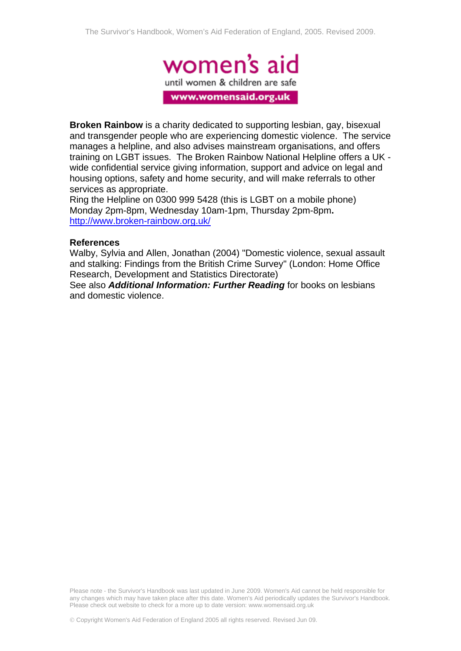

**Broken Rainbow** is a charity dedicated to supporting lesbian, gay, bisexual and transgender people who are experiencing domestic violence. The service manages a helpline, and also advises mainstream organisations, and offers training on LGBT issues. The Broken Rainbow National Helpline offers a UK wide confidential service giving information, support and advice on legal and housing options, safety and home security, and will make referrals to other services as appropriate.

Ring the Helpline on 0300 999 5428 (this is LGBT on a mobile phone) Monday 2pm-8pm, Wednesday 10am-1pm, Thursday 2pm-8pm**.**  http://www.broken-rainbow.org.uk/

#### **References**

Walby, Sylvia and Allen, Jonathan (2004) "Domestic violence, sexual assault and stalking: Findings from the British Crime Survey" (London: Home Office Research, Development and Statistics Directorate)

See also *Additional Information: Further Reading* for books on lesbians and domestic violence.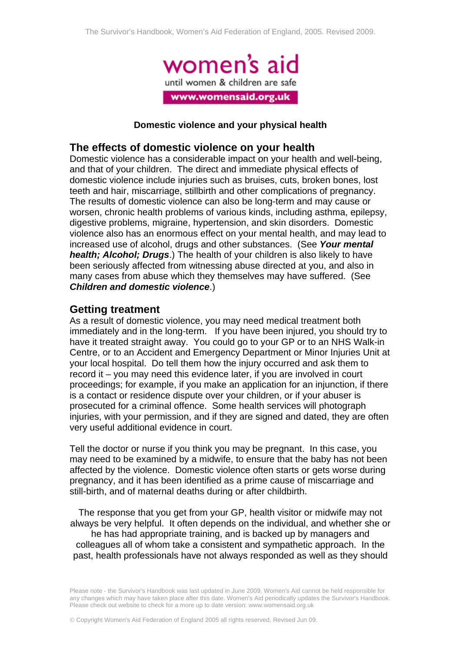

### **Domestic violence and your physical health**

## **The effects of domestic violence on your health**

Domestic violence has a considerable impact on your health and well-being, and that of your children. The direct and immediate physical effects of domestic violence include injuries such as bruises, cuts, broken bones, lost teeth and hair, miscarriage, stillbirth and other complications of pregnancy. The results of domestic violence can also be long-term and may cause or worsen, chronic health problems of various kinds, including asthma, epilepsy, digestive problems, migraine, hypertension, and skin disorders. Domestic violence also has an enormous effect on your mental health, and may lead to increased use of alcohol, drugs and other substances. (See *Your mental health; Alcohol; Drugs*.) The health of your children is also likely to have been seriously affected from witnessing abuse directed at you, and also in many cases from abuse which they themselves may have suffered. (See *Children and domestic violence*.)

## **Getting treatment**

As a result of domestic violence, you may need medical treatment both immediately and in the long-term. If you have been injured, you should try to have it treated straight away. You could go to your GP or to an NHS Walk-in Centre, or to an Accident and Emergency Department or Minor Injuries Unit at your local hospital. Do tell them how the injury occurred and ask them to record it – you may need this evidence later, if you are involved in court proceedings; for example, if you make an application for an injunction, if there is a contact or residence dispute over your children, or if your abuser is prosecuted for a criminal offence. Some health services will photograph injuries, with your permission, and if they are signed and dated, they are often very useful additional evidence in court.

Tell the doctor or nurse if you think you may be pregnant. In this case, you may need to be examined by a midwife, to ensure that the baby has not been affected by the violence. Domestic violence often starts or gets worse during pregnancy, and it has been identified as a prime cause of miscarriage and still-birth, and of maternal deaths during or after childbirth.

The response that you get from your GP, health visitor or midwife may not always be very helpful. It often depends on the individual, and whether she or he has had appropriate training, and is backed up by managers and colleagues all of whom take a consistent and sympathetic approach. In the past, health professionals have not always responded as well as they should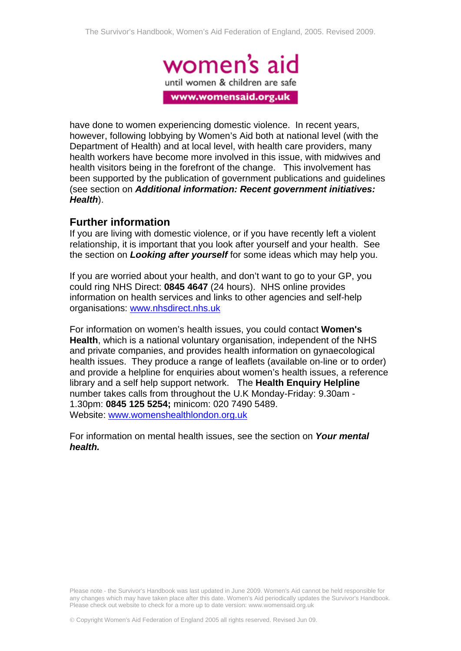

have done to women experiencing domestic violence. In recent years, however, following lobbying by Women's Aid both at national level (with the Department of Health) and at local level, with health care providers, many health workers have become more involved in this issue, with midwives and health visitors being in the forefront of the change. This involvement has been supported by the publication of government publications and guidelines (see section on *Additional information: Recent government initiatives: Health*).

# **Further information**

If you are living with domestic violence, or if you have recently left a violent relationship, it is important that you look after yourself and your health. See the section on *Looking after yourself* for some ideas which may help you.

If you are worried about your health, and don't want to go to your GP, you could ring NHS Direct: **0845 4647** (24 hours). NHS online provides information on health services and links to other agencies and self-help organisations: www.nhsdirect.nhs.uk

For information on women's health issues, you could contact **Women's Health**, which is a national voluntary organisation, independent of the NHS and private companies, and provides health information on gynaecological health issues. They produce a range of leaflets (available on-line or to order) and provide a helpline for enquiries about women's health issues, a reference library and a self help support network. The **Health Enquiry Helpline** number takes calls from throughout the U.K Monday-Friday: 9.30am - 1.30pm: **0845 125 5254;** minicom: 020 7490 5489. Website: www.womenshealthlondon.org.uk

For information on mental health issues, see the section on *Your mental health.*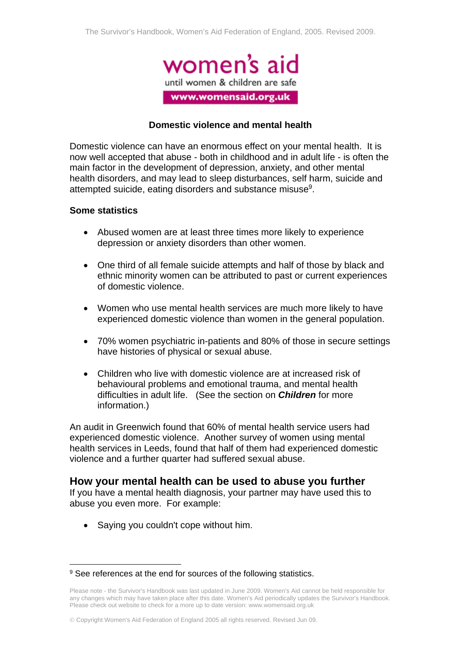

## **Domestic violence and mental health**

Domestic violence can have an enormous effect on your mental health. It is now well accepted that abuse - both in childhood and in adult life - is often the main factor in the development of depression, anxiety, and other mental health disorders, and may lead to sleep disturbances, self harm, suicide and attempted suicide, eating disorders and substance misuse9.

#### **Some statistics**

1

- Abused women are at least three times more likely to experience depression or anxiety disorders than other women.
- One third of all female suicide attempts and half of those by black and ethnic minority women can be attributed to past or current experiences of domestic violence.
- Women who use mental health services are much more likely to have experienced domestic violence than women in the general population.
- 70% women psychiatric in-patients and 80% of those in secure settings have histories of physical or sexual abuse.
- Children who live with domestic violence are at increased risk of behavioural problems and emotional trauma, and mental health difficulties in adult life. (See the section on *Children* for more information.)

An audit in Greenwich found that 60% of mental health service users had experienced domestic violence. Another survey of women using mental health services in Leeds, found that half of them had experienced domestic violence and a further quarter had suffered sexual abuse.

## **How your mental health can be used to abuse you further**

If you have a mental health diagnosis, your partner may have used this to abuse you even more. For example:

• Saying you couldn't cope without him.

<sup>&</sup>lt;sup>9</sup> See references at the end for sources of the following statistics.

Please note - the Survivor's Handbook was last updated in June 2009. Women's Aid cannot be held responsible for any changes which may have taken place after this date. Women's Aid periodically updates the Survivor's Handbook. Please check out website to check for a more up to date version: www.womensaid.org.uk

Copyright Women's Aid Federation of England 2005 all rights reserved. Revised Jun 09.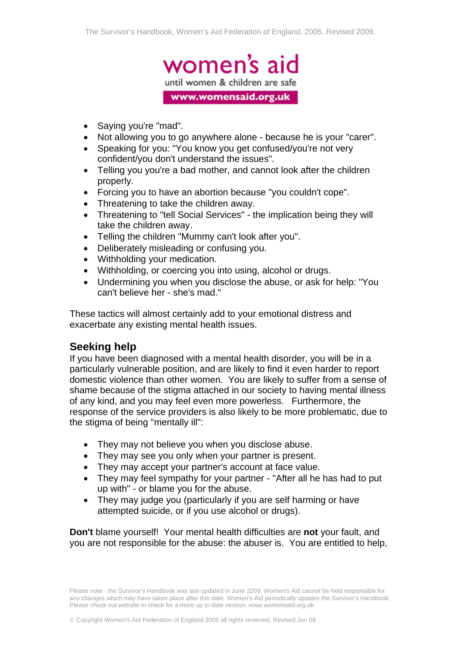

- Saying you're "mad".
- Not allowing you to go anywhere alone because he is your "carer".
- Speaking for you: "You know you get confused/you're not very confident/you don't understand the issues".
- Telling you you're a bad mother, and cannot look after the children properly.
- Forcing you to have an abortion because "you couldn't cope".
- Threatening to take the children away.
- Threatening to "tell Social Services" the implication being they will take the children away.
- Telling the children "Mummy can't look after you".
- Deliberately misleading or confusing you.
- Withholding your medication.
- Withholding, or coercing you into using, alcohol or drugs.
- Undermining you when you disclose the abuse, or ask for help: "You can't believe her - she's mad."

These tactics will almost certainly add to your emotional distress and exacerbate any existing mental health issues.

# **Seeking help**

If you have been diagnosed with a mental health disorder, you will be in a particularly vulnerable position, and are likely to find it even harder to report domestic violence than other women. You are likely to suffer from a sense of shame because of the stigma attached in our society to having mental illness of any kind, and you may feel even more powerless. Furthermore, the response of the service providers is also likely to be more problematic, due to the stigma of being "mentally ill":

- They may not believe you when you disclose abuse.
- They may see you only when your partner is present.
- They may accept your partner's account at face value.
- They may feel sympathy for your partner "After all he has had to put up with" - or blame you for the abuse.
- They may judge you (particularly if you are self harming or have attempted suicide, or if you use alcohol or drugs).

**Don't** blame yourself! Your mental health difficulties are **not** your fault, and you are not responsible for the abuse: the abuser is. You are entitled to help,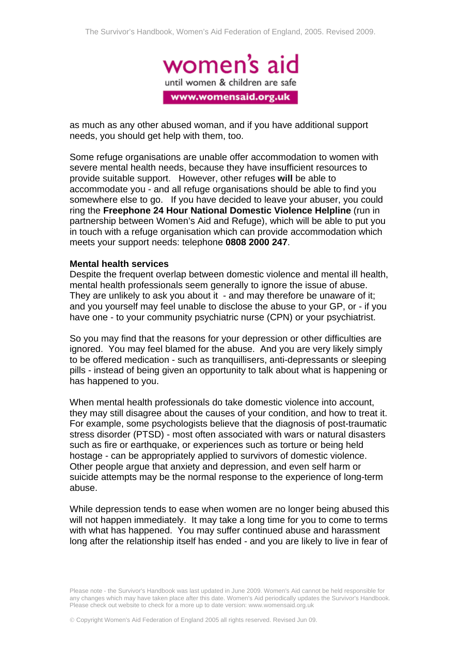

as much as any other abused woman, and if you have additional support needs, you should get help with them, too.

Some refuge organisations are unable offer accommodation to women with severe mental health needs, because they have insufficient resources to provide suitable support. However, other refuges **will** be able to accommodate you - and all refuge organisations should be able to find you somewhere else to go. If you have decided to leave your abuser, you could ring the **Freephone 24 Hour National Domestic Violence Helpline** (run in partnership between Women's Aid and Refuge), which will be able to put you in touch with a refuge organisation which can provide accommodation which meets your support needs: telephone **0808 2000 247**.

#### **Mental health services**

Despite the frequent overlap between domestic violence and mental ill health, mental health professionals seem generally to ignore the issue of abuse. They are unlikely to ask you about it - and may therefore be unaware of it; and you yourself may feel unable to disclose the abuse to your GP, or - if you have one - to your community psychiatric nurse (CPN) or your psychiatrist.

So you may find that the reasons for your depression or other difficulties are ignored. You may feel blamed for the abuse. And you are very likely simply to be offered medication - such as tranquillisers, anti-depressants or sleeping pills - instead of being given an opportunity to talk about what is happening or has happened to you.

When mental health professionals do take domestic violence into account, they may still disagree about the causes of your condition, and how to treat it. For example, some psychologists believe that the diagnosis of post-traumatic stress disorder (PTSD) - most often associated with wars or natural disasters such as fire or earthquake, or experiences such as torture or being held hostage - can be appropriately applied to survivors of domestic violence. Other people argue that anxiety and depression, and even self harm or suicide attempts may be the normal response to the experience of long-term abuse.

While depression tends to ease when women are no longer being abused this will not happen immediately. It may take a long time for you to come to terms with what has happened. You may suffer continued abuse and harassment long after the relationship itself has ended - and you are likely to live in fear of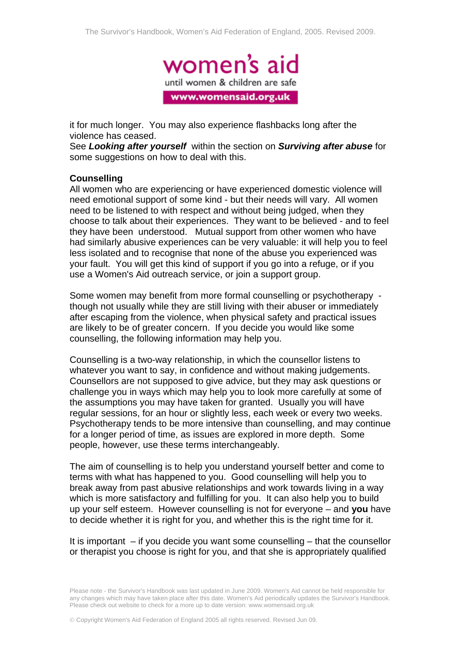

it for much longer. You may also experience flashbacks long after the violence has ceased.

See *Looking after yourself* within the section on *Surviving after abuse* for some suggestions on how to deal with this.

## **Counselling**

All women who are experiencing or have experienced domestic violence will need emotional support of some kind - but their needs will vary. All women need to be listened to with respect and without being judged, when they choose to talk about their experiences. They want to be believed - and to feel they have been understood. Mutual support from other women who have had similarly abusive experiences can be very valuable: it will help you to feel less isolated and to recognise that none of the abuse you experienced was your fault. You will get this kind of support if you go into a refuge, or if you use a Women's Aid outreach service, or join a support group.

Some women may benefit from more formal counselling or psychotherapy though not usually while they are still living with their abuser or immediately after escaping from the violence, when physical safety and practical issues are likely to be of greater concern. If you decide you would like some counselling, the following information may help you.

Counselling is a two-way relationship, in which the counsellor listens to whatever you want to say, in confidence and without making judgements. Counsellors are not supposed to give advice, but they may ask questions or challenge you in ways which may help you to look more carefully at some of the assumptions you may have taken for granted. Usually you will have regular sessions, for an hour or slightly less, each week or every two weeks. Psychotherapy tends to be more intensive than counselling, and may continue for a longer period of time, as issues are explored in more depth. Some people, however, use these terms interchangeably.

The aim of counselling is to help you understand yourself better and come to terms with what has happened to you. Good counselling will help you to break away from past abusive relationships and work towards living in a way which is more satisfactory and fulfilling for you. It can also help you to build up your self esteem. However counselling is not for everyone – and **you** have to decide whether it is right for you, and whether this is the right time for it.

It is important  $-$  if you decide you want some counselling  $-$  that the counsellor or therapist you choose is right for you, and that she is appropriately qualified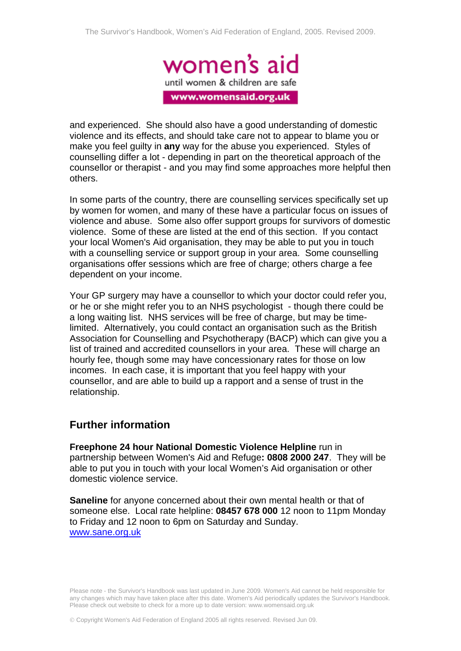

and experienced. She should also have a good understanding of domestic violence and its effects, and should take care not to appear to blame you or make you feel guilty in **any** way for the abuse you experienced. Styles of counselling differ a lot - depending in part on the theoretical approach of the counsellor or therapist - and you may find some approaches more helpful then others.

In some parts of the country, there are counselling services specifically set up by women for women, and many of these have a particular focus on issues of violence and abuse. Some also offer support groups for survivors of domestic violence. Some of these are listed at the end of this section. If you contact your local Women's Aid organisation, they may be able to put you in touch with a counselling service or support group in your area. Some counselling organisations offer sessions which are free of charge; others charge a fee dependent on your income.

Your GP surgery may have a counsellor to which your doctor could refer you, or he or she might refer you to an NHS psychologist - though there could be a long waiting list. NHS services will be free of charge, but may be timelimited. Alternatively, you could contact an organisation such as the British Association for Counselling and Psychotherapy (BACP) which can give you a list of trained and accredited counsellors in your area. These will charge an hourly fee, though some may have concessionary rates for those on low incomes. In each case, it is important that you feel happy with your counsellor, and are able to build up a rapport and a sense of trust in the relationship.

# **Further information**

**Freephone 24 hour National Domestic Violence Helpline** run in partnership between Women's Aid and Refuge**: 0808 2000 247**. They will be able to put you in touch with your local Women's Aid organisation or other domestic violence service.

**Saneline** for anyone concerned about their own mental health or that of someone else. Local rate helpline: **08457 678 000** 12 noon to 11pm Monday to Friday and 12 noon to 6pm on Saturday and Sunday. www.sane.org.uk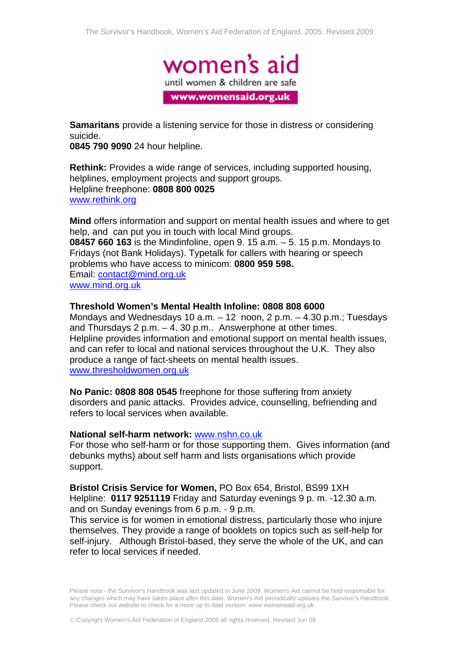

**Samaritans** provide a listening service for those in distress or considering suicide.

**0845 790 9090** 24 hour helpline.

**Rethink:** Provides a wide range of services, including supported housing, helplines, employment projects and support groups. Helpline freephone: **0808 800 0025**  www.rethink.org

**Mind** offers information and support on mental health issues and where to get help, and can put you in touch with local Mind groups. **08457 660 163** is the Mindinfoline, open 9. 15 a.m. – 5. 15 p.m. Mondays to Fridays (not Bank Holidays). Typetalk for callers with hearing or speech problems who have access to minicom: **0800 959 598.**  Email: contact@mind.org.uk www.mind.org.uk

#### **Threshold Women's Mental Health Infoline: 0808 808 6000**

Mondays and Wednesdays 10 a.m. – 12 noon, 2 p.m. – 4.30 p.m.; Tuesdays and Thursdays 2 p.m. – 4. 30 p.m.. Answerphone at other times. Helpline provides information and emotional support on mental health issues, and can refer to local and national services throughout the U.K. They also produce a range of fact-sheets on mental health issues. www.thresholdwomen.org.uk

**No Panic: 0808 808 0545** freephone for those suffering from anxiety disorders and panic attacks. Provides advice, counselling, befriending and refers to local services when available.

#### **National self-harm network:** www.nshn.co.uk

For those who self-harm or for those supporting them. Gives information (and debunks myths) about self harm and lists organisations which provide support.

**Bristol Crisis Service for Women,** PO Box 654, Bristol, BS99 1XH Helpline: **0117 9251119** Friday and Saturday evenings 9 p. m. -12.30 a.m. and on Sunday evenings from 6 p.m. - 9 p.m.

This service is for women in emotional distress, particularly those who injure themselves. They provide a range of booklets on topics such as self-help for self-injury. Although Bristol-based, they serve the whole of the UK, and can refer to local services if needed.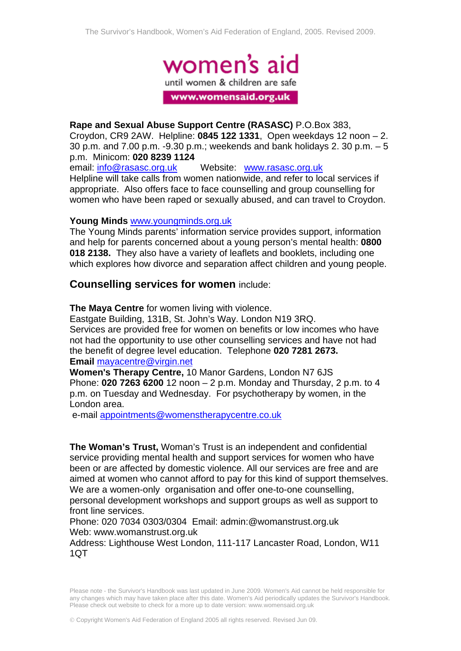

#### **Rape and Sexual Abuse Support Centre (RASASC)** P.O.Box 383,

Croydon, CR9 2AW. Helpline: **0845 122 1331**, Open weekdays 12 noon – 2. 30 p.m. and 7.00 p.m. -9.30 p.m.; weekends and bank holidays 2. 30 p.m. – 5 p.m. Minicom: **020 8239 1124** 

email: info@rasasc.org.uk Website: www.rasasc.org.uk Helpline will take calls from women nationwide, and refer to local services if appropriate. Also offers face to face counselling and group counselling for women who have been raped or sexually abused, and can travel to Croydon.

#### **Young Minds** www.youngminds.org.uk

The Young Minds parents' information service provides support, information and help for parents concerned about a young person's mental health: **0800 018 2138.** They also have a variety of leaflets and booklets, including one which explores how divorce and separation affect children and young people.

## **Counselling services for women** include:

**The Maya Centre** for women living with violence.

Eastgate Building, 131B, St. John's Way. London N19 3RQ. Services are provided free for women on benefits or low incomes who have not had the opportunity to use other counselling services and have not had the benefit of degree level education. Telephone **020 7281 2673. Email** mayacentre@virgin.net

**Women's Therapy Centre,** 10 Manor Gardens, London N7 6JS Phone: **020 7263 6200** 12 noon – 2 p.m. Monday and Thursday, 2 p.m. to 4 p.m. on Tuesday and Wednesday. For psychotherapy by women, in the London area.

e-mail appointments@womenstherapycentre.co.uk

**The Woman's Trust,** Woman's Trust is an independent and confidential service providing mental health and support services for women who have been or are affected by domestic violence. All our services are free and are aimed at women who cannot afford to pay for this kind of support themselves. We are a women-only organisation and offer one-to-one counselling, personal development workshops and support groups as well as support to front line services.

Phone: 020 7034 0303/0304 Email: admin:@womanstrust.org.uk Web: www.womanstrust.org.uk

Address: Lighthouse West London, 111-117 Lancaster Road, London, W11 1QT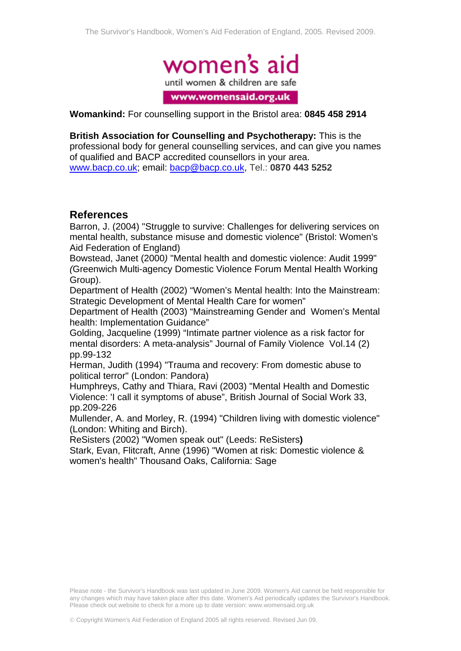

**Womankind:** For counselling support in the Bristol area: **0845 458 2914** 

**British Association for Counselling and Psychotherapy:** This is the professional body for general counselling services, and can give you names of qualified and BACP accredited counsellors in your area. www.bacp.co.uk; email: bacp@bacp.co.uk, Tel.: **0870 443 5252**

## **References**

Barron, J. (2004) "Struggle to survive: Challenges for delivering services on mental health, substance misuse and domestic violence" (Bristol: Women's Aid Federation of England)

Bowstead, Janet (2000*)* "Mental health and domestic violence: Audit 1999" *(*Greenwich Multi-agency Domestic Violence Forum Mental Health Working Group).

Department of Health (2002) "Women's Mental health: Into the Mainstream: Strategic Development of Mental Health Care for women"

Department of Health (2003) "Mainstreaming Gender and Women's Mental health: Implementation Guidance"

Golding, Jacqueline (1999) "Intimate partner violence as a risk factor for mental disorders: A meta-analysis" Journal of Family Violence Vol.14 (2) pp.99-132

Herman, Judith (1994) "Trauma and recovery: From domestic abuse to political terror" (London: Pandora)

Humphreys, Cathy and Thiara, Ravi (2003) "Mental Health and Domestic Violence: 'I call it symptoms of abuse", British Journal of Social Work 33, pp.209-226

Mullender, A. and Morley, R. (1994) "Children living with domestic violence" (London: Whiting and Birch).

ReSisters (2002) "Women speak out" (Leeds: ReSisters**)** 

Stark, Evan, Flitcraft, Anne (1996) "Women at risk: Domestic violence & women's health" Thousand Oaks, California: Sage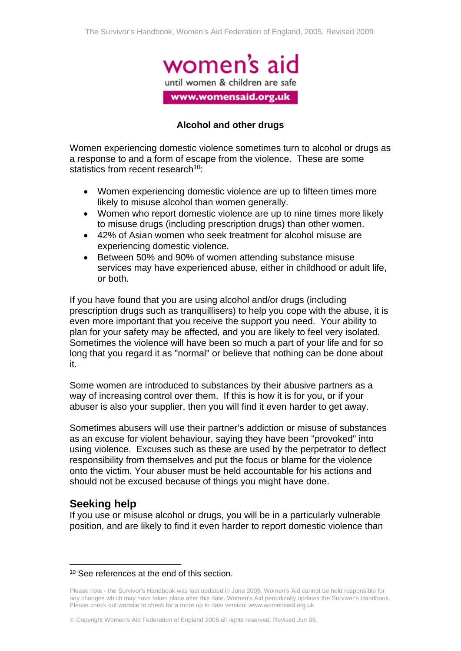

### **Alcohol and other drugs**

Women experiencing domestic violence sometimes turn to alcohol or drugs as a response to and a form of escape from the violence. These are some statistics from recent research<sup>10</sup>:

- Women experiencing domestic violence are up to fifteen times more likely to misuse alcohol than women generally.
- Women who report domestic violence are up to nine times more likely to misuse drugs (including prescription drugs) than other women.
- 42% of Asian women who seek treatment for alcohol misuse are experiencing domestic violence.
- Between 50% and 90% of women attending substance misuse services may have experienced abuse, either in childhood or adult life, or both.

If you have found that you are using alcohol and/or drugs (including prescription drugs such as tranquillisers) to help you cope with the abuse, it is even more important that you receive the support you need. Your ability to plan for your safety may be affected, and you are likely to feel very isolated. Sometimes the violence will have been so much a part of your life and for so long that you regard it as "normal" or believe that nothing can be done about it.

Some women are introduced to substances by their abusive partners as a way of increasing control over them. If this is how it is for you, or if your abuser is also your supplier, then you will find it even harder to get away.

Sometimes abusers will use their partner's addiction or misuse of substances as an excuse for violent behaviour, saying they have been "provoked" into using violence. Excuses such as these are used by the perpetrator to deflect responsibility from themselves and put the focus or blame for the violence onto the victim. Your abuser must be held accountable for his actions and should not be excused because of things you might have done.

# **Seeking help**

1

If you use or misuse alcohol or drugs, you will be in a particularly vulnerable position, and are likely to find it even harder to report domestic violence than

<sup>&</sup>lt;sup>10</sup> See references at the end of this section.

Please note - the Survivor's Handbook was last updated in June 2009. Women's Aid cannot be held responsible for any changes which may have taken place after this date. Women's Aid periodically updates the Survivor's Handbook. Please check out website to check for a more up to date version: www.womensaid.org.uk

Copyright Women's Aid Federation of England 2005 all rights reserved. Revised Jun 09.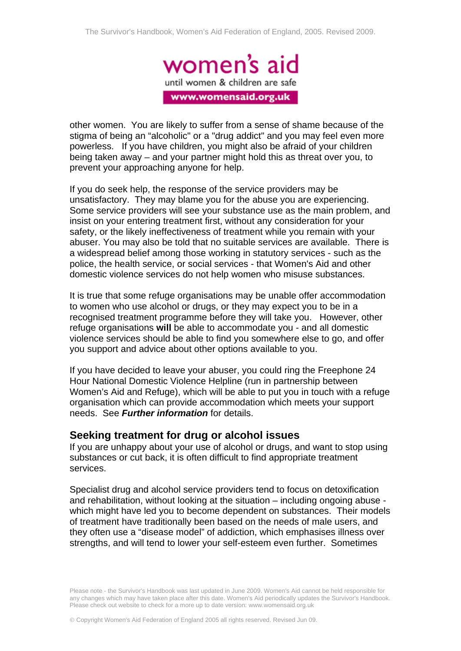

other women. You are likely to suffer from a sense of shame because of the stigma of being an "alcoholic" or a "drug addict" and you may feel even more powerless. If you have children, you might also be afraid of your children being taken away – and your partner might hold this as threat over you, to prevent your approaching anyone for help.

If you do seek help, the response of the service providers may be unsatisfactory. They may blame you for the abuse you are experiencing. Some service providers will see your substance use as the main problem, and insist on your entering treatment first, without any consideration for your safety, or the likely ineffectiveness of treatment while you remain with your abuser. You may also be told that no suitable services are available. There is a widespread belief among those working in statutory services - such as the police, the health service, or social services - that Women's Aid and other domestic violence services do not help women who misuse substances.

It is true that some refuge organisations may be unable offer accommodation to women who use alcohol or drugs, or they may expect you to be in a recognised treatment programme before they will take you. However, other refuge organisations **will** be able to accommodate you - and all domestic violence services should be able to find you somewhere else to go, and offer you support and advice about other options available to you.

If you have decided to leave your abuser, you could ring the Freephone 24 Hour National Domestic Violence Helpline (run in partnership between Women's Aid and Refuge), which will be able to put you in touch with a refuge organisation which can provide accommodation which meets your support needs. See *Further information* for details.

## **Seeking treatment for drug or alcohol issues**

If you are unhappy about your use of alcohol or drugs, and want to stop using substances or cut back, it is often difficult to find appropriate treatment services.

Specialist drug and alcohol service providers tend to focus on detoxification and rehabilitation, without looking at the situation – including ongoing abuse which might have led you to become dependent on substances. Their models of treatment have traditionally been based on the needs of male users, and they often use a "disease model" of addiction, which emphasises illness over strengths, and will tend to lower your self-esteem even further. Sometimes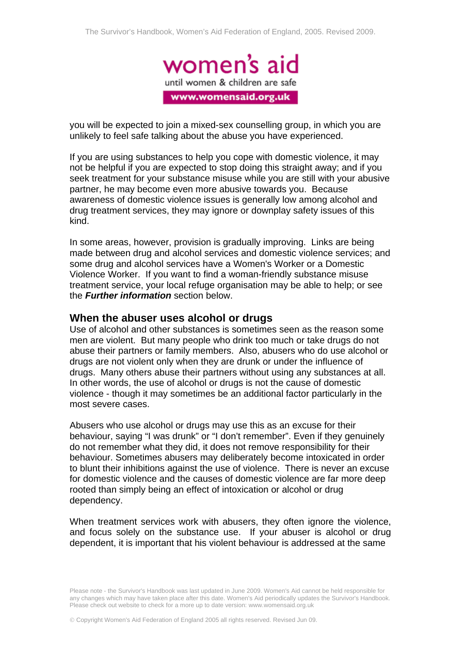

you will be expected to join a mixed-sex counselling group, in which you are unlikely to feel safe talking about the abuse you have experienced.

If you are using substances to help you cope with domestic violence, it may not be helpful if you are expected to stop doing this straight away; and if you seek treatment for your substance misuse while you are still with your abusive partner, he may become even more abusive towards you. Because awareness of domestic violence issues is generally low among alcohol and drug treatment services, they may ignore or downplay safety issues of this kind.

In some areas, however, provision is gradually improving. Links are being made between drug and alcohol services and domestic violence services; and some drug and alcohol services have a Women's Worker or a Domestic Violence Worker. If you want to find a woman-friendly substance misuse treatment service, your local refuge organisation may be able to help; or see the *Further information* section below.

# **When the abuser uses alcohol or drugs**

Use of alcohol and other substances is sometimes seen as the reason some men are violent. But many people who drink too much or take drugs do not abuse their partners or family members. Also, abusers who do use alcohol or drugs are not violent only when they are drunk or under the influence of drugs. Many others abuse their partners without using any substances at all. In other words, the use of alcohol or drugs is not the cause of domestic violence - though it may sometimes be an additional factor particularly in the most severe cases.

Abusers who use alcohol or drugs may use this as an excuse for their behaviour, saying "I was drunk" or "I don't remember". Even if they genuinely do not remember what they did, it does not remove responsibility for their behaviour. Sometimes abusers may deliberately become intoxicated in order to blunt their inhibitions against the use of violence. There is never an excuse for domestic violence and the causes of domestic violence are far more deep rooted than simply being an effect of intoxication or alcohol or drug dependency.

When treatment services work with abusers, they often ignore the violence, and focus solely on the substance use. If your abuser is alcohol or drug dependent, it is important that his violent behaviour is addressed at the same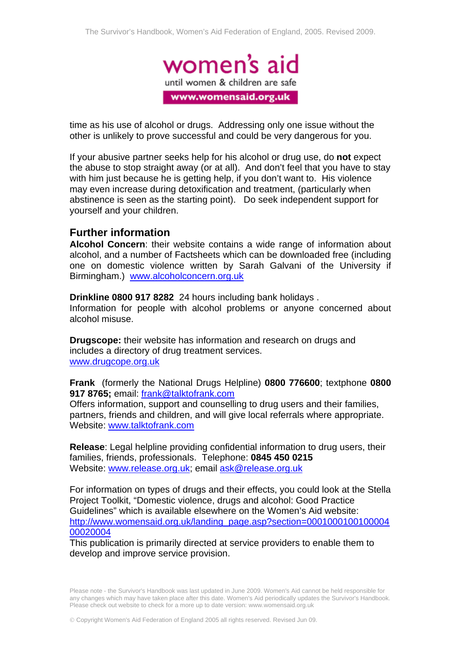

time as his use of alcohol or drugs. Addressing only one issue without the other is unlikely to prove successful and could be very dangerous for you.

If your abusive partner seeks help for his alcohol or drug use, do **not** expect the abuse to stop straight away (or at all). And don't feel that you have to stay with him just because he is getting help, if you don't want to. His violence may even increase during detoxification and treatment, (particularly when abstinence is seen as the starting point). Do seek independent support for yourself and your children.

# **Further information**

**Alcohol Concern**: their website contains a wide range of information about alcohol, and a number of Factsheets which can be downloaded free (including one on domestic violence written by Sarah Galvani of the University if Birmingham.) www.alcoholconcern.org.uk

**Drinkline 0800 917 8282** 24 hours including bank holidays . Information for people with alcohol problems or anyone concerned about alcohol misuse.

**Drugscope:** their website has information and research on drugs and includes a directory of drug treatment services. www.drugcope.org.uk

**Frank** (formerly the National Drugs Helpline) **0800 776600**; textphone **0800 917 8765;** email: frank@talktofrank.com

Offers information, support and counselling to drug users and their families, partners, friends and children, and will give local referrals where appropriate. Website: www.talktofrank.com

**Release**: Legal helpline providing confidential information to drug users, their families, friends, professionals. Telephone: **0845 450 0215**  Website: www.release.org.uk; email ask@release.org.uk

For information on types of drugs and their effects, you could look at the Stella Project Toolkit, "Domestic violence, drugs and alcohol: Good Practice Guidelines" which is available elsewhere on the Women's Aid website: http://www.womensaid.org.uk/landing\_page.asp?section=0001000100100004 00020004

This publication is primarily directed at service providers to enable them to develop and improve service provision.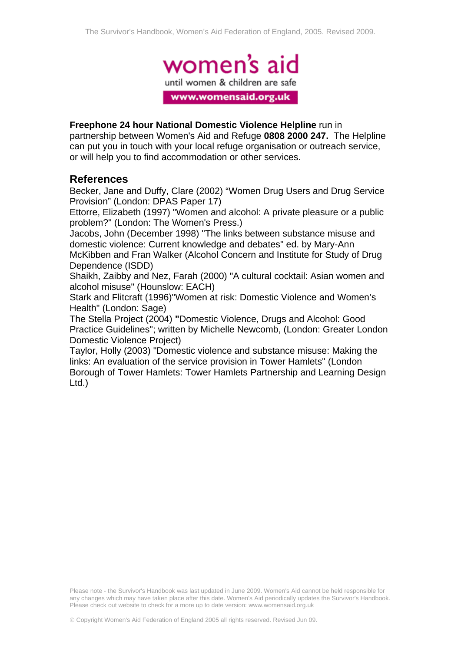

#### **Freephone 24 hour National Domestic Violence Helpline** run in

partnership between Women's Aid and Refuge **0808 2000 247.** The Helpline can put you in touch with your local refuge organisation or outreach service, or will help you to find accommodation or other services.

## **References**

Becker, Jane and Duffy, Clare (2002) "Women Drug Users and Drug Service Provision" (London: DPAS Paper 17)

Ettorre, Elizabeth (1997) "Women and alcohol: A private pleasure or a public problem?" (London: The Women's Press.)

Jacobs, John (December 1998) "The links between substance misuse and domestic violence: Current knowledge and debates" ed. by Mary-Ann McKibben and Fran Walker (Alcohol Concern and Institute for Study of Drug Dependence (ISDD)

Shaikh, Zaibby and Nez, Farah (2000) "A cultural cocktail: Asian women and alcohol misuse" (Hounslow: EACH)

Stark and Flitcraft (1996)"Women at risk: Domestic Violence and Women's Health" (London: Sage)

The Stella Project (2004) **"**Domestic Violence, Drugs and Alcohol: Good Practice Guidelines"; written by Michelle Newcomb, (London: Greater London Domestic Violence Project)

Taylor, Holly (2003) "Domestic violence and substance misuse: Making the links: An evaluation of the service provision in Tower Hamlets" (London Borough of Tower Hamlets: Tower Hamlets Partnership and Learning Design Ltd.)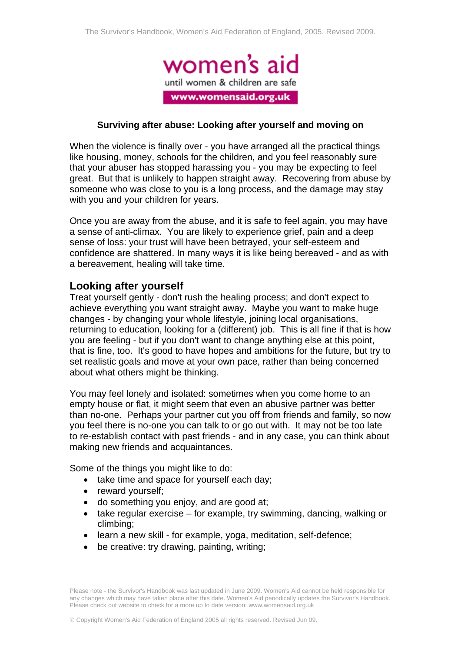

### **Surviving after abuse: Looking after yourself and moving on**

When the violence is finally over - you have arranged all the practical things like housing, money, schools for the children, and you feel reasonably sure that your abuser has stopped harassing you - you may be expecting to feel great. But that is unlikely to happen straight away. Recovering from abuse by someone who was close to you is a long process, and the damage may stay with you and your children for years.

Once you are away from the abuse, and it is safe to feel again, you may have a sense of anti-climax. You are likely to experience grief, pain and a deep sense of loss: your trust will have been betrayed, your self-esteem and confidence are shattered. In many ways it is like being bereaved - and as with a bereavement, healing will take time.

## **Looking after yourself**

Treat yourself gently - don't rush the healing process; and don't expect to achieve everything you want straight away. Maybe you want to make huge changes - by changing your whole lifestyle, joining local organisations, returning to education, looking for a (different) job. This is all fine if that is how you are feeling - but if you don't want to change anything else at this point, that is fine, too. It's good to have hopes and ambitions for the future, but try to set realistic goals and move at your own pace, rather than being concerned about what others might be thinking.

You may feel lonely and isolated: sometimes when you come home to an empty house or flat, it might seem that even an abusive partner was better than no-one. Perhaps your partner cut you off from friends and family, so now you feel there is no-one you can talk to or go out with. It may not be too late to re-establish contact with past friends - and in any case, you can think about making new friends and acquaintances.

Some of the things you might like to do:

- take time and space for yourself each day;
- reward yourself;
- do something you enjoy, and are good at;
- $\bullet$  take regular exercise for example, try swimming, dancing, walking or climbing;
- learn a new skill for example, yoga, meditation, self-defence;
- be creative: try drawing, painting, writing;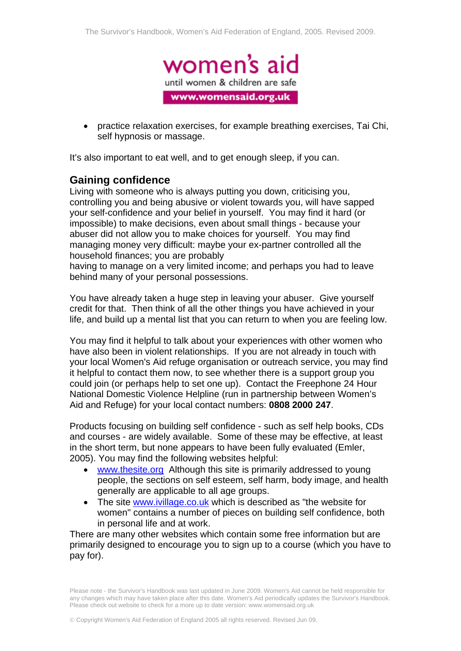

 practice relaxation exercises, for example breathing exercises, Tai Chi, self hypnosis or massage.

It's also important to eat well, and to get enough sleep, if you can.

# **Gaining confidence**

Living with someone who is always putting you down, criticising you, controlling you and being abusive or violent towards you, will have sapped your self-confidence and your belief in yourself. You may find it hard (or impossible) to make decisions, even about small things - because your abuser did not allow you to make choices for yourself. You may find managing money very difficult: maybe your ex-partner controlled all the household finances; you are probably

having to manage on a very limited income; and perhaps you had to leave behind many of your personal possessions.

You have already taken a huge step in leaving your abuser. Give yourself credit for that. Then think of all the other things you have achieved in your life, and build up a mental list that you can return to when you are feeling low.

You may find it helpful to talk about your experiences with other women who have also been in violent relationships. If you are not already in touch with your local Women's Aid refuge organisation or outreach service, you may find it helpful to contact them now, to see whether there is a support group you could join (or perhaps help to set one up). Contact the Freephone 24 Hour National Domestic Violence Helpline (run in partnership between Women's Aid and Refuge) for your local contact numbers: **0808 2000 247**.

Products focusing on building self confidence - such as self help books, CDs and courses - are widely available. Some of these may be effective, at least in the short term, but none appears to have been fully evaluated (Emler, 2005). You may find the following websites helpful:

- www.thesite.org Although this site is primarily addressed to young people, the sections on self esteem, self harm, body image, and health generally are applicable to all age groups.
- The site www.ivillage.co.uk which is described as "the website for women" contains a number of pieces on building self confidence, both in personal life and at work.

There are many other websites which contain some free information but are primarily designed to encourage you to sign up to a course (which you have to pay for).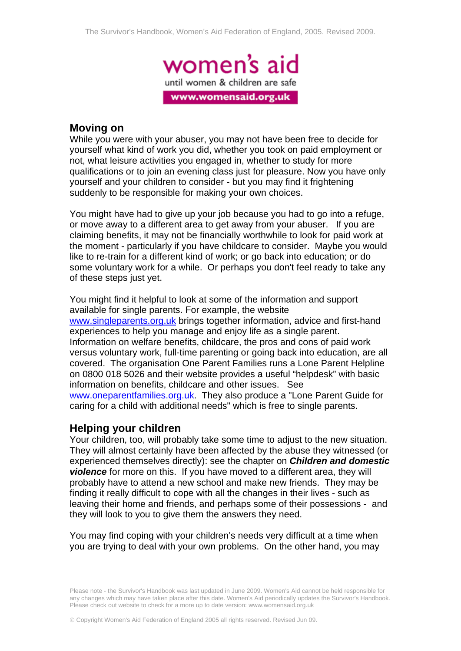

# **Moving on**

While you were with your abuser, you may not have been free to decide for yourself what kind of work you did, whether you took on paid employment or not, what leisure activities you engaged in, whether to study for more qualifications or to join an evening class just for pleasure. Now you have only yourself and your children to consider - but you may find it frightening suddenly to be responsible for making your own choices.

You might have had to give up your job because you had to go into a refuge, or move away to a different area to get away from your abuser. If you are claiming benefits, it may not be financially worthwhile to look for paid work at the moment - particularly if you have childcare to consider. Maybe you would like to re-train for a different kind of work; or go back into education; or do some voluntary work for a while. Or perhaps you don't feel ready to take any of these steps just yet.

You might find it helpful to look at some of the information and support available for single parents. For example, the website www.singleparents.org.uk brings together information, advice and first-hand experiences to help you manage and enjoy life as a single parent. Information on welfare benefits, childcare, the pros and cons of paid work versus voluntary work, full-time parenting or going back into education, are all covered. The organisation One Parent Families runs a Lone Parent Helpline on 0800 018 5026 and their website provides a useful "helpdesk" with basic information on benefits, childcare and other issues. See www.oneparentfamilies.org.uk. They also produce a "Lone Parent Guide for caring for a child with additional needs" which is free to single parents.

# **Helping your children**

Your children, too, will probably take some time to adjust to the new situation. They will almost certainly have been affected by the abuse they witnessed (or experienced themselves directly): see the chapter on *Children and domestic violence* for more on this. If you have moved to a different area, they will probably have to attend a new school and make new friends. They may be finding it really difficult to cope with all the changes in their lives - such as leaving their home and friends, and perhaps some of their possessions - and they will look to you to give them the answers they need.

You may find coping with your children's needs very difficult at a time when you are trying to deal with your own problems. On the other hand, you may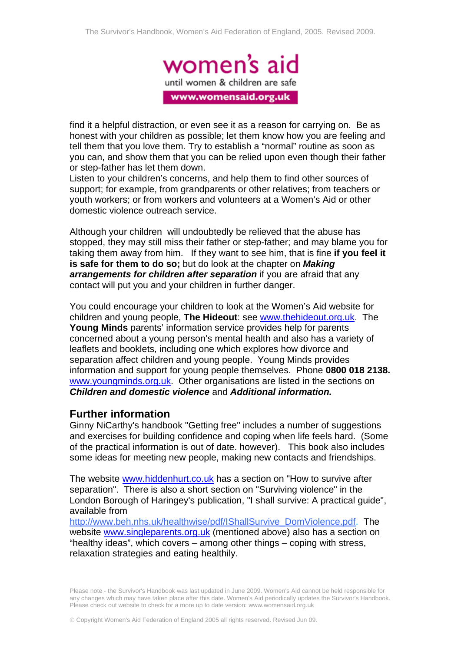

find it a helpful distraction, or even see it as a reason for carrying on. Be as honest with your children as possible; let them know how you are feeling and tell them that you love them. Try to establish a "normal" routine as soon as you can, and show them that you can be relied upon even though their father or step-father has let them down.

Listen to your children's concerns, and help them to find other sources of support; for example, from grandparents or other relatives; from teachers or youth workers; or from workers and volunteers at a Women's Aid or other domestic violence outreach service.

Although your children will undoubtedly be relieved that the abuse has stopped, they may still miss their father or step-father; and may blame you for taking them away from him. If they want to see him, that is fine **if you feel it is safe for them to do so;** but do look at the chapter on *Making arrangements for children after separation* if you are afraid that any contact will put you and your children in further danger.

You could encourage your children to look at the Women's Aid website for children and young people, **The Hideout**: see www.thehideout.org.uk. The **Young Minds** parents' information service provides help for parents concerned about a young person's mental health and also has a variety of leaflets and booklets, including one which explores how divorce and separation affect children and young people. Young Minds provides information and support for young people themselves. Phone **0800 018 2138.** www.youngminds.org.uk. Other organisations are listed in the sections on *Children and domestic violence* and *Additional information.* 

# **Further information**

Ginny NiCarthy's handbook "Getting free" includes a number of suggestions and exercises for building confidence and coping when life feels hard. (Some of the practical information is out of date. however). This book also includes some ideas for meeting new people, making new contacts and friendships.

The website www.hiddenhurt.co.uk has a section on "How to survive after separation". There is also a short section on "Surviving violence" in the London Borough of Haringey's publication, "I shall survive: A practical guide", available from

http://www.beh.nhs.uk/healthwise/pdf/IShallSurvive\_DomViolence.pdf. The website www.singleparents.org.uk (mentioned above) also has a section on "healthy ideas", which covers – among other things – coping with stress, relaxation strategies and eating healthily.